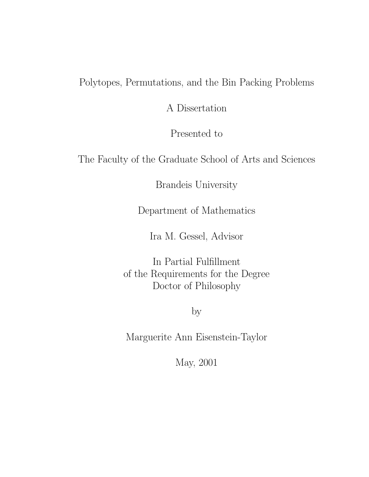Polytopes, Permutations, and the Bin Packing Problems

A Dissertation

Presented to

The Faculty of the Graduate School of Arts and Sciences

Brandeis University

Department of Mathematics

Ira M. Gessel, Advisor

In Partial Fulfillment of the Requirements for the Degree Doctor of Philosophy

by

Marguerite Ann Eisenstein-Taylor

May, 2001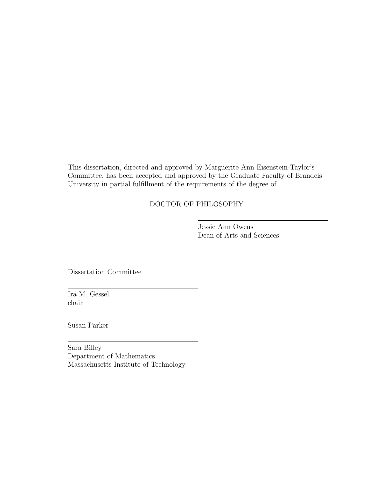This dissertation, directed and approved by Marguerite Ann Eisenstein-Taylor's Committee, has been accepted and approved by the Graduate Faculty of Brandeis University in partial fulfillment of the requirements of the degree of

## DOCTOR OF PHILOSOPHY

Jessie Ann Owens Dean of Arts and Sciences

Dissertation Committee

Ira M. Gessel chair

Susan Parker

Sara Billey Department of Mathematics Massachusetts Institute of Technology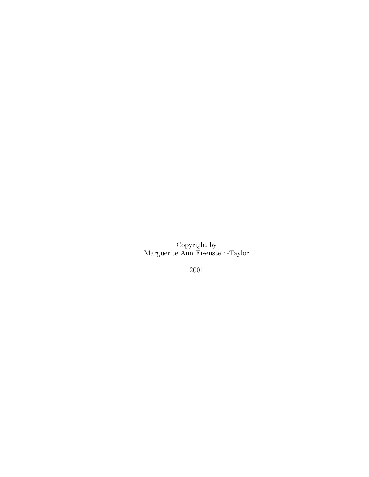Copyright by Marguerite Ann Eisenstein-Taylor

2001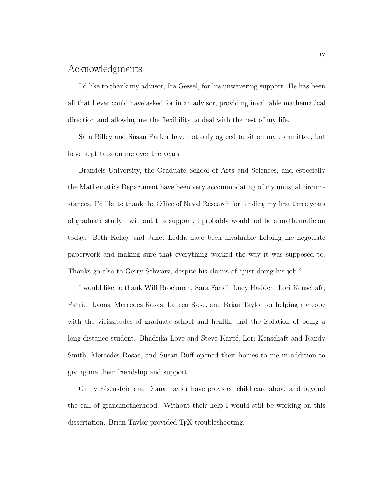# Acknowledgments

I'd like to thank my advisor, Ira Gessel, for his unwavering support. He has been all that I ever could have asked for in an advisor, providing invaluable mathematical direction and allowing me the flexibility to deal with the rest of my life.

Sara Billey and Susan Parker have not only agreed to sit on my committee, but have kept tabs on me over the years.

Brandeis University, the Graduate School of Arts and Sciences, and especially the Mathematics Department have been very accommodating of my unusual circumstances. I'd like to thank the Office of Naval Research for funding my first three years of graduate study—without this support, I probably would not be a mathematician today. Beth Kelley and Janet Ledda have been invaluable helping me negotiate paperwork and making sure that everything worked the way it was supposed to. Thanks go also to Gerry Schwarz, despite his claims of "just doing his job."

I would like to thank Will Brockman, Sara Faridi, Lucy Hadden, Lori Kenschaft, Patrice Lyons, Mercedes Rosas, Lauren Rose, and Brian Taylor for helping me cope with the vicissitudes of graduate school and health, and the isolation of being a long-distance student. Bhadrika Love and Steve Karpf, Lori Kenschaft and Randy Smith, Mercedes Rosas, and Susan Ruff opened their homes to me in addition to giving me their friendship and support.

Ginny Eisenstein and Diana Taylor have provided child care above and beyond the call of grandmotherhood. Without their help I would still be working on this dissertation. Brian Taylor provided T<sub>EX</sub> troubleshooting.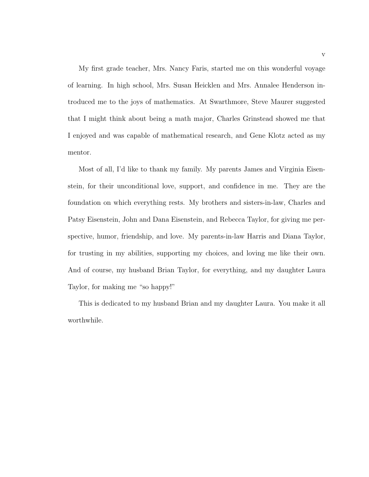My first grade teacher, Mrs. Nancy Faris, started me on this wonderful voyage of learning. In high school, Mrs. Susan Heicklen and Mrs. Annalee Henderson introduced me to the joys of mathematics. At Swarthmore, Steve Maurer suggested that I might think about being a math major, Charles Grinstead showed me that I enjoyed and was capable of mathematical research, and Gene Klotz acted as my mentor.

Most of all, I'd like to thank my family. My parents James and Virginia Eisenstein, for their unconditional love, support, and confidence in me. They are the foundation on which everything rests. My brothers and sisters-in-law, Charles and Patsy Eisenstein, John and Dana Eisenstein, and Rebecca Taylor, for giving me perspective, humor, friendship, and love. My parents-in-law Harris and Diana Taylor, for trusting in my abilities, supporting my choices, and loving me like their own. And of course, my husband Brian Taylor, for everything, and my daughter Laura Taylor, for making me "so happy!"

This is dedicated to my husband Brian and my daughter Laura. You make it all worthwhile.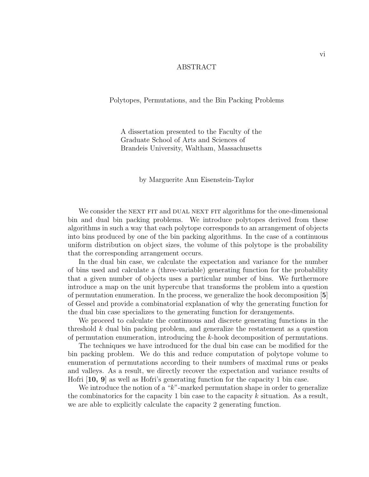#### ABSTRACT

Polytopes, Permutations, and the Bin Packing Problems

A dissertation presented to the Faculty of the Graduate School of Arts and Sciences of Brandeis University, Waltham, Massachusetts

by Marguerite Ann Eisenstein-Taylor

We consider the NEXT FIT and DUAL NEXT FIT algorithms for the one-dimensional bin and dual bin packing problems. We introduce polytopes derived from these algorithms in such a way that each polytope corresponds to an arrangement of objects into bins produced by one of the bin packing algorithms. In the case of a continuous uniform distribution on object sizes, the volume of this polytope is the probability that the corresponding arrangement occurs.

In the dual bin case, we calculate the expectation and variance for the number of bins used and calculate a (three-variable) generating function for the probability that a given number of objects uses a particular number of bins. We furthermore introduce a map on the unit hypercube that transforms the problem into a question of permutation enumeration. In the process, we generalize the hook decomposition [**5**] of Gessel and provide a combinatorial explanation of why the generating function for the dual bin case specializes to the generating function for derangements.

We proceed to calculate the continuous and discrete generating functions in the threshold k dual bin packing problem, and generalize the restatement as a question of permutation enumeration, introducing the k-hook decomposition of permutations.

The techniques we have introduced for the dual bin case can be modified for the bin packing problem. We do this and reduce computation of polytope volume to enumeration of permutations according to their numbers of maximal runs or peaks and valleys. As a result, we directly recover the expectation and variance results of Hofri [**10, 9**] as well as Hofri's generating function for the capacity 1 bin case.

We introduce the notion of a "k"-marked permutation shape in order to generalize the combinatorics for the capacity 1 bin case to the capacity  $k$  situation. As a result, we are able to explicitly calculate the capacity 2 generating function.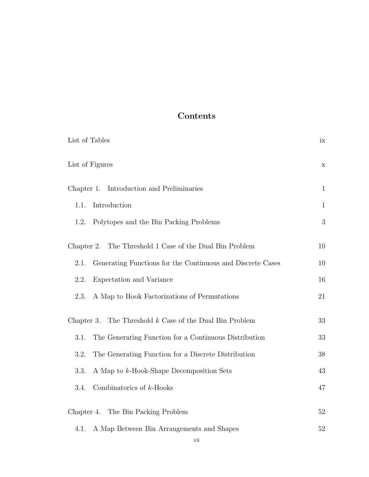# **Contents**

| List of Tables                                                     | ix           |
|--------------------------------------------------------------------|--------------|
| List of Figures                                                    | $\mathbf X$  |
| Introduction and Preliminaries<br>Chapter 1.                       | $\mathbf{1}$ |
| Introduction<br>1.1.                                               | $\mathbf{1}$ |
| Polytopes and the Bin Packing Problems<br>1.2.                     | 3            |
| The Threshold 1 Case of the Dual Bin Problem<br>Chapter 2.         | 10           |
| Generating Functions for the Continuous and Discrete Cases<br>2.1. | 10           |
| Expectation and Variance<br>2.2.                                   | 16           |
| A Map to Hook Factorizations of Permutations<br>2.3.               | 21           |
| The Threshold $k$ Case of the Dual Bin Problem<br>Chapter 3.       | 33           |
| The Generating Function for a Continuous Distribution<br>3.1.      | 33           |
| The Generating Function for a Discrete Distribution<br>3.2.        | 38           |
| 3.3.<br>A Map to k-Hook-Shape Decomposition Sets                   | 43           |
| Combinatorics of $k$ -Hooks<br>3.4.                                | 47           |
| Chapter 4. The Bin Packing Problem                                 | 52           |
| A Map Between Bin Arrangements and Shapes<br>4.1.                  | 52           |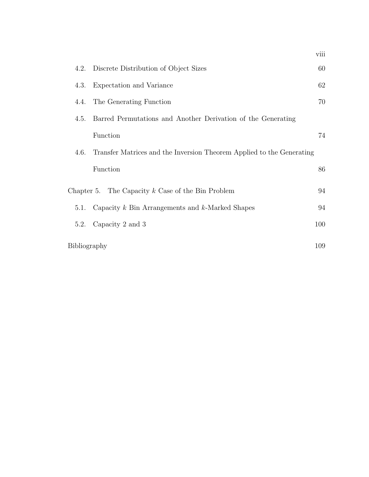|              |                                                                       | viii |
|--------------|-----------------------------------------------------------------------|------|
| 4.2.         | Discrete Distribution of Object Sizes                                 | 60   |
| 4.3.         | Expectation and Variance                                              | 62   |
| 4.4.         | The Generating Function                                               | 70   |
| 4.5.         | Barred Permutations and Another Derivation of the Generating          |      |
|              | Function                                                              | 74   |
| 4.6.         | Transfer Matrices and the Inversion Theorem Applied to the Generating |      |
|              | Function                                                              | 86   |
|              | Chapter 5. The Capacity $k$ Case of the Bin Problem                   | 94   |
| 5.1.         | Capacity $k$ Bin Arrangements and $k$ -Marked Shapes                  | 94   |
| 5.2.         | Capacity 2 and 3                                                      | 100  |
| Bibliography |                                                                       | 109  |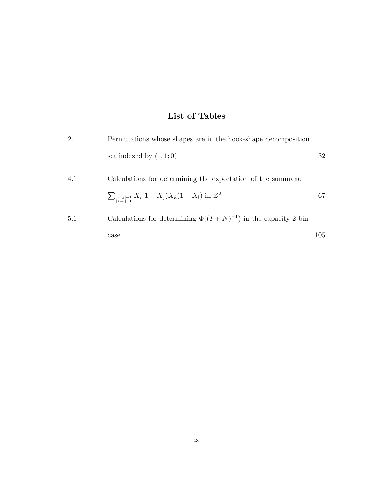# **List of Tables**

| 2.1 | Permutations whose shapes are in the hook-shape decomposition         |     |
|-----|-----------------------------------------------------------------------|-----|
|     | set indexed by $(1, 1; 0)$                                            | 32  |
| 4.1 | Calculations for determining the expectation of the summand           |     |
|     | $\sum_{\substack{ i-j =1\\ k-l =1}} X_i(1-X_j)X_k(1-X_l)$ in $Z^2$    | 67  |
| 5.1 | Calculations for determining $\Phi((I+N)^{-1})$ in the capacity 2 bin |     |
|     | case                                                                  | 105 |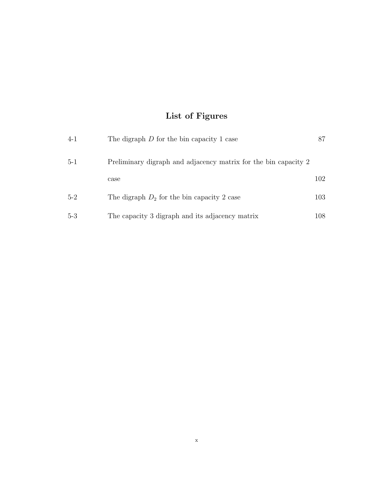# **List of Figures**

| $4 - 1$ | The digraph $D$ for the bin capacity 1 case                     | 87   |
|---------|-----------------------------------------------------------------|------|
| $5-1$   | Preliminary digraph and adjacency matrix for the bin capacity 2 |      |
|         | case                                                            | 102  |
| $5-2$   | The digraph $D_2$ for the bin capacity 2 case                   | 103  |
| $5-3$   | The capacity 3 digraph and its adjacency matrix                 | 108- |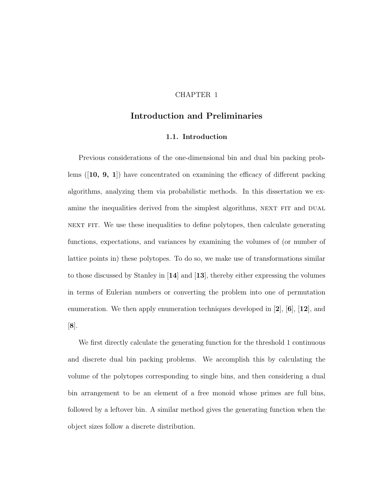### CHAPTER 1

## **Introduction and Preliminaries**

#### **1.1. Introduction**

Previous considerations of the one-dimensional bin and dual bin packing problems ([**10, 9, 1**]) have concentrated on examining the efficacy of different packing algorithms, analyzing them via probabilistic methods. In this dissertation we examine the inequalities derived from the simplest algorithms, NEXT FIT and DUAL NEXT FIT. We use these inequalities to define polytopes, then calculate generating functions, expectations, and variances by examining the volumes of (or number of lattice points in) these polytopes. To do so, we make use of transformations similar to those discussed by Stanley in [**14**] and [**13**], thereby either expressing the volumes in terms of Eulerian numbers or converting the problem into one of permutation enumeration. We then apply enumeration techniques developed in [**2**], [**6**], [**12**], and [**8**].

We first directly calculate the generating function for the threshold 1 continuous and discrete dual bin packing problems. We accomplish this by calculating the volume of the polytopes corresponding to single bins, and then considering a dual bin arrangement to be an element of a free monoid whose primes are full bins, followed by a leftover bin. A similar method gives the generating function when the object sizes follow a discrete distribution.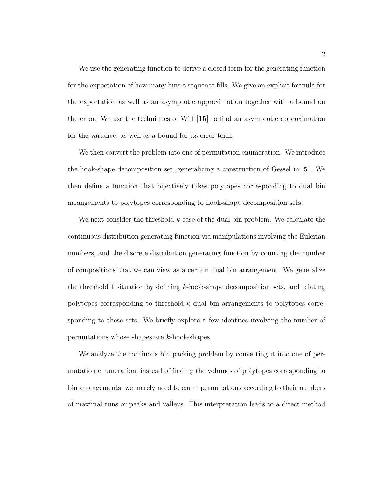We use the generating function to derive a closed form for the generating function for the expectation of how many bins a sequence fills. We give an explicit formula for the expectation as well as an asymptotic approximation together with a bound on the error. We use the techniques of Wilf [**15**] to find an asymptotic approximation for the variance, as well as a bound for its error term.

We then convert the problem into one of permutation enumeration. We introduce the hook-shape decomposition set, generalizing a construction of Gessel in [**5**]. We then define a function that bijectively takes polytopes corresponding to dual bin arrangements to polytopes corresponding to hook-shape decomposition sets.

We next consider the threshold  $k$  case of the dual bin problem. We calculate the continuous distribution generating function via manipulations involving the Eulerian numbers, and the discrete distribution generating function by counting the number of compositions that we can view as a certain dual bin arrangement. We generalize the threshold 1 situation by defining  $k$ -hook-shape decomposition sets, and relating polytopes corresponding to threshold k dual bin arrangements to polytopes corresponding to these sets. We briefly explore a few identites involving the number of permutations whose shapes are k-hook-shapes.

We analyze the continous bin packing problem by converting it into one of permutation enumeration; instead of finding the volumes of polytopes corresponding to bin arrangements, we merely need to count permutations according to their numbers of maximal runs or peaks and valleys. This interpretation leads to a direct method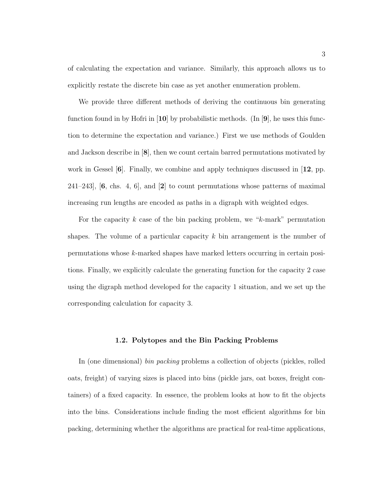of calculating the expectation and variance. Similarly, this approach allows us to explicitly restate the discrete bin case as yet another enumeration problem.

We provide three different methods of deriving the continuous bin generating function found in by Hofri in [**10**] by probabilistic methods. (In [**9**], he uses this function to determine the expectation and variance.) First we use methods of Goulden and Jackson describe in [**8**], then we count certain barred permutations motivated by work in Gessel [**6**]. Finally, we combine and apply techniques discussed in [**12**, pp. 241–243], [**6**, chs. 4, 6], and [**2**] to count permutations whose patterns of maximal increasing run lengths are encoded as paths in a digraph with weighted edges.

For the capacity k case of the bin packing problem, we " $k$ -mark" permutation shapes. The volume of a particular capacity  $k$  bin arrangement is the number of permutations whose k-marked shapes have marked letters occurring in certain positions. Finally, we explicitly calculate the generating function for the capacity 2 case using the digraph method developed for the capacity 1 situation, and we set up the corresponding calculation for capacity 3.

#### **1.2. Polytopes and the Bin Packing Problems**

In (one dimensional) bin packing problems a collection of objects (pickles, rolled oats, freight) of varying sizes is placed into bins (pickle jars, oat boxes, freight containers) of a fixed capacity. In essence, the problem looks at how to fit the objects into the bins. Considerations include finding the most efficient algorithms for bin packing, determining whether the algorithms are practical for real-time applications,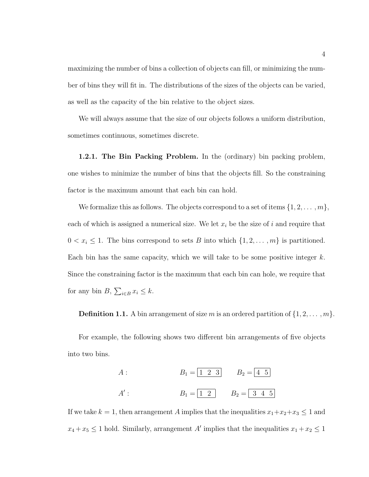maximizing the number of bins a collection of objects can fill, or minimizing the number of bins they will fit in. The distributions of the sizes of the objects can be varied, as well as the capacity of the bin relative to the object sizes.

We will always assume that the size of our objects follows a uniform distribution, sometimes continuous, sometimes discrete.

**1.2.1. The Bin Packing Problem.** In the (ordinary) bin packing problem, one wishes to minimize the number of bins that the objects fill. So the constraining factor is the maximum amount that each bin can hold.

We formalize this as follows. The objects correspond to a set of items  $\{1, 2, \ldots, m\}$ , each of which is assigned a numerical size. We let  $x_i$  be the size of i and require that  $0 < x_i \leq 1$ . The bins correspond to sets B into which  $\{1, 2, ..., m\}$  is partitioned. Each bin has the same capacity, which we will take to be some positive integer  $k$ . Since the constraining factor is the maximum that each bin can hole, we require that for any bin  $B$ ,  $\sum_{i \in B} x_i \leq k$ .

**Definition 1.1.** A bin arrangement of size m is an ordered partition of  $\{1, 2, \ldots, m\}$ .

For example, the following shows two different bin arrangements of five objects into two bins.

A:  
\n
$$
B_1 = \boxed{1 \ 2 \ 3}
$$
  
\n $B_2 = \boxed{4 \ 5}$   
\nA':  
\n $B_1 = \boxed{1 \ 2}$   
\n $B_2 = \boxed{3 \ 4 \ 5}$ 

If we take  $k = 1$ , then arrangement A implies that the inequalities  $x_1 + x_2 + x_3 \le 1$  and  $x_4 + x_5 \leq 1$  hold. Similarly, arrangement A' implies that the inequalities  $x_1 + x_2 \leq 1$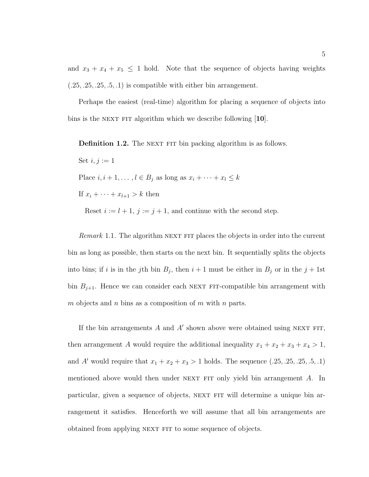and  $x_3 + x_4 + x_5 \leq 1$  hold. Note that the sequence of objects having weights  $(.25, .25, .25, .5, .1)$  is compatible with either bin arrangement.

Perhaps the easiest (real-time) algorithm for placing a sequence of objects into bins is the next fit algorithm which we describe following [**10**].

**Definition 1.2.** The NEXT FIT bin packing algorithm is as follows.

Set  $i, j := 1$ Place  $i, i + 1, \ldots, l \in B_j$  as long as  $x_i + \cdots + x_l \leq k$ If  $x_i + \cdots + x_{l+1} > k$  then

Reset  $i := l + 1$ ,  $j := j + 1$ , and continue with the second step.

Remark 1.1. The algorithm NEXT FIT places the objects in order into the current bin as long as possible, then starts on the next bin. It sequentially splits the objects into bins; if i is in the jth bin  $B_j$ , then  $i + 1$  must be either in  $B_j$  or in the  $j + 1$ st bin  $B_{j+1}$ . Hence we can consider each NEXT FIT-compatible bin arrangement with m objects and n bins as a composition of m with n parts.

If the bin arrangements  $A$  and  $A'$  shown above were obtained using NEXT FIT, then arrangement A would require the additional inequality  $x_1 + x_2 + x_3 + x_4 > 1$ , and A' would require that  $x_1 + x_2 + x_3 > 1$  holds. The sequence  $(.25, .25, .25, .5, .1)$ mentioned above would then under NEXT FIT only yield bin arrangement  $A$ . In particular, given a sequence of objects, NEXT FIT will determine a unique bin arrangement it satisfies. Henceforth we will assume that all bin arrangements are obtained from applying NEXT FIT to some sequence of objects.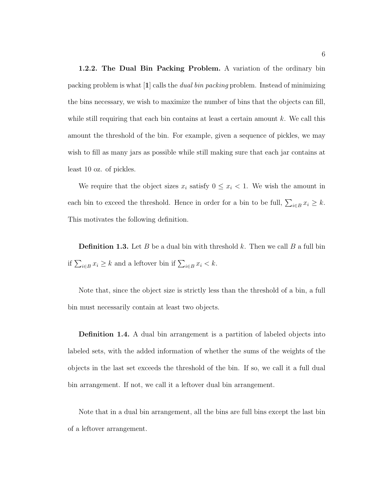**1.2.2. The Dual Bin Packing Problem.** A variation of the ordinary bin packing problem is what [**1**] calls the dual bin packing problem. Instead of minimizing the bins necessary, we wish to maximize the number of bins that the objects can fill, while still requiring that each bin contains at least a certain amount  $k$ . We call this amount the threshold of the bin. For example, given a sequence of pickles, we may wish to fill as many jars as possible while still making sure that each jar contains at least 10 oz. of pickles.

We require that the object sizes  $x_i$  satisfy  $0 \leq x_i < 1$ . We wish the amount in each bin to exceed the threshold. Hence in order for a bin to be full,  $\sum_{i \in B} x_i \geq k$ . This motivates the following definition.

**Definition 1.3.** Let B be a dual bin with threshold k. Then we call B a full bin if  $\sum_{i\in B} x_i \geq k$  and a leftover bin if  $\sum_{i\in B} x_i < k$ .

Note that, since the object size is strictly less than the threshold of a bin, a full bin must necessarily contain at least two objects.

**Definition 1.4.** A dual bin arrangement is a partition of labeled objects into labeled sets, with the added information of whether the sums of the weights of the objects in the last set exceeds the threshold of the bin. If so, we call it a full dual bin arrangement. If not, we call it a leftover dual bin arrangement.

Note that in a dual bin arrangement, all the bins are full bins except the last bin of a leftover arrangement.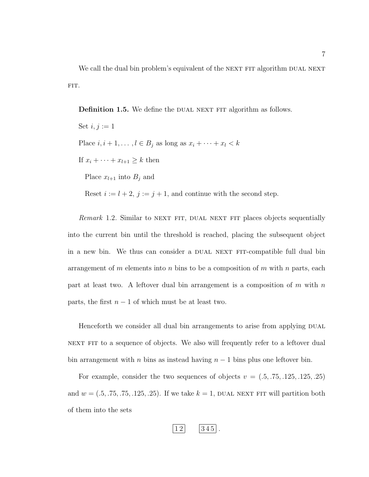We call the dual bin problem's equivalent of the NEXT FIT algorithm DUAL NEXT FIT.

**Definition 1.5.** We define the DUAL NEXT FIT algorithm as follows.

Set  $i, j := 1$ Place  $i, i + 1, \ldots, l \in B_j$  as long as  $x_i + \cdots + x_l < k$ If  $x_i + \cdots + x_{l+1} \geq k$  then Place  $x_{l+1}$  into  $B_j$  and

Reset  $i := l + 2$ ,  $j := j + 1$ , and continue with the second step.

Remark 1.2. Similar to NEXT FIT, DUAL NEXT FIT places objects sequentially into the current bin until the threshold is reached, placing the subsequent object in a new bin. We thus can consider a DUAL NEXT FIT-compatible full dual bin arrangement of m elements into n bins to be a composition of m with n parts, each part at least two. A leftover dual bin arrangement is a composition of  $m$  with  $n$ parts, the first  $n-1$  of which must be at least two.

Henceforth we consider all dual bin arrangements to arise from applying DUAL NEXT FIT to a sequence of objects. We also will frequently refer to a leftover dual bin arrangement with n bins as instead having  $n-1$  bins plus one leftover bin.

For example, consider the two sequences of objects  $v = (.5, .75, .125, .125, .25)$ and  $w = (.5, .75, .75, .125, .25)$ . If we take  $k = 1$ , DUAL NEXT FIT will partition both of them into the sets

$$
\boxed{12} \qquad \boxed{345} \ .
$$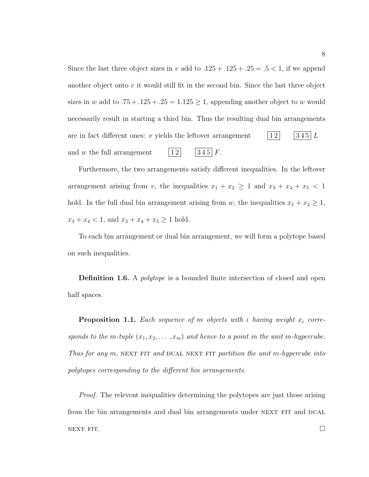Since the last three object sizes in v add to  $.125 + .125 + .25 = .5 < 1$ , if we append another object onto  $v$  it would still fit in the second bin. Since the last three object sizes in w add to  $.75 + .125 + .25 = 1.125 \ge 1$ , appending another object to w would necessarily result in starting a third bin. Thus the resulting dual bin arrangements are in fact different ones: v yields the leftover arrangement  $\begin{bmatrix} 1 & 2 \\ 3 & 45 \end{bmatrix}$   $L$ and w the full arrangement  $\vert 12 \vert$   $\vert 345 \vert F$ .

Furthermore, the two arrangements satisfy different inequalities. In the leftover arrangement arising from v, the inequalities  $x_1 + x_2 \ge 1$  and  $x_3 + x_4 + x_5 < 1$ hold. In the full dual bin arrangement arising from w, the inequalities  $x_1 + x_2 \ge 1$ ,  $x_3 + x_4 < 1$ , and  $x_3 + x_4 + x_5 \ge 1$  hold.

To each bin arrangement or dual bin arrangement, we will form a polytope based on such inequalities.

**Definition 1.6.** A *polytope* is a bounded finite intersection of closed and open half spaces.

**Proposition 1.1.** Each sequence of m objects with i having weight  $x_i$  corresponds to the m-tuple  $(x_1, x_2, \ldots, x_m)$  and hence to a point in the unit m-hypercube. Thus for any  $m$ , NEXT FIT and DUAL NEXT FIT partition the unit m-hypercube into polytopes corresponding to the different bin arrangements.

*Proof.* The relevent inequalities determining the polytopes are just those arising from the bin arrangements and dual bin arrangements under NEXT FIT and DUAL NEXT FIT.  $\Box$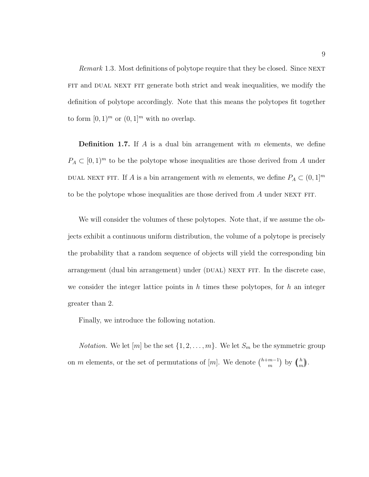Remark 1.3. Most definitions of polytope require that they be closed. Since NEXT FIT and DUAL NEXT FIT generate both strict and weak inequalities, we modify the definition of polytope accordingly. Note that this means the polytopes fit together to form  $[0, 1)^m$  or  $(0, 1]^m$  with no overlap.

**Definition 1.7.** If A is a dual bin arrangement with m elements, we define  $P_A \subset [0,1]^m$  to be the polytope whose inequalities are those derived from A under DUAL NEXT FIT. If A is a bin arrangement with m elements, we define  $P_A \subset (0,1]^m$ to be the polytope whose inequalities are those derived from  $A$  under NEXT FIT.

We will consider the volumes of these polytopes. Note that, if we assume the objects exhibit a continuous uniform distribution, the volume of a polytope is precisely the probability that a random sequence of objects will yield the corresponding bin arrangement (dual bin arrangement) under (DUAL) NEXT FIT. In the discrete case, we consider the integer lattice points in  $h$  times these polytopes, for  $h$  an integer greater than 2.

Finally, we introduce the following notation.

*Notation.* We let  $[m]$  be the set  $\{1, 2, ..., m\}$ . We let  $S_m$  be the symmetric group on m elements, or the set of permutations of  $[m]$ . We denote  $\binom{h+m-1}{m}$  by  $\binom{h}{m}$  $\binom{h}{m}$ .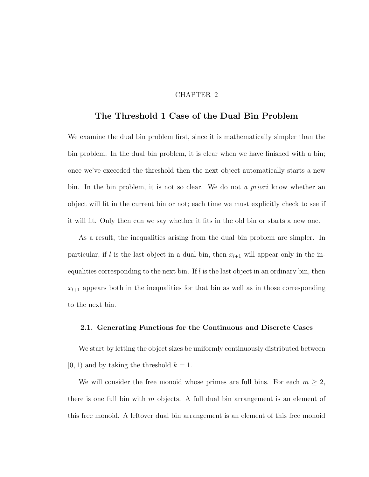#### CHAPTER 2

### **The Threshold 1 Case of the Dual Bin Problem**

We examine the dual bin problem first, since it is mathematically simpler than the bin problem. In the dual bin problem, it is clear when we have finished with a bin; once we've exceeded the threshold then the next object automatically starts a new bin. In the bin problem, it is not so clear. We do not a priori know whether an object will fit in the current bin or not; each time we must explicitly check to see if it will fit. Only then can we say whether it fits in the old bin or starts a new one.

As a result, the inequalities arising from the dual bin problem are simpler. In particular, if l is the last object in a dual bin, then  $x_{l+1}$  will appear only in the inequalities corresponding to the next bin. If  $l$  is the last object in an ordinary bin, then  $x_{l+1}$  appears both in the inequalities for that bin as well as in those corresponding to the next bin.

#### **2.1. Generating Functions for the Continuous and Discrete Cases**

We start by letting the object sizes be uniformly continuously distributed between  $[0, 1)$  and by taking the threshold  $k = 1$ .

We will consider the free monoid whose primes are full bins. For each  $m \geq 2$ , there is one full bin with  $m$  objects. A full dual bin arrangement is an element of this free monoid. A leftover dual bin arrangement is an element of this free monoid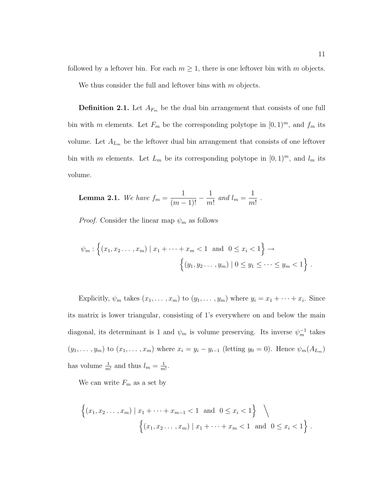followed by a leftover bin. For each  $m \geq 1$ , there is one leftover bin with m objects.

We thus consider the full and leftover bins with  $m$  objects.

**Definition 2.1.** Let  $A_{F_m}$  be the dual bin arrangement that consists of one full bin with m elements. Let  $F_m$  be the corresponding polytope in  $[0, 1)^m$ , and  $f_m$  its volume. Let  $A_{L_m}$  be the leftover dual bin arrangement that consists of one leftover bin with m elements. Let  $L_m$  be its corresponding polytope in  $[0, 1)^m$ , and  $l_m$  its volume.

**Lemma 2.1.** We have 
$$
f_m = \frac{1}{(m-1)!} - \frac{1}{m!}
$$
 and  $l_m = \frac{1}{m!}$ .

*Proof.* Consider the linear map  $\psi_m$  as follows

$$
\psi_m : \left\{ (x_1, x_2, ..., x_m) \mid x_1 + \dots + x_m < 1 \text{ and } 0 \le x_i < 1 \right\} \to
$$
\n
$$
\left\{ (y_1, y_2, ..., y_m) \mid 0 \le y_1 \le \dots \le y_m < 1 \right\}.
$$

Explicitly,  $\psi_m$  takes  $(x_1, \ldots, x_m)$  to  $(y_1, \ldots, y_m)$  where  $y_i = x_1 + \cdots + x_i$ . Since its matrix is lower triangular, consisting of 1's everywhere on and below the main diagonal, its determinant is 1 and  $\psi_m$  is volume preserving. Its inverse  $\psi_m^{-1}$  takes  $(y_1, ..., y_m)$  to  $(x_1, ..., x_m)$  where  $x_i = y_i - y_{i-1}$  (letting  $y_0 = 0$ ). Hence  $\psi_m(A_{L_m})$ has volume  $\frac{1}{m!}$  and thus  $l_m = \frac{1}{m!}$ .

We can write  $F_m$  as a set by

$$
\left\{ (x_1, x_2, \dots, x_m) \mid x_1 + \dots + x_{m-1} < 1 \text{ and } 0 \le x_i < 1 \right\} \setminus \left\{ (x_1, x_2, \dots, x_m) \mid x_1 + \dots + x_m < 1 \text{ and } 0 \le x_i < 1 \right\}.
$$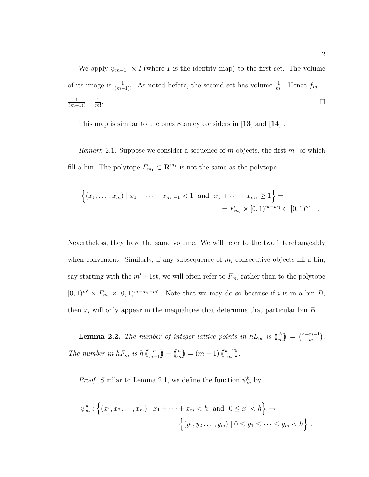We apply  $\psi_{m-1} \times I$  (where *I* is the identity map) to the first set. The volume of its image is  $\frac{1}{(m-1)!}$ . As noted before, the second set has volume  $\frac{1}{m!}$ . Hence  $f_m =$  $\frac{1}{(m-1)!} - \frac{1}{m!}$ .

This map is similar to the ones Stanley considers in [**13**] and [**14**] .

*Remark* 2.1. Suppose we consider a sequence of m objects, the first  $m_1$  of which fill a bin. The polytope  $F_{m_1} \subset \mathbb{R}^{m_1}$  is not the same as the polytope

$$
\{(x_1, \ldots, x_m) \mid x_1 + \cdots + x_{m_1 - 1} < 1 \text{ and } x_1 + \cdots + x_{m_1} \ge 1\} =
$$
  
=  $F_{m_1} \times [0, 1)^{m - m_1} \subset [0, 1)^m$ .

Nevertheless, they have the same volume. We will refer to the two interchangeably when convenient. Similarly, if any subsequence of  $m_i$  consecutive objects fill a bin, say starting with the  $m' + 1$ st, we will often refer to  $F_{m_i}$  rather than to the polytope  $[0,1)^{m'} \times F_{m_i} \times [0,1)^{m-m_i-m'}$ . Note that we may do so because if i is in a bin B, then  $x_i$  will only appear in the inequalities that determine that particular bin  $B$ .

**Lemma 2.2.** The number of integer lattice points in  $hL_m$  is  $\binom{h}{m}$  $\binom{h}{m} = \binom{h+m-1}{m}.$ The number in  $hF_m$  is  $h\binom{h}{m-1}$  $\binom{h}{m-1} - \binom{h}{m}$  $\binom{h}{m} = (m-1) \binom{h-1}{m}.$ 

*Proof.* Similar to Lemma 2.1, we define the function  $\psi_m^h$  by

$$
\psi_m^h : \left\{ (x_1, x_2, ..., x_m) \mid x_1 + \dots + x_m < h \text{ and } 0 \le x_i < h \right\} \to
$$
\n
$$
\left\{ (y_1, y_2, ..., y_m) \mid 0 \le y_1 \le \dots \le y_m < h \right\} \, .
$$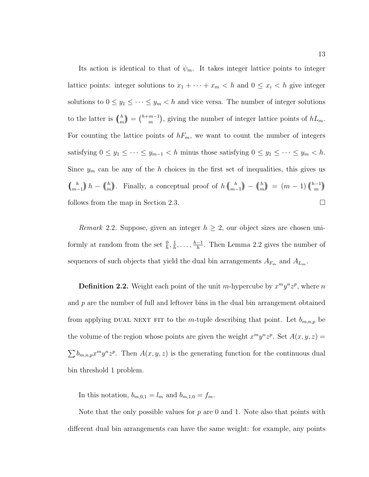Its action is identical to that of  $\psi_m$ . It takes integer lattice points to integer lattice points: integer solutions to  $x_1 + \cdots + x_m < h$  and  $0 \le x_i < h$  give integer solutions to  $0 \le y_1 \le \cdots \le y_m < h$  and vice versa. The number of integer solutions to the latter is  $\binom{h}{m}$  $\binom{h}{m} = \binom{h+m-1}{m}$ , giving the number of integer lattice points of  $hL_m$ . For counting the lattice points of  $hF_m$ , we want to count the number of integers satisfying  $0 \le y_1 \le \cdots \le y_{m-1} < h$  minus those satisfying  $0 \le y_1 \le \cdots \le y_m < h$ . Since  $y_m$  can be any of the h choices in the first set of inequalities, this gives us  $\binom{h}{m}$  $\binom{h}{m-1}$   $h - \binom{h}{m}$  $\binom{h}{m}$ . Finally, a conceptual proof of  $h\binom{h}{m}$ .  $\binom{h}{m-1}$  –  $\binom{h}{m}$  $\binom{h}{m} = (m-1) \binom{h-1}{m}$ follows from the map in Section 2.3.

*Remark* 2.2. Suppose, given an integer  $h \geq 2$ , our object sizes are chosen uniformly at random from the set  $\frac{0}{h}, \frac{1}{h}, \ldots, \frac{h-1}{h}$ . Then Lemma 2.2 gives the number of sequences of such objects that yield the dual bin arrangements  $A_{F_m}$  and  $A_{L_m}$ .

**Definition 2.2.** Weight each point of the unit m-hypercube by  $x^m y^n z^p$ , where n and  $p$  are the number of full and leftover bins in the dual bin arrangement obtained from applying DUAL NEXT FIT to the m-tuple describing that point. Let  $b_{m,n,p}$  be the volume of the region whose points are given the weight  $x^m y^n z^p$ . Set  $A(x, y, z) =$  $\sum b_{m,n,p}x^my^nz^p$ . Then  $A(x, y, z)$  is the generating function for the continuous dual bin threshold 1 problem.

In this notation,  $b_{m,0,1} = l_m$  and  $b_{m,1,0} = f_m$ .

Note that the only possible values for  $p$  are 0 and 1. Note also that points with different dual bin arrangements can have the same weight: for example, any points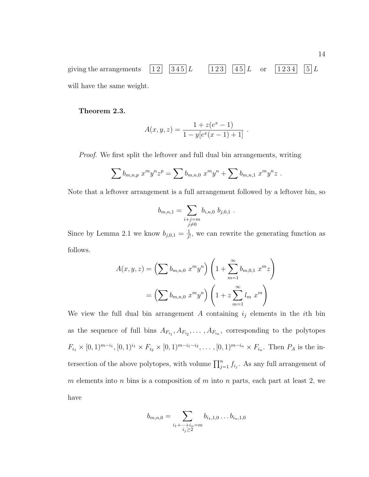giving the arrangements  $\begin{bmatrix} 1 & 2 \\ 3 & 4 & 5 \end{bmatrix}$   $L$  123  $\begin{bmatrix} 4 & 5 \\ 4 & 5 \end{bmatrix}$  or  $\begin{bmatrix} 1 & 2 & 3 & 4 \\ 5 & 1 & 2 & 3 \end{bmatrix}$ will have the same weight.

#### **Theorem 2.3.**

$$
A(x, y, z) = \frac{1 + z(e^x - 1)}{1 - y[e^x(x - 1) + 1]}.
$$

Proof. We first split the leftover and full dual bin arrangements, writing

$$
\sum b_{m,n,p} x^m y^n z^p = \sum b_{m,n,0} x^m y^n + \sum b_{m,n,1} x^m y^n z.
$$

Note that a leftover arrangement is a full arrangement followed by a leftover bin, so

$$
b_{m,n,1} = \sum_{\substack{i+j=m\\j\neq 0}} b_{i,n,0} b_{j,0,1} .
$$

Since by Lemma 2.1 we know  $b_{j,0,1} = \frac{1}{j!}$ , we can rewrite the generating function as follows.

$$
A(x, y, z) = \left(\sum b_{m,n,0} x^m y^n\right) \left(1 + \sum_{m=1}^{\infty} b_{m,0,1} x^m z\right)
$$
  
=  $\left(\sum b_{m,n,0} x^m y^n\right) \left(1 + z \sum_{m=1}^{\infty} l_m x^m\right)$ 

We view the full dual bin arrangement  $A$  containing  $i_j$  elements in the *i*th bin as the sequence of full bins  $A_{F_{i_1}}, A_{F_{i_2}}, \ldots, A_{F_{i_n}}$ , corresponding to the polytopes  $F_{i_1} \times [0, 1)^{m-i_1}$ ,  $[0, 1)^{i_1} \times F_{i_2} \times [0, 1)^{m-i_1-i_2}$ , ...,  $[0, 1)^{m-i_n} \times F_{i_n}$ . Then  $P_A$  is the intersection of the above polytopes, with volume  $\prod_{j=1}^{n} f_{i_j}$ . As any full arrangement of m elements into n bins is a composition of m into n parts, each part at least 2, we have

$$
b_{m,n,0} = \sum_{\substack{i_1 + \dots + i_n = m \\ i_j \ge 2}} b_{i_1,1,0} \dots b_{i_n,1,0}
$$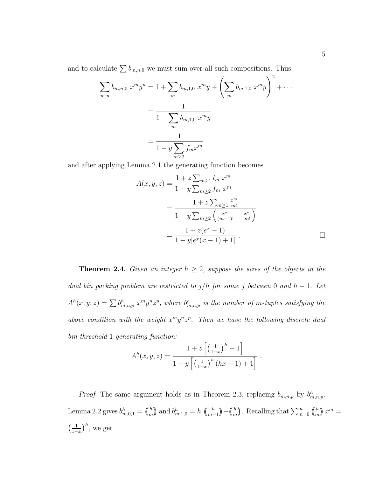and to calculate  $\sum b_{m,n,0}$  we must sum over all such compositions. Thus

$$
\sum_{m,n} b_{m,n,0} x^m y^n = 1 + \sum_m b_{m,1,0} x^m y + \left(\sum_m b_{m,1,0} x^m y\right)^2 + \cdots
$$

$$
= \frac{1}{1 - \sum_m b_{m,1,0} x^m y}
$$

$$
= \frac{1}{1 - y \sum_{m \ge 2} f_m x^m}
$$

and after applying Lemma 2.1 the generating function becomes

$$
A(x, y, z) = \frac{1 + z \sum_{m \geq 1} l_m x^m}{1 - y \sum_{m \geq 2} f_m x^m}
$$
  
= 
$$
\frac{1 + z \sum_{m \geq 1} \frac{x^m}{m!}}{1 - y \sum_{m \geq 2} \left(\frac{x^m}{(m-1)!} - \frac{x^m}{m!}\right)}
$$
  
= 
$$
\frac{1 + z(e^x - 1)}{1 - y[e^x(x - 1) + 1]}.
$$

**Theorem 2.4.** Given an integer  $h \geq 2$ , suppose the sizes of the objects in the dual bin packing problem are restricted to  $j/h$  for some j between 0 and  $h-1$ . Let  $A^h(x, y, z) = \sum b^h_{m,n,p} x^m y^n z^p$ , where  $b^h_{m,n,p}$  is the number of m-tuples satisfying the above condition with the weight  $x^m y^n z^p$ . Then we have the following discrete dual bin threshold 1 generating function:

$$
A^{h}(x, y, z) = \frac{1 + z \left[ \left( \frac{1}{1-x} \right)^{h} - 1 \right]}{1 - y \left[ \left( \frac{1}{1-x} \right)^{h} \left( hx - 1 \right) + 1 \right]}.
$$

*Proof.* The same argument holds as in Theorem 2.3, replacing  $b_{m,n,p}$  by  $b_{m,n,p}^h$ . Lemma 2.2 gives  $b_{m,0,1}^h = \binom{h}{m}$  $\binom{h}{m}$  and  $b^h_{m,1,0} = h$   $\binom{h}{m-1}$  $\binom{h}{m-1}$  –  $\binom{h}{m}$  $\binom{h}{m}$ . Recalling that  $\sum_{m=0}^{\infty} \binom{h}{m}$  $\binom{h}{m} x^m =$  $\left(\frac{1}{1}\right)$  $\frac{1}{1-x}\Big)^h$ , we get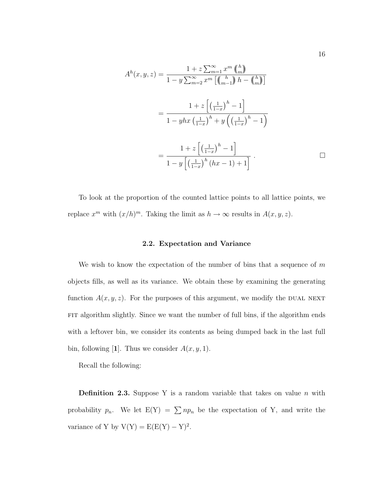$$
A^{h}(x, y, z) = \frac{1 + z \sum_{m=1}^{\infty} x^{m} {h \choose m}}{1 - y \sum_{m=2}^{\infty} x^{m} \left[ {h \choose m-1} h - {h \choose m} \right]}
$$
  
= 
$$
\frac{1 + z \left[ \left( \frac{1}{1 - x} \right)^{h} - 1 \right]}{1 - y h x \left( \frac{1}{1 - x} \right)^{h} + y \left( \left( \frac{1}{1 - x} \right)^{h} - 1 \right)}
$$
  
= 
$$
\frac{1 + z \left[ \left( \frac{1}{1 - x} \right)^{h} - 1 \right]}{1 - y \left[ \left( \frac{1}{1 - x} \right)^{h} (h x - 1) + 1 \right]}.
$$

To look at the proportion of the counted lattice points to all lattice points, we replace  $x^m$  with  $(x/h)^m$ . Taking the limit as  $h \to \infty$  results in  $A(x, y, z)$ .

#### **2.2. Expectation and Variance**

We wish to know the expectation of the number of bins that a sequence of  $m$ objects fills, as well as its variance. We obtain these by examining the generating function  $A(x, y, z)$ . For the purposes of this argument, we modify the DUAL NEXT FIT algorithm slightly. Since we want the number of full bins, if the algorithm ends with a leftover bin, we consider its contents as being dumped back in the last full bin, following [1]. Thus we consider  $A(x, y, 1)$ .

Recall the following:

**Definition 2.3.** Suppose Y is a random variable that takes on value  $n$  with probability  $p_n$ . We let  $E(Y) = \sum n p_n$  be the expectation of Y, and write the variance of Y by  $V(Y) = E(E(Y) - Y)^2$ .

16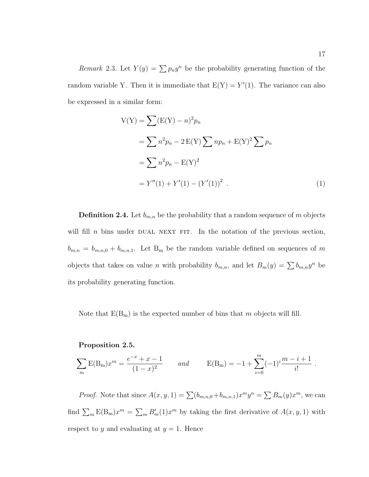Remark 2.3. Let  $Y(y) = \sum p_n y^n$  be the probability generating function of the random variable Y. Then it is immediate that  $E(Y) = Y'(1)$ . The variance can also be expressed in a similar form:

$$
V(Y) = \sum (E(Y) - n)^2 p_n
$$
  
=  $\sum n^2 p_n - 2 E(Y) \sum n p_n + E(Y)^2 \sum p_n$   
=  $\sum n^2 p_n - E(Y)^2$   
=  $Y''(1) + Y'(1) - (Y'(1))^2$ . (1)

**Definition 2.4.** Let  $b_{m,n}$  be the probability that a random sequence of m objects will fill n bins under DUAL NEXT FIT. In the notation of the previous section,  $b_{m,n} = b_{m,n,0} + b_{m,n,1}$ . Let B<sub>m</sub> be the random variable defined on sequences of m objects that takes on value *n* with probability  $b_{m,n}$ , and let  $B_m(y) = \sum b_{m,n}y^n$  be its probability generating function.

Note that  $E(B_m)$  is the expected number of bins that m objects will fill.

#### **Proposition 2.5.**

$$
\sum_{m} E(B_m) x^m = \frac{e^{-x} + x - 1}{(1 - x)^2} \quad and \quad E(B_m) = -1 + \sum_{i=0}^{m} (-1)^i \frac{m - i + 1}{i!}.
$$

*Proof.* Note that since  $A(x, y, 1) = \sum (b_{m,n,0} + b_{m,n,1})x^m y^n = \sum B_m(y)x^m$ , we can find  $\sum_{m} \mathbb{E}(\mathbf{B}_{m})x^{m} = \sum_{m} B'_{m}(1)x^{m}$  by taking the first derivative of  $A(x, y, 1)$  with respect to y and evaluating at  $y = 1$ . Hence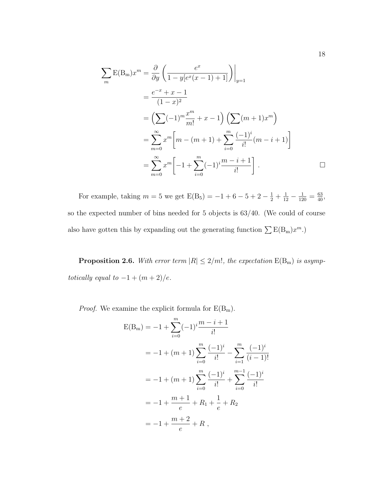$$
\sum_{m} \mathbf{E}(\mathbf{B}_{m})x^{m} = \frac{\partial}{\partial y} \left( \frac{e^{x}}{1 - y[e^{x}(x - 1) + 1]} \right) \Big|_{y=1}
$$
  
\n
$$
= \frac{e^{-x} + x - 1}{(1 - x)^{2}}
$$
  
\n
$$
= \left( \sum (-1)^{m} \frac{x^{m}}{m!} + x - 1 \right) \left( \sum (m + 1)x^{m} \right)
$$
  
\n
$$
= \sum_{m=0}^{\infty} x^{m} \left[ m - (m + 1) + \sum_{i=0}^{m} \frac{(-1)^{i}}{i!} (m - i + 1) \right]
$$
  
\n
$$
= \sum_{m=0}^{\infty} x^{m} \left[ -1 + \sum_{i=0}^{m} (-1)^{i} \frac{m - i + 1}{i!} \right].
$$

For example, taking  $m = 5$  we get  $E(B_5) = -1 + 6 - 5 + 2 - \frac{1}{2} + \frac{1}{12} - \frac{1}{120} = \frac{63}{40}$ , so the expected number of bins needed for 5 objects is 63/40. (We could of course also have gotten this by expanding out the generating function  $\sum E(B_m)x^m$ .)

**Proposition 2.6.** With error term  $|R| \leq 2/m!$ , the expectation  $E(B_m)$  is asymptotically equal to  $-1+(m+2)/e$ .

 $Proof.$  We examine the explicit formula for  $\rm E(B_m).$ 

$$
E(B_m) = -1 + \sum_{i=0}^{m} (-1)^i \frac{m - i + 1}{i!}
$$
  
= -1 + (m + 1)  $\sum_{i=0}^{m} \frac{(-1)^i}{i!} - \sum_{i=1}^{m} \frac{(-1)^i}{(i-1)!}$   
= -1 + (m + 1)  $\sum_{i=0}^{m} \frac{(-1)^i}{i!} + \sum_{i=0}^{m-1} \frac{(-1)^i}{i!}$   
= -1 +  $\frac{m + 1}{e}$  + R<sub>1</sub> +  $\frac{1}{e}$  + R<sub>2</sub>  
= -1 +  $\frac{m + 2}{e}$  + R,

18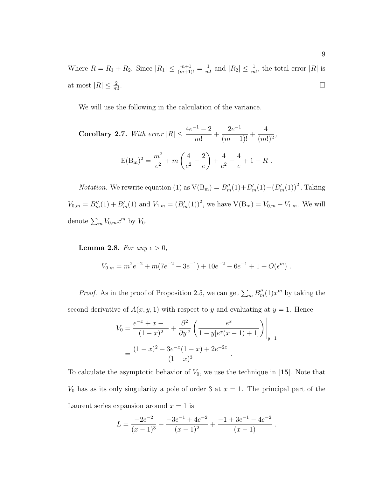Where  $R = R_1 + R_2$ . Since  $|R_1| \leq \frac{m+1}{(m+1)!} = \frac{1}{m!}$  and  $|R_2| \leq \frac{1}{m!}$ , the total error  $|R|$  is at most  $|R| \leq \frac{2}{m!}$ . В последните поставите на селото на селото на селото на селото на селото на селото на селото на селото на се<br>Селото на селото на селото на селото на селото на селото на селото на селото на селото на селото на селото на

We will use the following in the calculation of the variance.

Corollary 2.7. With error 
$$
|R| \le \frac{4e^{-1} - 2}{m!} + \frac{2e^{-1}}{(m-1)!} + \frac{4}{(m!)^2}
$$
,  

$$
E(B_m)^2 = \frac{m^2}{e^2} + m\left(\frac{4}{e^2} - \frac{2}{e}\right) + \frac{4}{e^2} - \frac{4}{e} + 1 + R
$$
.

*Notation*. We rewrite equation (1) as  $V(B_m) = B_m''(1) + B_m'(1) - (B_m'(1))^2$ . Taking  $V_{0,m} = B''_m(1) + B'_m(1)$  and  $V_{1,m} = (B'_m(1))^2$ , we have  $V(B_m) = V_{0,m} - V_{1,m}$ . We will denote  $\sum_{m} V_{0,m} x^m$  by  $V_0$ .

**Lemma 2.8.** For any  $\epsilon > 0$ ,

$$
V_{0,m} = m^2 e^{-2} + m(7e^{-2} - 3e^{-1}) + 10e^{-2} - 6e^{-1} + 1 + O(\epsilon^m) .
$$

*Proof.* As in the proof of Proposition 2.5, we can get  $\sum_m B''_m(1)x^m$  by taking the second derivative of  $A(x, y, 1)$  with respect to y and evaluating at  $y = 1$ . Hence

$$
V_0 = \frac{e^{-x} + x - 1}{(1 - x)^2} + \frac{\partial^2}{\partial y^2} \left( \frac{e^x}{1 - y[e^x(x - 1) + 1]} \right) \Big|_{y=1}
$$
  
= 
$$
\frac{(1 - x)^2 - 3e^{-x}(1 - x) + 2e^{-2x}}{(1 - x)^3}.
$$

To calculate the asymptotic behavior of  $V_0$ , we use the technique in [15]. Note that  $V_0$  has as its only singularity a pole of order 3 at  $x = 1$ . The principal part of the Laurent series expansion around  $x = 1$  is

$$
L = \frac{-2e^{-2}}{(x-1)^3} + \frac{-3e^{-1} + 4e^{-2}}{(x-1)^2} + \frac{-1 + 3e^{-1} - 4e^{-2}}{(x-1)}.
$$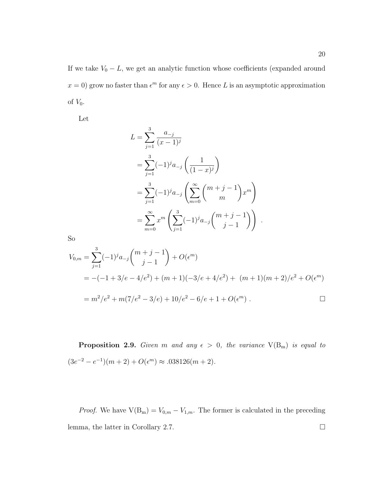If we take  $V_0 - L$ , we get an analytic function whose coefficients (expanded around  $x = 0$ ) grow no faster than  $\epsilon^m$  for any  $\epsilon > 0$ . Hence L is an asymptotic approximation of  $V_0$ .

Let

$$
L = \sum_{j=1}^{3} \frac{a_{-j}}{(x-1)^j}
$$
  
= 
$$
\sum_{j=1}^{3} (-1)^j a_{-j} \left( \frac{1}{(1-x)^j} \right)
$$
  
= 
$$
\sum_{j=1}^{3} (-1)^j a_{-j} \left( \sum_{m=0}^{\infty} {m+j-1 \choose m} x^m \right)
$$
  
= 
$$
\sum_{m=0}^{\infty} x^m \left( \sum_{j=1}^{3} (-1)^j a_{-j} {m+j-1 \choose j-1} \right)
$$

.

So

$$
V_{0,m} = \sum_{j=1}^{3} (-1)^{j} a_{-j} {m+j-1 \choose j-1} + O(\epsilon^{m})
$$
  
= -(-1+3/e-4/e<sup>2</sup>) + (m+1)(-3/e+4/e<sup>2</sup>) + (m+1)(m+2)/e<sup>2</sup> + O(\epsilon^{m})  
= m<sup>2</sup>/e<sup>2</sup> + m(7/e<sup>2</sup> - 3/e) + 10/e<sup>2</sup> - 6/e + 1 + O(\epsilon^{m}).

**Proposition 2.9.** Given m and any  $\epsilon > 0$ , the variance  $V(B_m)$  is equal to  $(3e^{-2} - e^{-1})(m + 2) + O(\epsilon^m) \approx .038126(m + 2).$ 

*Proof.* We have  $V(B_m) = V_{0,m} - V_{1,m}$ . The former is calculated in the preceding lemma, the latter in Corollary 2.7. □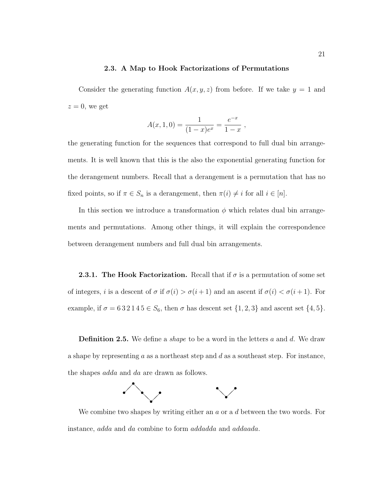#### **2.3. A Map to Hook Factorizations of Permutations**

Consider the generating function  $A(x, y, z)$  from before. If we take  $y = 1$  and  $z = 0$ , we get

$$
A(x, 1, 0) = \frac{1}{(1-x)e^x} = \frac{e^{-x}}{1-x},
$$

the generating function for the sequences that correspond to full dual bin arrangements. It is well known that this is the also the exponential generating function for the derangement numbers. Recall that a derangement is a permutation that has no fixed points, so if  $\pi \in S_n$  is a derangement, then  $\pi(i) \neq i$  for all  $i \in [n]$ .

In this section we introduce a transformation  $\phi$  which relates dual bin arrangements and permutations. Among other things, it will explain the correspondence between derangement numbers and full dual bin arrangements.

**2.3.1. The Hook Factorization.** Recall that if  $\sigma$  is a permutation of some set of integers, *i* is a descent of  $\sigma$  if  $\sigma(i) > \sigma(i+1)$  and an ascent if  $\sigma(i) < \sigma(i+1)$ . For example, if  $\sigma = 632145 \in S_6$ , then  $\sigma$  has descent set  $\{1, 2, 3\}$  and ascent set  $\{4, 5\}$ .

**Definition 2.5.** We define a *shape* to be a word in the letters a and d. We draw a shape by representing a as a northeast step and d as a southeast step. For instance, the shapes adda and da are drawn as follows.



We combine two shapes by writing either an  $a$  or a  $d$  between the two words. For instance, adda and da combine to form addadda and addaada.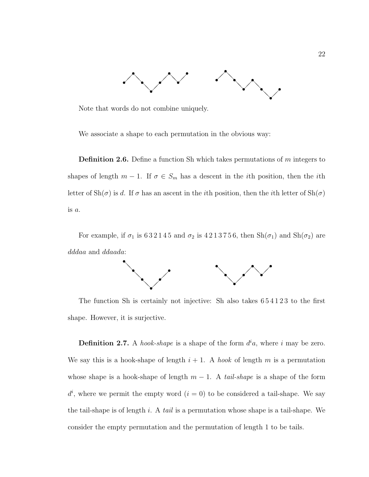

Note that words do not combine uniquely.

We associate a shape to each permutation in the obvious way:

**Definition 2.6.** Define a function Sh which takes permutations of m integers to shapes of length  $m-1$ . If  $\sigma \in S_m$  has a descent in the *i*th position, then the *i*th letter of  $\text{Sh}(\sigma)$  is d. If  $\sigma$  has an ascent in the *i*th position, then the *i*th letter of  $\text{Sh}(\sigma)$ is a.

For example, if  $\sigma_1$  is 632145 and  $\sigma_2$  is 4213756, then  $\text{Sh}(\sigma_1)$  and  $\text{Sh}(\sigma_2)$  are dddaa and ddaada:



The function Sh is certainly not injective: Sh also takes  $654123$  to the first shape. However, it is surjective.

**Definition 2.7.** A hook-shape is a shape of the form  $d^i a$ , where i may be zero. We say this is a hook-shape of length  $i + 1$ . A hook of length m is a permutation whose shape is a hook-shape of length  $m-1$ . A *tail-shape* is a shape of the form  $d^i$ , where we permit the empty word  $(i = 0)$  to be considered a tail-shape. We say the tail-shape is of length i. A tail is a permutation whose shape is a tail-shape. We consider the empty permutation and the permutation of length 1 to be tails.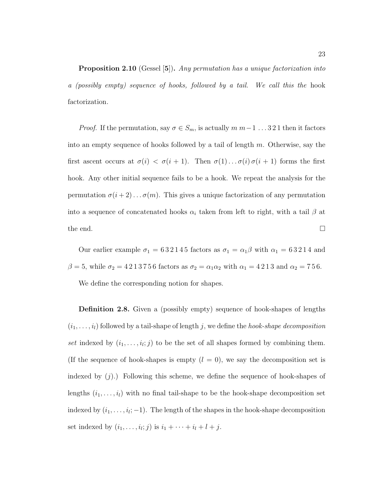**Proposition 2.10** (Gessel [5]). Any permutation has a unique factorization into a (possibly empty) sequence of hooks, followed by a tail. We call this the hook factorization.

*Proof.* If the permutation, say  $\sigma \in S_m$ , is actually  $m \, m-1 \, \dots \, 3 \, 2 \, 1$  then it factors into an empty sequence of hooks followed by a tail of length  $m$ . Otherwise, say the first ascent occurs at  $\sigma(i) < \sigma(i+1)$ . Then  $\sigma(1) \dots \sigma(i) \sigma(i+1)$  forms the first hook. Any other initial sequence fails to be a hook. We repeat the analysis for the permutation  $\sigma(i+2) \ldots \sigma(m)$ . This gives a unique factorization of any permutation into a sequence of concatenated hooks  $\alpha_i$  taken from left to right, with a tail  $\beta$  at the end.  $\square$ 

Our earlier example  $\sigma_1 = 632145$  factors as  $\sigma_1 = \alpha_1\beta$  with  $\alpha_1 = 63214$  and  $\beta = 5$ , while  $\sigma_2 = 4213756$  factors as  $\sigma_2 = \alpha_1 \alpha_2$  with  $\alpha_1 = 4213$  and  $\alpha_2 = 756$ . We define the corresponding notion for shapes.

**Definition 2.8.** Given a (possibly empty) sequence of hook-shapes of lengths  $(i_1,\ldots,i_l)$  followed by a tail-shape of length j, we define the hook-shape decomposition set indexed by  $(i_1,\ldots,i_l;j)$  to be the set of all shapes formed by combining them. (If the sequence of hook-shapes is empty  $(l = 0)$ , we say the decomposition set is indexed by  $(j)$ .) Following this scheme, we define the sequence of hook-shapes of lengths  $(i_1, \ldots, i_l)$  with no final tail-shape to be the hook-shape decomposition set indexed by  $(i_1,\ldots,i_l;-1)$ . The length of the shapes in the hook-shape decomposition set indexed by  $(i_1,\ldots,i_l;j)$  is  $i_1+\cdots+i_l+l+j$ .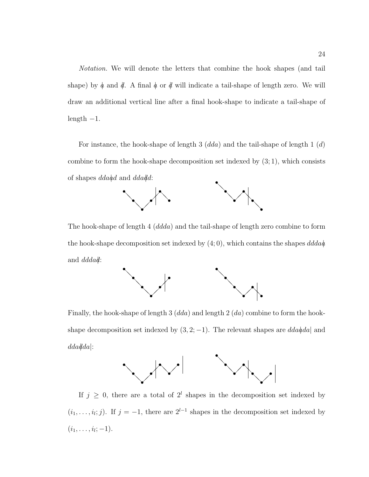Notation. We will denote the letters that combine the hook shapes (and tail shape) by  $\phi$  and  $\phi$ . A final  $\phi$  or  $\phi$  will indicate a tail-shape of length zero. We will draw an additional vertical line after a final hook-shape to indicate a tail-shape of length  $-1$ .

For instance, the hook-shape of length 3  $(dda)$  and the tail-shape of length 1  $(d)$ combine to form the hook-shape decomposition set indexed by  $(3;1)$ , which consists of shapes  $dda\ddot{a}d$  and  $dda\ddot{d}d$ :



The hook-shape of length 4 (ddda) and the tail-shape of length zero combine to form the hook-shape decomposition set indexed by  $(4, 0)$ , which contains the shapes  $ddda\phi$ and *dddad*:



Finally, the hook-shape of length 3  $(dda)$  and length 2  $(da)$  combine to form the hookshape decomposition set indexed by  $(3, 2, -1)$ . The relevant shapes are  $dda\ddot{a}da$  and  $dda|dda|$ :



If  $j \geq 0$ , there are a total of  $2^l$  shapes in the decomposition set indexed by  $(i_1,\ldots,i_l;j)$ . If  $j = -1$ , there are  $2^{l-1}$  shapes in the decomposition set indexed by  $(i_1, \ldots, i_l; -1).$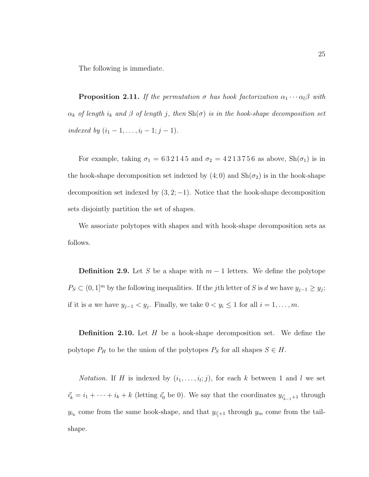The following is immediate.

**Proposition 2.11.** If the permutation  $\sigma$  has hook factorization  $\alpha_1 \cdots \alpha_l \beta$  with  $\alpha_k$  of length  $i_k$  and  $\beta$  of length j, then  $\text{Sh}(\sigma)$  is in the hook-shape decomposition set indexed by  $(i_1 - 1, \ldots, i_l - 1; j - 1)$ .

For example, taking  $\sigma_1 = 632145$  and  $\sigma_2 = 4213756$  as above,  $\text{Sh}(\sigma_1)$  is in the hook-shape decomposition set indexed by  $(4,0)$  and  $\text{Sh}(\sigma_2)$  is in the hook-shape decomposition set indexed by  $(3, 2, -1)$ . Notice that the hook-shape decomposition sets disjointly partition the set of shapes.

We associate polytopes with shapes and with hook-shape decomposition sets as follows.

**Definition 2.9.** Let S be a shape with  $m-1$  letters. We define the polytope  $P_S \subset (0,1]^m$  by the following inequalities. If the jth letter of S is d we have  $y_{j-1} \ge y_j$ ; if it is a we have  $y_{j-1} < y_j$ . Finally, we take  $0 < y_i \le 1$  for all  $i = 1, \ldots, m$ .

**Definition 2.10.** Let H be a hook-shape decomposition set. We define the polytope  $P_H$  to be the union of the polytopes  $P_S$  for all shapes  $S \in H$ .

*Notation.* If H is indexed by  $(i_1, \ldots, i_l; j)$ , for each k between 1 and l we set  $i'_{k} = i_{1} + \cdots + i_{k} + k$  (letting  $i'_{0}$  be 0). We say that the coordinates  $y_{i'_{k-1}+1}$  through  $y_{i_k}$  come from the same hook-shape, and that  $y_{i'_l+1}$  through  $y_m$  come from the tailshape.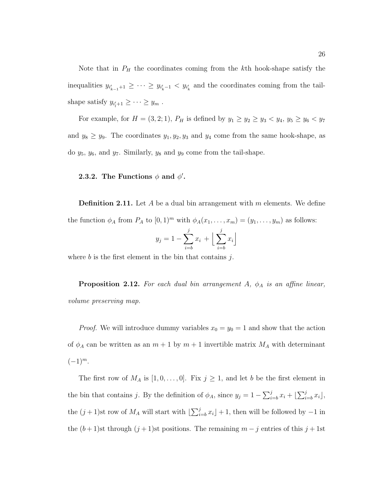Note that in  $P_H$  the coordinates coming from the k<sup>th</sup> hook-shape satisfy the inequalities  $y_{i'_{k-1}+1} \geq \cdots \geq y_{i'_{k}-1} < y_{i'_{k}}$  and the coordinates coming from the tailshape satisfy  $y_{i'_l+1} \geq \cdots \geq y_m$ .

For example, for  $H = (3, 2; 1)$ ,  $P_H$  is defined by  $y_1 \ge y_2 \ge y_3 < y_4$ ,  $y_5 \ge y_6 < y_7$ and  $y_8 \ge y_9$ . The coordinates  $y_1, y_2, y_3$  and  $y_4$  come from the same hook-shape, as do  $y_5$ ,  $y_6$ , and  $y_7$ . Similarly,  $y_8$  and  $y_9$  come from the tail-shape.

#### **2.3.2.** The Functions  $\phi$  and  $\phi'$ .

**Definition 2.11.** Let A be a dual bin arrangement with m elements. We define the function  $\phi_A$  from  $P_A$  to  $[0, 1)^m$  with  $\phi_A(x_1, \ldots, x_m)=(y_1, \ldots, y_m)$  as follows:

$$
y_j = 1 - \sum_{i=b}^{j} x_i + \left\lfloor \sum_{i=b}^{j} x_i \right\rfloor
$$

where  $b$  is the first element in the bin that contains  $i$ .

**Proposition 2.12.** For each dual bin arrangement  $A$ ,  $\phi_A$  is an affine linear, volume preserving map.

*Proof.* We will introduce dummy variables  $x_0 = y_0 = 1$  and show that the action of  $\phi_A$  can be written as an  $m+1$  by  $m+1$  invertible matrix  $M_A$  with determinant  $(-1)^m$ .

The first row of  $M_A$  is  $[1, 0, \ldots, 0]$ . Fix  $j \geq 1$ , and let b be the first element in the bin that contains j. By the definition of  $\phi_A$ , since  $y_j = 1 - \sum_{i=b}^{j} x_i + \lfloor \sum_{i=b}^{j} x_i \rfloor$ , the  $(j+1)$ st row of  $M_A$  will start with  $\left[\sum_{i=b}^{j} x_i\right] + 1$ , then will be followed by  $-1$  in the  $(b+1)$ st through  $(j+1)$ st positions. The remaining  $m-j$  entries of this  $j+1$ st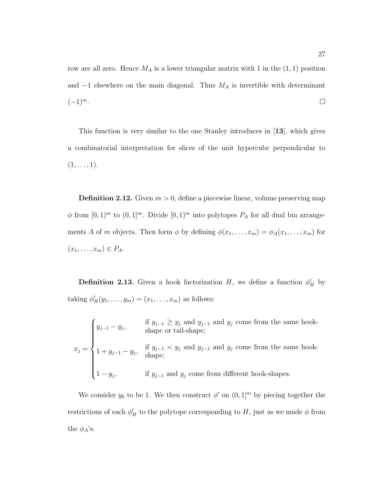row are all zero. Hence  $M_A$  is a lower triangular matrix with 1 in the  $(1, 1)$  position and  $-1$  elsewhere on the main diagonal. Thus  $M_A$  is invertible with determinant  $(-1)^m$ .

This function is very similar to the one Stanley introduces in [**13**], which gives a combinatorial interpretation for slices of the unit hypercube perpendicular to  $(1,\ldots, 1).$ 

**Definition 2.12.** Given  $m > 0$ , define a piecewise linear, volume preserving map  $\phi$  from  $[0,1)^m$  to  $(0,1]^m$ . Divide  $[0,1)^m$  into polytopes  $P_A$  for all dual bin arrangements A of m objects. Then form  $\phi$  by defining  $\phi(x_1,\ldots,x_m) = \phi_A(x_1,\ldots,x_m)$  for  $(x_1,\ldots,x_m)\in P_A.$ 

**Definition 2.13.** Given a hook factorization  $H$ , we define a function  $\phi'_H$  by taking  $\phi'_H(y_1,\ldots,y_m)=(x_1,\ldots,x_m)$  as follows:

 $x_j =$  $\sqrt{ }$  $\begin{array}{c} \end{array}$  $\begin{array}{c} \end{array}$  $y_{j-1} - y_j$ , if  $y_{j-1} \ge y_j$  and  $y_{j-1}$  and  $y_j$  come from the same hook-<br>shape or tail-shape;  $1 + y_{j-1} - y_j$ , if  $y_{j-1} < y_j$  and  $y_{j-1}$  and  $y_j$  come from the same hook-<br>shape;  $1 - y_j$ , if  $y_{j-1}$  and  $y_j$  come from different hook-shapes.

We consider  $y_0$  to be 1. We then construct  $\phi'$  on  $(0, 1]^m$  by piecing together the restrictions of each  $\phi'_H$  to the polytope corresponding to H, just as we made  $\phi$  from the  $\phi_A$ 's.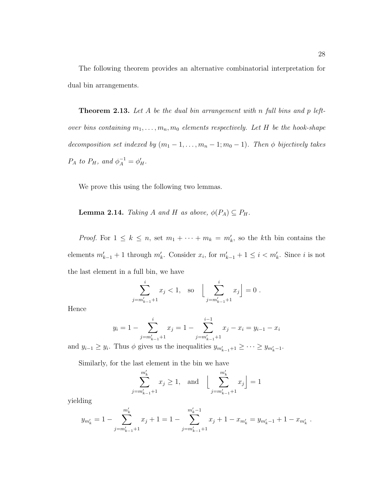The following theorem provides an alternative combinatorial interpretation for dual bin arrangements.

**Theorem 2.13.** Let A be the dual bin arrangement with n full bins and p leftover bins containing  $m_1, \ldots, m_n, m_0$  elements respectively. Let H be the hook-shape decomposition set indexed by  $(m_1 - 1, \ldots, m_n - 1; m_0 - 1)$ . Then  $\phi$  bijectively takes  $P_A$  to  $P_H$ , and  $\phi_A^{-1} = \phi_H'$ .

We prove this using the following two lemmas.

**Lemma 2.14.** Taking A and H as above,  $\phi(P_A) \subseteq P_H$ .

*Proof.* For  $1 \leq k \leq n$ , set  $m_1 + \cdots + m_k = m'_k$ , so the kth bin contains the elements  $m'_{k-1} + 1$  through  $m'_{k}$ . Consider  $x_i$ , for  $m'_{k-1} + 1 \leq i < m'_{k}$ . Since i is not the last element in a full bin, we have

$$
\sum_{j=m'_{k-1}+1}^{i} x_j < 1, \text{ so } \left[ \sum_{j=m'_{k-1}+1}^{i} x_j \right] = 0.
$$

Hence

$$
y_i = 1 - \sum_{j=m'_{k-1}+1}^{i} x_j = 1 - \sum_{j=m'_{k-1}+1}^{i-1} x_j - x_i = y_{i-1} - x_i
$$

and  $y_{i-1} \geq y_i$ . Thus  $\phi$  gives us the inequalities  $y_{m'_{k-1}+1} \geq \cdots \geq y_{m'_{k}-1}$ .

Similarly, for the last element in the bin we have

$$
\sum_{j=m'_{k-1}+1}^{m'_{k}} x_{j} \ge 1, \text{ and } \left\lfloor \sum_{j=m'_{k-1}+1}^{m'_{k}} x_{j} \right\rfloor = 1
$$

yielding

$$
y_{m'_{k}} = 1 - \sum_{j=m'_{k-1}+1}^{m'_{k}} x_{j} + 1 = 1 - \sum_{j=m'_{k-1}+1}^{m'_{k}-1} x_{j} + 1 - x_{m'_{k}} = y_{m'_{k}-1} + 1 - x_{m'_{k}}.
$$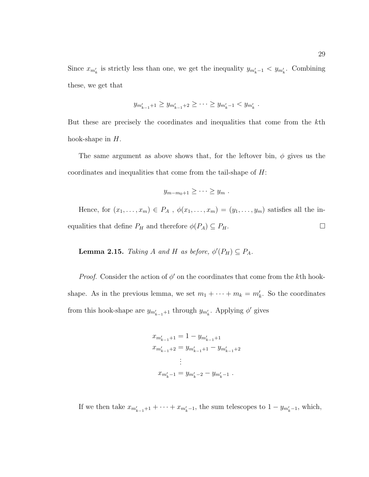Since  $x_{m'_k}$  is strictly less than one, we get the inequality  $y_{m'_k-1} < y_{m'_k}$ . Combining these, we get that

$$
y_{m'_{k-1}+1} \ge y_{m'_{k-1}+2} \ge \cdots \ge y_{m'_{k}-1} < y_{m'_{k}}.
$$

But these are precisely the coordinates and inequalities that come from the kth hook-shape in  $H$ .

The same argument as above shows that, for the leftover bin,  $\phi$  gives us the coordinates and inequalities that come from the tail-shape of H:

$$
y_{m-m_0+1}\geq\cdots\geq y_m.
$$

Hence, for  $(x_1,...,x_m) \in P_A$ ,  $\phi(x_1,...,x_m)=(y_1,...,y_m)$  satisfies all the inequalities that define  $P_H$  and therefore  $\phi(P_A) \subseteq P_H$ .

**Lemma 2.15.** Taking A and H as before,  $\phi'(P_H) \subseteq P_A$ .

*Proof.* Consider the action of  $\phi'$  on the coordinates that come from the kth hookshape. As in the previous lemma, we set  $m_1 + \cdots + m_k = m'_k$ . So the coordinates from this hook-shape are  $y_{m'_{k-1}+1}$  through  $y_{m'_{k}}$ . Applying  $\phi'$  gives

$$
x_{m'_{k-1}+1} = 1 - y_{m'_{k-1}+1}
$$
  
\n
$$
x_{m'_{k-1}+2} = y_{m'_{k-1}+1} - y_{m'_{k-1}+2}
$$
  
\n
$$
\vdots
$$
  
\n
$$
x_{m'_{k}-1} = y_{m'_{k}-2} - y_{m'_{k}-1}
$$

If we then take  $x_{m'_{k-1}+1} + \cdots + x_{m'_{k}-1}$ , the sum telescopes to  $1 - y_{m'_{k}-1}$ , which,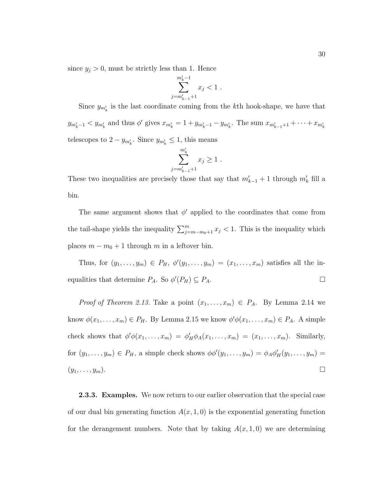since  $y_j > 0$ , must be strictly less than 1. Hence

$$
\sum_{j=m'_{k-1}+1}^{m'_k-1} x_j < 1.
$$

Since  $y_{m'_k}$  is the last coordinate coming from the k<sup>th</sup> hook-shape, we have that

 $y_{m'_k-1} < y_{m'_k}$  and thus  $\phi'$  gives  $x_{m'_k} = 1 + y_{m'_k-1} - y_{m'_k}$ . The sum  $x_{m'_{k-1}+1} + \cdots + x_{m'_k}$ telescopes to  $2 - y_{m'_k}$ . Since  $y_{m'_k} \le 1$ , this means

$$
\sum_{j=m'_{k-1}+1}^{m'_k} x_j \ge 1.
$$

These two inequalities are precisely those that say that  $m'_{k-1} + 1$  through  $m'_{k}$  fill a bin.

The same argument shows that  $\phi'$  applied to the coordinates that come from the tail-shape yields the inequality  $\sum_{j=m-m_0+1}^{m} x_j < 1$ . This is the inequality which places  $m - m_0 + 1$  through m in a leftover bin.

Thus, for  $(y_1, \ldots, y_m) \in P_H$ ,  $\phi'(y_1, \ldots, y_m) = (x_1, \ldots, x_m)$  satisfies all the inequalities that determine  $P_A$ . So  $\phi'(P_H) \subseteq P_A$ .

*Proof of Theorem 2.13.* Take a point  $(x_1,...,x_m) \in P_A$ . By Lemma 2.14 we know  $\phi(x_1,\ldots,x_m) \in P_H$ . By Lemma 2.15 we know  $\phi' \phi(x_1,\ldots,x_m) \in P_A$ . A simple check shows that  $\phi'\phi(x_1,\ldots,x_m) = \phi'_H\phi_A(x_1,\ldots,x_m) = (x_1,\ldots,x_m)$ . Similarly, for  $(y_1, \ldots, y_m) \in P_H$ , a simple check shows  $\phi \phi'(y_1, \ldots, y_m) = \phi_A \phi'_H(y_1, \ldots, y_m) =$  $(y_1,\ldots,y_m).$ 

**2.3.3. Examples.** We now return to our earlier observation that the special case of our dual bin generating function  $A(x, 1, 0)$  is the exponential generating function for the derangement numbers. Note that by taking  $A(x, 1, 0)$  we are determining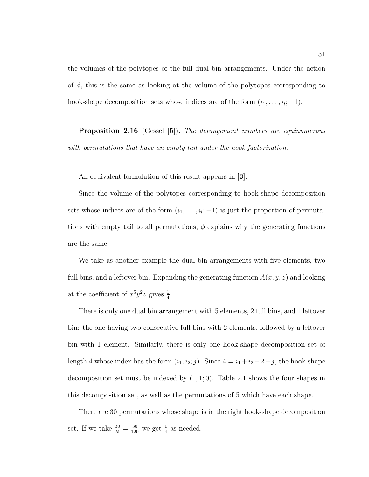the volumes of the polytopes of the full dual bin arrangements. Under the action of  $\phi$ , this is the same as looking at the volume of the polytopes corresponding to hook-shape decomposition sets whose indices are of the form  $(i_1, \ldots, i_l; -1)$ .

**Proposition 2.16** (Gessel [**5**])**.** The derangement numbers are equinumerous with permutations that have an empty tail under the hook factorization.

An equivalent formulation of this result appears in [**3**].

Since the volume of the polytopes corresponding to hook-shape decomposition sets whose indices are of the form  $(i_1,\ldots,i_l;-1)$  is just the proportion of permutations with empty tail to all permutations,  $\phi$  explains why the generating functions are the same.

We take as another example the dual bin arrangements with five elements, two full bins, and a leftover bin. Expanding the generating function  $A(x, y, z)$  and looking at the coefficient of  $x^5y^2z$  gives  $\frac{1}{4}$ .

There is only one dual bin arrangement with 5 elements, 2 full bins, and 1 leftover bin: the one having two consecutive full bins with 2 elements, followed by a leftover bin with 1 element. Similarly, there is only one hook-shape decomposition set of length 4 whose index has the form  $(i_1, i_2; j)$ . Since  $4 = i_1 + i_2 + 2 + j$ , the hook-shape decomposition set must be indexed by  $(1, 1; 0)$ . Table 2.1 shows the four shapes in this decomposition set, as well as the permutations of 5 which have each shape.

There are 30 permutations whose shape is in the right hook-shape decomposition set. If we take  $\frac{30}{5!} = \frac{30}{120}$  we get  $\frac{1}{4}$  as needed.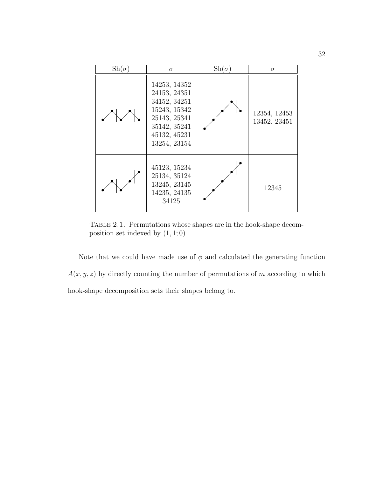| $\mathrm{Sh}(\sigma)$ | $\sigma$                                                                                                                     | $\mathrm{Sh}(\sigma)$ | $\sigma$                     |
|-----------------------|------------------------------------------------------------------------------------------------------------------------------|-----------------------|------------------------------|
|                       | 14253, 14352<br>24153, 24351<br>34152, 34251<br>15243, 15342<br>25143, 25341<br>35142, 35241<br>45132, 45231<br>13254, 23154 |                       | 12354, 12453<br>13452, 23451 |
|                       | 45123, 15234<br>25134, 35124<br>13245, 23145<br>14235, 24135<br>34125                                                        |                       | 12345                        |

TABLE 2.1. Permutations whose shapes are in the hook-shape decomposition set indexed by  $(1, 1; 0)$ 

Note that we could have made use of  $\phi$  and calculated the generating function  $A(x, y, z)$  by directly counting the number of permutations of m according to which hook-shape decomposition sets their shapes belong to.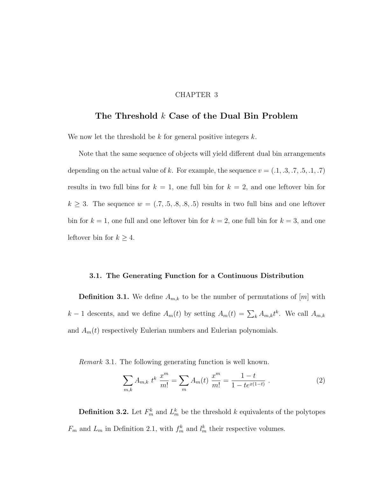### CHAPTER 3

# **The Threshold** k **Case of the Dual Bin Problem**

We now let the threshold be  $k$  for general positive integers  $k$ .

Note that the same sequence of objects will yield different dual bin arrangements depending on the actual value of k. For example, the sequence  $v = (0.1, 0.3, 0.7, 0.5, 0.1, 0.7)$ results in two full bins for  $k = 1$ , one full bin for  $k = 2$ , and one leftover bin for  $k \geq 3$ . The sequence  $w = (0.7, 0.5, 0.8, 0.5)$  results in two full bins and one leftover bin for  $k = 1$ , one full and one leftover bin for  $k = 2$ , one full bin for  $k = 3$ , and one leftover bin for  $k \geq 4$ .

### **3.1. The Generating Function for a Continuous Distribution**

**Definition 3.1.** We define  $A_{m,k}$  to be the number of permutations of  $[m]$  with  $k-1$  descents, and we define  $A_m(t)$  by setting  $A_m(t) = \sum_k A_{m,k} t^k$ . We call  $A_{m,k}$ and  $A_m(t)$  respectively Eulerian numbers and Eulerian polynomials.

Remark 3.1. The following generating function is well known.

$$
\sum_{m,k} A_{m,k} t^k \frac{x^m}{m!} = \sum_m A_m(t) \frac{x^m}{m!} = \frac{1-t}{1-te^{x(1-t)}}.
$$
 (2)

**Definition 3.2.** Let  $F_m^k$  and  $L_m^k$  be the threshold k equivalents of the polytopes  $F_m$  and  $L_m$  in Definition 2.1, with  $f_m^k$  and  $l_m^k$  their respective volumes.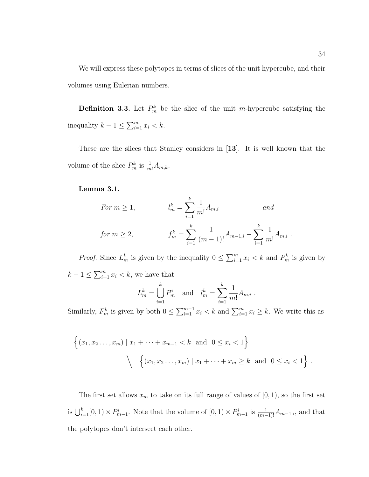We will express these polytopes in terms of slices of the unit hypercube, and their volumes using Eulerian numbers.

**Definition 3.3.** Let  $P_m^k$  be the slice of the unit m-hypercube satisfying the inequality  $k - 1 \le \sum_{i=1}^{m} x_i < k$ .

These are the slices that Stanley considers in [**13**]. It is well known that the volume of the slice  $P_m^k$  is  $\frac{1}{m!}A_{m,k}$ .

## **Lemma 3.1.**

For 
$$
m \ge 1
$$
,  $l_m^k = \sum_{i=1}^k \frac{1}{m!} A_{m,i}$  and  
for  $m \ge 2$ ,  $f_m^k = \sum_{i=1}^k \frac{1}{(m-1)!} A_{m-1,i} - \sum_{i=1}^k \frac{1}{m!} A_{m,i}$ .

*Proof.* Since  $L_m^k$  is given by the inequality  $0 \le \sum_{i=1}^m x_i < k$  and  $P_m^k$  is given by  $k-1 \leq \sum_{i=1}^{m} x_i < k$ , we have that

$$
L_m^k = \bigcup_{i=1}^k P_m^i
$$
 and  $l_m^k = \sum_{i=1}^k \frac{1}{m!} A_{m,i}$ .

Similarly,  $F_m^k$  is given by both  $0 \le \sum_{i=1}^{m-1} x_i < k$  and  $\sum_{i=1}^{m} x_i \ge k$ . We write this as

$$
\left\{ (x_1, x_2, \dots, x_m) \mid x_1 + \dots + x_{m-1} < k \text{ and } 0 \le x_i < 1 \right\}
$$
\n
$$
\left\{ (x_1, x_2, \dots, x_m) \mid x_1 + \dots + x_m \ge k \text{ and } 0 \le x_i < 1 \right\}.
$$

The first set allows  $x_m$  to take on its full range of values of  $[0, 1)$ , so the first set is  $\bigcup_{i=1}^k [0, 1] \times P_{m-1}^i$ . Note that the volume of  $[0, 1] \times P_{m-1}^i$  is  $\frac{1}{(m-1)!} A_{m-1,i}$ , and that the polytopes don't intersect each other.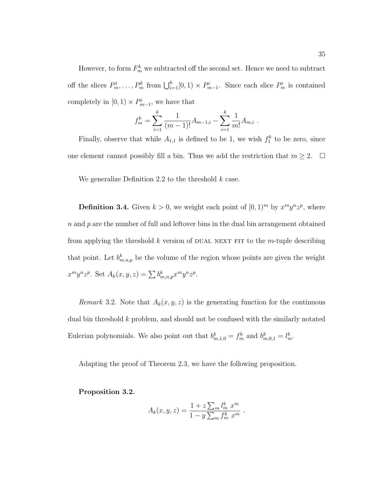However, to form  $F_m^k$  we subtracted off the second set. Hence we need to subtract off the slices  $P_m^1, \ldots, P_m^k$  from  $\bigcup_{i=1}^k [0, 1] \times P_{m-1}^i$ . Since each slice  $P_m^i$  is contained completely in  $[0, 1) \times P_{m-1}^i$ , we have that

$$
f_m^k = \sum_{i=1}^k \frac{1}{(m-1)!} A_{m-1,i} - \sum_{i=1}^k \frac{1}{m!} A_{m,i} .
$$

Finally, observe that while  $A_{1,1}$  is defined to be 1, we wish  $f_1^k$  to be zero, since one element cannot possibly fill a bin. Thus we add the restriction that  $m \geq 2$ .  $\Box$ 

We generalize Definition 2.2 to the threshold  $k$  case.

**Definition 3.4.** Given  $k > 0$ , we weight each point of  $[0, 1)^m$  by  $x^m y^n z^p$ , where  $n$  and  $p$  are the number of full and leftover bins in the dual bin arrangement obtained from applying the threshold k version of DUAL NEXT FIT to the m-tuple describing that point. Let  $b_{m,n,p}^k$  be the volume of the region whose points are given the weight  $x^m y^n z^p$ . Set  $A_k(x, y, z) = \sum b_{m,n,p}^k x^m y^n z^p$ .

Remark 3.2. Note that  $A_k(x, y, z)$  is the generating function for the continuous dual bin threshold  $k$  problem, and should not be confused with the similarly notated Eulerian polynomials. We also point out that  $b_{m,1,0}^k = f_m^k$  and  $b_{m,0,1}^k = l_m^k$ .

Adapting the proof of Theorem 2.3, we have the following proposition.

**Proposition 3.2.**

$$
A_k(x, y, z) = \frac{1 + z \sum_m l_m^k x^m}{1 - y \sum_m f_m^k x^m}.
$$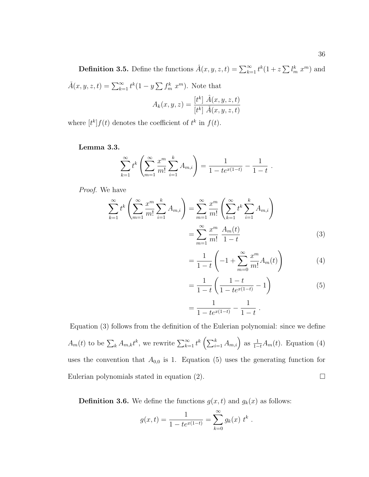**Definition 3.5.** Define the functions  $\hat{A}(x, y, z, t) = \sum_{k=1}^{\infty} t^k (1 + z \sum l_m^k x^m)$  and  $\check{A}(x, y, z, t) = \sum_{k=1}^{\infty} t^k (1 - y \sum f_m^k x^m)$ . Note that

$$
A_k(x, y, z) = \frac{[t^k] \hat{A}(x, y, z, t)}{[t^k] \check{A}(x, y, z, t)}
$$

where  $[t^k]f(t)$  denotes the coefficient of  $t^k$  in  $f(t)$ .

**Lemma 3.3.**

$$
\sum_{k=1}^{\infty} t^k \left( \sum_{m=1}^{\infty} \frac{x^m}{m!} \sum_{i=1}^k A_{m,i} \right) = \frac{1}{1 - te^{x(1-t)}} - \frac{1}{1 - t}.
$$

Proof. We have

$$
\sum_{k=1}^{\infty} t^k \left( \sum_{m=1}^{\infty} \frac{x^m}{m!} \sum_{i=1}^k A_{m,i} \right) = \sum_{m=1}^{\infty} \frac{x^m}{m!} \left( \sum_{k=1}^{\infty} t^k \sum_{i=1}^k A_{m,i} \right)
$$

$$
= \sum_{m=1}^{\infty} \frac{x^m}{m!} \frac{A_m(t)}{1-t}
$$
(3)

$$
= \frac{1}{1-t} \left( -1 + \sum_{m=0}^{\infty} \frac{x^m}{m!} A_m(t) \right)
$$
 (4)

$$
= \frac{1}{1-t} \left( \frac{1-t}{1-te^{x(1-t)}} - 1 \right)
$$
(5)

$$
=\frac{1}{1-te^{x(1-t)}}-\frac{1}{1-t}.
$$

Equation (3) follows from the definition of the Eulerian polynomial: since we define  $A_m(t)$  to be  $\sum_k A_{m,k} t^k$ , we rewrite  $\sum_{k=1}^{\infty} t^k \left( \sum_{i=1}^k A_{m,i} \right)$  as  $\frac{1}{1-t} A_m(t)$ . Equation (4) uses the convention that  $A_{0,0}$  is 1. Equation (5) uses the generating function for Eulerian polynomials stated in equation (2).  $\Box$ 

**Definition 3.6.** We define the functions  $g(x, t)$  and  $g_k(x)$  as follows:

$$
g(x,t) = \frac{1}{1 - te^{x(1-t)}} = \sum_{k=0}^{\infty} g_k(x) t^k.
$$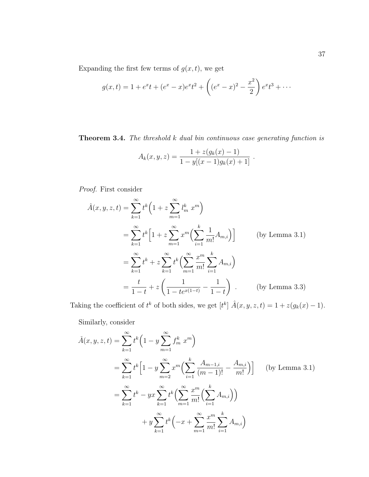Expanding the first few terms of  $g(x, t)$ , we get

$$
g(x,t) = 1 + e^{x}t + (e^{x} - x)e^{x}t^{2} + \left((e^{x} - x)^{2} - \frac{x^{2}}{2}\right)e^{x}t^{3} + \cdots
$$

**Theorem 3.4.** The threshold k dual bin continuous case generating function is

$$
A_k(x, y, z) = \frac{1 + z(g_k(x) - 1)}{1 - y[(x - 1)g_k(x) + 1]}.
$$

Proof. First consider

$$
\hat{A}(x, y, z, t) = \sum_{k=1}^{\infty} t^k \left( 1 + z \sum_{m=1}^{\infty} l_m^k x^m \right)
$$
  
\n
$$
= \sum_{k=1}^{\infty} t^k \left[ 1 + z \sum_{m=1}^{\infty} x^m \left( \sum_{i=1}^k \frac{1}{m!} A_{m,i} \right) \right]
$$
 (by Lemma 3.1)  
\n
$$
= \sum_{k=1}^{\infty} t^k + z \sum_{k=1}^{\infty} t^k \left( \sum_{m=1}^{\infty} \frac{x^m}{m!} \sum_{i=1}^k A_{m,i} \right)
$$
  
\n
$$
= \frac{t}{1-t} + z \left( \frac{1}{1 - te^{x(1-t)}} - \frac{1}{1-t} \right) .
$$
 (by Lemma 3.3)

Taking the coefficient of  $t^k$  of both sides, we get  $[t^k]$   $\hat{A}(x, y, z, t) = 1 + z(g_k(x) - 1)$ .

Similarly, consider

$$
\tilde{A}(x, y, z, t) = \sum_{k=1}^{\infty} t^k \left( 1 - y \sum_{m=1}^{\infty} f_m^k x^m \right)
$$
\n
$$
= \sum_{k=1}^{\infty} t^k \left[ 1 - y \sum_{m=2}^{\infty} x^m \left( \sum_{i=1}^k \frac{A_{m-1,i}}{(m-1)!} - \frac{A_{m,i}}{m!} \right) \right] \quad \text{(by Lemma 3.1)}
$$
\n
$$
= \sum_{k=1}^{\infty} t^k - yx \sum_{k=1}^{\infty} t^k \left( \sum_{m=1}^{\infty} \frac{x^m}{m!} \left( \sum_{i=1}^k A_{m,i} \right) \right)
$$
\n
$$
+ y \sum_{k=1}^{\infty} t^k \left( -x + \sum_{m=1}^{\infty} \frac{x^m}{m!} \sum_{i=1}^k A_{m,i} \right)
$$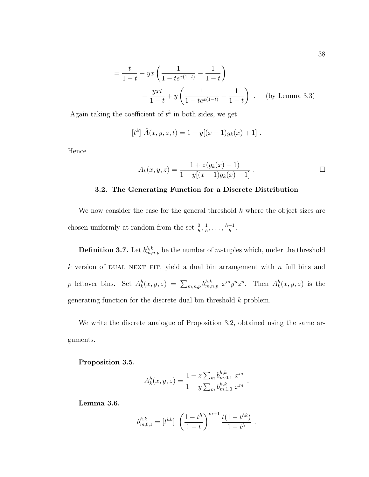$$
= \frac{t}{1-t} - yx\left(\frac{1}{1-te^{x(1-t)}} - \frac{1}{1-t}\right)
$$

$$
- \frac{yxt}{1-t} + y\left(\frac{1}{1-te^{x(1-t)}} - \frac{1}{1-t}\right) . \quad \text{(by Lemma 3.3)}
$$

Again taking the coefficient of  $t^k$  in both sides, we get

$$
[tk] \tilde{A}(x, y, z, t) = 1 - y[(x - 1)gk(x) + 1].
$$

Hence

$$
A_k(x, y, z) = \frac{1 + z(g_k(x) - 1)}{1 - y[(x - 1)g_k(x) + 1]}.
$$

## **3.2. The Generating Function for a Discrete Distribution**

We now consider the case for the general threshold  $k$  where the object sizes are chosen uniformly at random from the set  $\frac{0}{h}, \frac{1}{h}, \ldots, \frac{h-1}{h}$ .

**Definition 3.7.** Let  $b_{m,n,p}^{h,k}$  be the number of m-tuples which, under the threshold k version of DUAL NEXT FIT, yield a dual bin arrangement with  $n$  full bins and p leftover bins. Set  $A_k^h(x, y, z) = \sum_{m,n,p} b_{m,n,p}^{h,k} x^m y^n z^p$ . Then  $A_k^h(x, y, z)$  is the generating function for the discrete dual bin threshold k problem.

We write the discrete analogue of Proposition 3.2, obtained using the same arguments.

### **Proposition 3.5.**

$$
A_k^h(x, y, z) = \frac{1 + z \sum_m b_{m,0,1}^{h,k} x^m}{1 - y \sum_m b_{m,1,0}^{h,k} x^m}.
$$

**Lemma 3.6.**

$$
b_{m,0,1}^{h,k} = [t^{hk}] \left(\frac{1-t^h}{1-t}\right)^{m+1} \frac{t(1-t^{hk})}{1-t^h} .
$$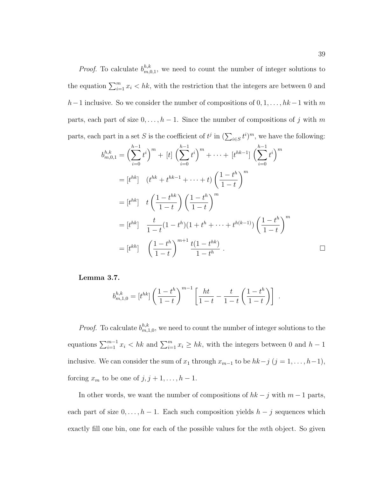*Proof.* To calculate  $b_{m,0,1}^{h,k}$ , we need to count the number of integer solutions to the equation  $\sum_{i=1}^{m} x_i < hk$ , with the restriction that the integers are between 0 and  $h-1$  inclusive. So we consider the number of compositions of  $0, 1, \ldots, hk-1$  with m parts, each part of size  $0, \ldots, h-1$ . Since the number of compositions of j with m parts, each part in a set S is the coefficient of  $t^j$  in  $(\sum_{i\in S} t^i)^m$ , we have the following:

$$
b_{m,0,1}^{h,k} = \left(\sum_{i=0}^{h-1} t^i\right)^m + [t] \left(\sum_{i=0}^{h-1} t^i\right)^m + \dots + [t^{hk-1}] \left(\sum_{i=0}^{h-1} t^i\right)^m
$$
  
\n
$$
= [t^{hk}] \quad (t^{hk} + t^{hk-1} + \dots + t) \left(\frac{1-t^h}{1-t}\right)^m
$$
  
\n
$$
= [t^{hk}] \quad t \left(\frac{1-t^{hk}}{1-t}\right) \left(\frac{1-t^h}{1-t}\right)^m
$$
  
\n
$$
= [t^{hk}] \quad \frac{t}{1-t} (1-t^h) (1+t^h + \dots + t^{h(k-1)}) \left(\frac{1-t^h}{1-t}\right)^m
$$
  
\n
$$
= [t^{kh}] \quad \left(\frac{1-t^h}{1-t}\right)^{m+1} \frac{t(1-t^{hk})}{1-t^h}.
$$

**Lemma 3.7.**

$$
b_{m,1,0}^{h,k} = [t^{hk}] \left( \frac{1-t^h}{1-t} \right)^{m-1} \left[ \frac{ht}{1-t} - \frac{t}{1-t} \left( \frac{1-t^h}{1-t} \right) \right].
$$

*Proof.* To calculate  $b_{m,1,0}^{h,k}$ , we need to count the number of integer solutions to the equations  $\sum_{i=1}^{m-1} x_i < hk$  and  $\sum_{i=1}^{m} x_i \geq hk$ , with the integers between 0 and  $h-1$ inclusive. We can consider the sum of  $x_1$  through  $x_{m-1}$  to be  $hk-j$   $(j = 1, ..., h-1)$ , forcing  $x_m$  to be one of  $j, j + 1, \ldots, h - 1$ .

In other words, we want the number of compositions of  $hk - j$  with  $m - 1$  parts, each part of size  $0, \ldots, h-1$ . Each such composition yields  $h - j$  sequences which exactly fill one bin, one for each of the possible values for the mth object. So given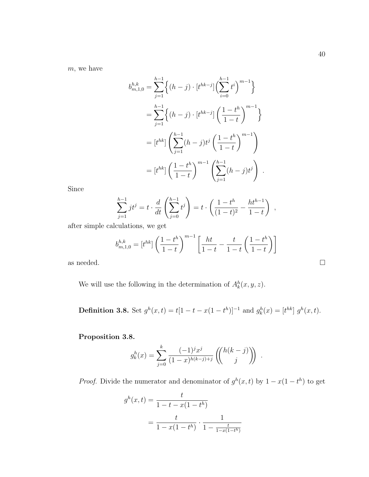m, we have

$$
b_{m,1,0}^{h,k} = \sum_{j=1}^{h-1} \left\{ (h-j) \cdot [t^{hk-j}] \left( \sum_{i=0}^{h-1} t^i \right)^{m-1} \right\}
$$
  

$$
= \sum_{j=1}^{h-1} \left\{ (h-j) \cdot [t^{hk-j}] \left( \frac{1-t^h}{1-t} \right)^{m-1} \right\}
$$
  

$$
= [t^{hk}] \left( \sum_{j=1}^{h-1} (h-j)t^j \left( \frac{1-t^h}{1-t} \right)^{m-1} \right)
$$
  

$$
= [t^{hk}] \left( \frac{1-t^h}{1-t} \right)^{m-1} \left( \sum_{j=1}^{h-1} (h-j)t^j \right).
$$

Since

$$
\sum_{j=1}^{h-1} jt^j = t \cdot \frac{d}{dt} \left( \sum_{j=0}^{h-1} t^j \right) = t \cdot \left( \frac{1-t^h}{(1-t)^2} - \frac{ht^{h-1}}{1-t} \right) ,
$$

after simple calculations, we get

$$
b_{m,1,0}^{h,k} = [t^{hk}] \left(\frac{1-t^h}{1-t}\right)^{m-1} \left[\frac{ht}{1-t} - \frac{t}{1-t} \left(\frac{1-t^h}{1-t}\right)\right]
$$

as needed.  $\hfill \square$ 

We will use the following in the determination of  $A_k^h(x, y, z)$ .

**Definition 3.8.** Set  $g^h(x,t) = t[1-t-x(1-t^h)]^{-1}$  and  $g^h_k(x) = [t^{hk}] g^h(x,t)$ .

**Proposition 3.8.**

$$
g_k^h(x) = \sum_{j=0}^k \frac{(-1)^j x^j}{(1-x)^{h(k-j)+j}} \left( \binom{h(k-j)}{j} \right) .
$$

*Proof.* Divide the numerator and denominator of  $g^h(x, t)$  by  $1 - x(1 - t^h)$  to get

$$
g^{h}(x,t) = \frac{t}{1 - t - x(1 - t^{h})}
$$

$$
= \frac{t}{1 - x(1 - t^{h})} \cdot \frac{1}{1 - \frac{t}{1 - x(1 - t^{h})}}
$$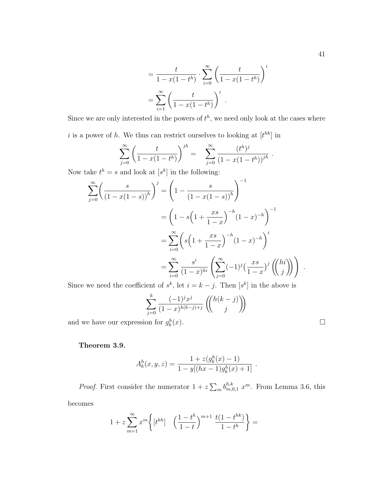$$
= \frac{t}{1 - x(1 - t^h)} \cdot \sum_{i=0}^{\infty} \left( \frac{t}{1 - x(1 - t^h)} \right)^i
$$

$$
= \sum_{i=1}^{\infty} \left( \frac{t}{1 - x(1 - t^h)} \right)^i.
$$

Since we are only interested in the powers of  $t^h$ , we need only look at the cases where

i is a power of h. We thus can restrict ourselves to looking at  $[t^{hk}]$  in

$$
\sum_{j=0}^{\infty} \left( \frac{t}{1-x(1-t^h)} \right)^{jh} = \sum_{j=0}^{\infty} \frac{(t^h)^j}{(1-x(1-t^h))^{jh}}.
$$

Now take  $t^h = s$  and look at  $[s^k]$  in the following:

$$
\sum_{j=0}^{\infty} \left( \frac{s}{\left(1 - x(1-s)\right)^h} \right)^j = \left(1 - \frac{s}{\left(1 - x(1-s)\right)^h}\right)^{-1}
$$

$$
= \left(1 - s\left(1 + \frac{xs}{1-x}\right)^{-h}\left(1-x\right)^{-h}\right)^{-1}
$$

$$
= \sum_{i=0}^{\infty} \left(s\left(1 + \frac{xs}{1-x}\right)^{-h}\left(1-x\right)^{-h}\right)^i
$$

$$
= \sum_{i=0}^{\infty} \frac{s^i}{\left(1-x\right)^{hi}} \left(\sum_{j=0}^{\infty} (-1)^j \left(\frac{xs}{1-x}\right)^j \left(\binom{hi}{j}\right)\right)
$$

Since we need the coefficient of  $s^k$ , let  $i = k - j$ . Then  $[s^k]$  in the above is

$$
\sum_{j=0}^{k} \frac{(-1)^j x^j}{(1-x)^{h(k-j)+j}} \left( \begin{pmatrix} h(k-j) \\ j \end{pmatrix} \right)
$$
  
on for  $g_k^h(x)$ .

and we have our expression for  $g_k^h(x)$ .

# **Theorem 3.9.**

$$
A_k^h(x, y, z) = \frac{1 + z(g_k^h(x) - 1)}{1 - y[(hx - 1)g_k^h(x) + 1]}.
$$

*Proof.* First consider the numerator  $1 + z \sum_m b^{h,k}_{m,0,1} x^m$ . From Lemma 3.6, this becomes

$$
1 + z \sum_{m=1}^{\infty} x^m \left\{ \left[ t^{kh} \right] \quad \left( \frac{1 - t^h}{1 - t} \right)^{m+1} \frac{t(1 - t^{hk})}{1 - t^h} \right\} =
$$

.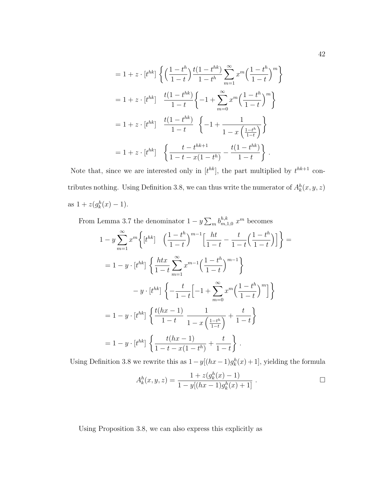$$
= 1 + z \cdot [t^{hk}] \left\{ \left( \frac{1 - t^h}{1 - t} \right) \frac{t(1 - t^{hk})}{1 - t^h} \sum_{m=1}^{\infty} x^m \left( \frac{1 - t^h}{1 - t} \right)^m \right\}
$$
  

$$
= 1 + z \cdot [t^{hk}] \frac{t(1 - t^{hk})}{1 - t} \left\{ -1 + \sum_{m=0}^{\infty} x^m \left( \frac{1 - t^h}{1 - t} \right)^m \right\}
$$
  

$$
= 1 + z \cdot [t^{hk}] \frac{t(1 - t^{hk})}{1 - t} \left\{ -1 + \frac{1}{1 - x \left( \frac{1 - t^h}{1 - t} \right)} \right\}
$$
  

$$
= 1 + z \cdot [t^{hk}] \left\{ \frac{t - t^{hk+1}}{1 - t - x(1 - t^h)} - \frac{t(1 - t^{hk})}{1 - t} \right\}.
$$

Note that, since we are interested only in  $[t^{hk}]$ , the part multiplied by  $t^{hk+1}$  contributes nothing. Using Definition 3.8, we can thus write the numerator of  $A_k^h(x, y, z)$ as  $1 + z(g_k^h(x) - 1)$ .

From Lemma 3.7 the denominator  $1 - y \sum_{m} b_{m,1,0}^{h,k} x^m$  becomes

$$
1 - y \sum_{m=1}^{\infty} x^m \left\{ \left[ t^{hk} \right] \left( \frac{1 - t^h}{1 - t} \right)^{m-1} \left[ \frac{ht}{1 - t} - \frac{t}{1 - t} \left( \frac{1 - t^h}{1 - t} \right) \right] \right\} =
$$
  
\n
$$
= 1 - y \cdot \left[ t^{hk} \right] \left\{ \frac{htx}{1 - t} \sum_{m=1}^{\infty} x^{m-1} \left( \frac{1 - t^h}{1 - t} \right)^{m-1} \right\}
$$
  
\n
$$
- y \cdot \left[ t^{hk} \right] \left\{ - \frac{t}{1 - t} \left[ -1 + \sum_{m=0}^{\infty} x^m \left( \frac{1 - t^h}{1 - t} \right)^m \right] \right\}
$$
  
\n
$$
= 1 - y \cdot \left[ t^{hk} \right] \left\{ \frac{t(hx - 1)}{1 - t} \frac{1}{1 - x \left( \frac{1 - t^h}{1 - t} \right)} + \frac{t}{1 - t} \right\}
$$
  
\n
$$
= 1 - y \cdot \left[ t^{hk} \right] \left\{ \frac{t(hx - 1)}{1 - t - x(1 - t^h)} + \frac{t}{1 - t} \right\}.
$$

Using Definition 3.8 we rewrite this as  $1 - y[(hx - 1)g_k^h(x) + 1]$ , yielding the formula

$$
A_k^h(x, y, z) = \frac{1 + z(g_k^h(x) - 1)}{1 - y[(hx - 1)g_k^h(x) + 1]}.
$$

Using Proposition 3.8, we can also express this explicitly as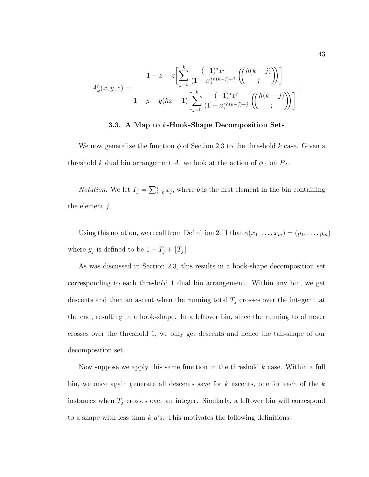$$
A_k^h(x, y, z) = \frac{1 - z + z \left[ \sum_{j=0}^k \frac{(-1)^j x^j}{(1-x)^{h(k-j)+j}} \left( \binom{h(k-j)}{j} \right) \right]}{1 - y - y(hx - 1) \left[ \sum_{j=0}^k \frac{(-1)^j x^j}{(1-x)^{h(k-j)+j}} \left( \binom{h(k-j)}{j} \right) \right]}.
$$

#### **3.3. A Map to** k**-Hook-Shape Decomposition Sets**

We now generalize the function  $\phi$  of Section 2.3 to the threshold k case. Given a threshold k dual bin arrangement A, we look at the action of  $\phi_A$  on  $P_A$ .

*Notation*. We let  $T_j = \sum_{i=b}^{j} x_j$ , where b is the first element in the bin containing the element  $i$ .

Using this notation, we recall from Definition 2.11 that  $\phi(x_1,\ldots,x_m)=(y_1,\ldots,y_m)$ where  $y_j$  is defined to be  $1 - T_j + \lfloor T_j \rfloor$ .

As was discussed in Section 2.3, this results in a hook-shape decomposition set corresponding to each threshold 1 dual bin arrangement. Within any bin, we get descents and then an ascent when the running total  $T_j$  crosses over the integer 1 at the end, resulting in a hook-shape. In a leftover bin, since the running total never crosses over the threshold 1, we only get descents and hence the tail-shape of our decomposition set.

Now suppose we apply this same function in the threshold  $k$  case. Within a full bin, we once again generate all descents save for  $k$  ascents, one for each of the  $k$ instances when  $T_j$  crosses over an integer. Similarly, a leftover bin will correspond to a shape with less than  $k$  a's. This motivates the following definitions.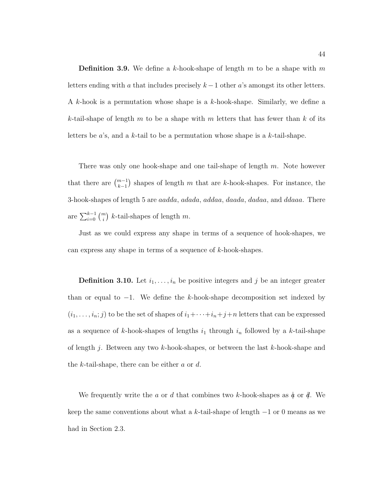**Definition 3.9.** We define a k-hook-shape of length  $m$  to be a shape with  $m$ letters ending with a that includes precisely  $k - 1$  other a's amongst its other letters. A k-hook is a permutation whose shape is a k-hook-shape. Similarly, we define a k-tail-shape of length m to be a shape with m letters that has fewer than  $k$  of its letters be a's, and a k-tail to be a permutation whose shape is a k-tail-shape.

There was only one hook-shape and one tail-shape of length  $m$ . Note however that there are  $\binom{m-1}{k-1}$  $\binom{m-1}{k-1}$  shapes of length m that are k-hook-shapes. For instance, the 3-hook-shapes of length 5 are aadda, adada, addaa, daada, dadaa, and ddaaa. There are  $\sum_{i=0}^{k-1} \binom{m}{i}$  $\binom{n}{i}$  k-tail-shapes of length m.

Just as we could express any shape in terms of a sequence of hook-shapes, we can express any shape in terms of a sequence of k-hook-shapes.

**Definition 3.10.** Let  $i_1, \ldots, i_n$  be positive integers and j be an integer greater than or equal to  $-1$ . We define the k-hook-shape decomposition set indexed by  $(i_1,\ldots,i_n;j)$  to be the set of shapes of  $i_1+\cdots+i_n+j+n$  letters that can be expressed as a sequence of k-hook-shapes of lengths  $i_1$  through  $i_n$  followed by a k-tail-shape of length j. Between any two k-hook-shapes, or between the last  $k$ -hook-shape and the k-tail-shape, there can be either  $a$  or  $d$ .

We frequently write the a or d that combines two k-hook-shapes as  $\phi$  or  $\phi$ . We keep the same conventions about what a k-tail-shape of length  $-1$  or 0 means as we had in Section 2.3.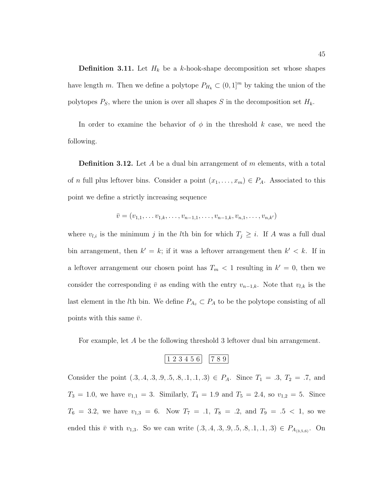**Definition 3.11.** Let  $H_k$  be a k-hook-shape decomposition set whose shapes have length m. Then we define a polytope  $P_{H_k} \subset (0,1]^m$  by taking the union of the polytopes  $P_S$ , where the union is over all shapes S in the decomposition set  $H_k$ .

In order to examine the behavior of  $\phi$  in the threshold k case, we need the following.

**Definition 3.12.** Let A be a dual bin arrangement of m elements, with a total of *n* full plus leftover bins. Consider a point  $(x_1, \ldots, x_m) \in P_A$ . Associated to this point we define a strictly increasing sequence

$$
\bar{v} = (v_{1,1}, \ldots v_{1,k}, \ldots, v_{n-1,1}, \ldots, v_{n-1,k}, v_{n,1}, \ldots, v_{n,k'})
$$

where  $v_{l,i}$  is the minimum j in the lth bin for which  $T_j \geq i$ . If A was a full dual bin arrangement, then  $k' = k$ ; if it was a leftover arrangement then  $k' < k$ . If in a leftover arrangement our chosen point has  $T_m < 1$  resulting in  $k' = 0$ , then we consider the corresponding  $\bar{v}$  as ending with the entry  $v_{n-1,k}$ . Note that  $v_{l,k}$  is the last element in the *l*th bin. We define  $P_{A_{\bar{v}}} \subset P_A$  to be the polytope consisting of all points with this same  $\bar{v}$ .

For example, let A be the following threshold 3 leftover dual bin arrangement.

$$
\begin{array}{|c|c|c|c|c|}\n\hline\n1&2&3&4&5&6 \\
\hline\n\end{array}\n\quad\n\begin{array}{|c|c|c|c|c|}\n\hline\n7&8&9 \\
\hline\n\end{array}
$$

Consider the point  $(0.3, 0.4, 0.3, 0.5, 0.5, 0.1, 0.1, 0.3) \in P_A$ . Since  $T_1 = 0.3, T_2 = 0.7,$  and  $T_3 = 1.0$ , we have  $v_{1,1} = 3$ . Similarly,  $T_4 = 1.9$  and  $T_5 = 2.4$ , so  $v_{1,2} = 5$ . Since  $T_6 = 3.2$ , we have  $v_{1,3} = 6$ . Now  $T_7 = .1$ ,  $T_8 = .2$ , and  $T_9 = .5 < 1$ , so we ended this  $\bar{v}$  with  $v_{1,3}$ . So we can write  $(0.3, 0.4, 0.3, 0.5, 0.5, 0.5, 0.1, 0.1, 0.3) \in P_{A_{(3,5,6)}}$ . On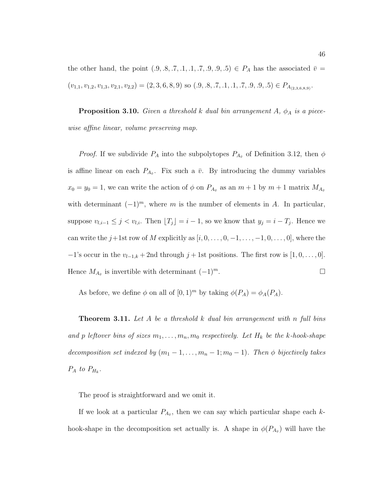the other hand, the point  $(0, 0, 0, 0, 0, 0, 0, 0, 0, 0, 0) \in P_A$  has the associated  $\bar{v} =$  $(v_{1,1}, v_{1,2}, v_{1,3}, v_{2,1}, v_{2,2}) = (2, 3, 6, 8, 9)$  so  $(.9, .8, .7, .1, .1, .7, .9, .9, .5) \in P_{A_{(2,3,6,8,9)}}$ .

**Proposition 3.10.** Given a threshold k dual bin arrangement  $A$ ,  $\phi_A$  is a piecewise affine linear, volume preserving map.

*Proof.* If we subdivide  $P_A$  into the subpolytopes  $P_{A_{\bar{v}}}$  of Definition 3.12, then  $\phi$ is affine linear on each  $P_{A_{\bar{v}}}$ . Fix such a  $\bar{v}$ . By introducing the dummy variables  $x_0 = y_0 = 1$ , we can write the action of  $\phi$  on  $P_{A_{\bar{v}}}$  as an  $m + 1$  by  $m + 1$  matrix  $M_{A_{\bar{v}}}$ with determinant  $(-1)^m$ , where m is the number of elements in A. In particular, suppose  $v_{l,i-1} \leq j < v_{l,i}$ . Then  $[T_j] = i - 1$ , so we know that  $y_j = i - T_j$ . Hence we can write the  $j+1$ st row of M explicitly as  $[i, 0, \ldots, 0, -1, \ldots, -1, 0, \ldots, 0]$ , where the  $-1$ 's occur in the  $v_{l-1,k} + 2$ nd through  $j + 1$ st positions. The first row is  $[1, 0, \ldots, 0]$ . Hence  $M_{A_{\bar{v}}}$  is invertible with determinant  $(-1)^m$ .

As before, we define  $\phi$  on all of  $[0,1)^m$  by taking  $\phi(P_A) = \phi_A(P_A)$ .

**Theorem 3.11.** Let A be a threshold k dual bin arrangement with n full bins and p leftover bins of sizes  $m_1, \ldots, m_n, m_0$  respectively. Let  $H_k$  be the k-hook-shape decomposition set indexed by  $(m_1 - 1, \ldots, m_n - 1; m_0 - 1)$ . Then  $\phi$  bijectively takes  $P_A$  to  $P_{H_k}$ .

The proof is straightforward and we omit it.

If we look at a particular  $P_{A_{\bar{v}}}$ , then we can say which particular shape each khook-shape in the decomposition set actually is. A shape in  $\phi(P_{A_{\bar{v}}})$  will have the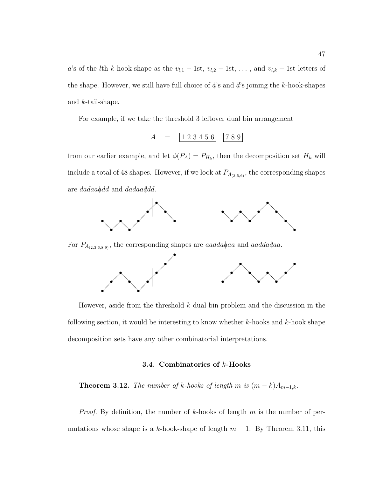a's of the *l*th k-hook-shape as the  $v_{l,1}$  – 1st,  $v_{l,2}$  – 1st, ..., and  $v_{l,k}$  – 1st letters of the shape. However, we still have full choice of  $\phi$ 's and  $\phi$ 's joining the k-hook-shapes and k-tail-shape.

For example, if we take the threshold 3 leftover dual bin arrangement

$$
A = \begin{bmatrix} 1 & 2 & 3 & 4 & 5 & 6 \end{bmatrix} \begin{bmatrix} 7 & 8 & 9 \end{bmatrix}
$$

from our earlier example, and let  $\phi(P_A) = P_{H_k}$ , then the decomposition set  $H_k$  will include a total of 48 shapes. However, if we look at  $P_{A_{(3,5,6)}},$  the corresponding shapes are dadaa $\phi$ dd and dadaa $\phi$ dd.



For  $P_{A_{(2,3,6,8,9)}}$ , the corresponding shapes are *aadda* $\phi$ aa and *aadda* $\phi$ aa.



However, aside from the threshold  $k$  dual bin problem and the discussion in the following section, it would be interesting to know whether  $k$ -hooks and  $k$ -hook shape decomposition sets have any other combinatorial interpretations.

#### **3.4. Combinatorics of** k**-Hooks**

**Theorem 3.12.** The number of k-hooks of length m is  $(m - k)A_{m-1,k}$ .

*Proof.* By definition, the number of k-hooks of length m is the number of permutations whose shape is a k-hook-shape of length  $m - 1$ . By Theorem 3.11, this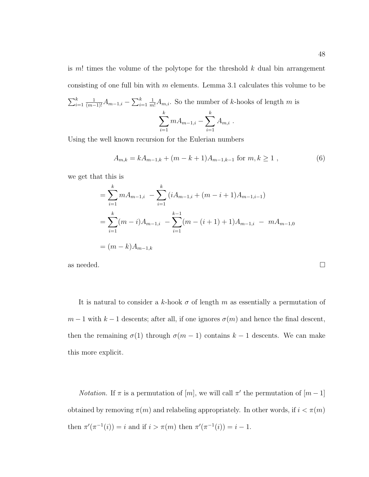is  $m!$  times the volume of the polytope for the threshold  $k$  dual bin arrangement consisting of one full bin with  $m$  elements. Lemma 3.1 calculates this volume to be  $\sum_{i=1}^k$  $\frac{1}{(m-1)!}A_{m-1,i}-\sum_{i=1}^k$ 1  $\frac{1}{m!}A_{m,i}$ . So the number of k-hooks of length m is  $\sum$ k  $mA_{m-1,i}-\sum$ k  $A_{m,i}$ .

Using the well known recursion for the Eulerian numbers

 $i=1$ 

$$
A_{m,k} = kA_{m-1,k} + (m-k+1)A_{m-1,k-1} \text{ for } m, k \ge 1 ,
$$
 (6)

 $i=1$ 

we get that this is

$$
= \sum_{i=1}^{k} m A_{m-1,i} - \sum_{i=1}^{k} (i A_{m-1,i} + (m - i + 1) A_{m-1,i-1})
$$
  

$$
= \sum_{i=1}^{k} (m - i) A_{m-1,i} - \sum_{i=1}^{k-1} (m - (i + 1) + 1) A_{m-1,i} - m A_{m-1,0}
$$
  

$$
= (m - k) A_{m-1,k}
$$

as needed.  $\Box$ 

It is natural to consider a k-hook  $\sigma$  of length m as essentially a permutation of  $m-1$  with  $k-1$  descents; after all, if one ignores  $\sigma(m)$  and hence the final descent, then the remaining  $\sigma(1)$  through  $\sigma(m-1)$  contains  $k-1$  descents. We can make this more explicit.

*Notation*. If  $\pi$  is a permutation of  $[m]$ , we will call  $\pi'$  the permutation of  $[m-1]$ obtained by removing  $\pi(m)$  and relabeling appropriately. In other words, if  $i < \pi(m)$ then  $\pi'(\pi^{-1}(i)) = i$  and if  $i > \pi(m)$  then  $\pi'(\pi^{-1}(i)) = i - 1$ .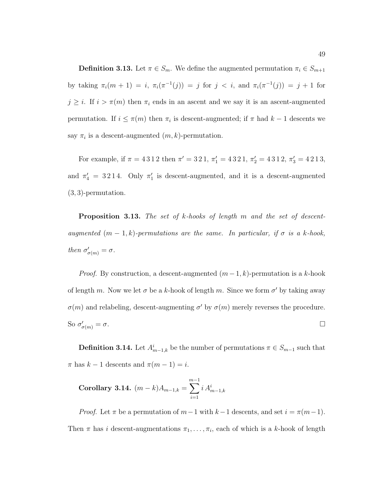**Definition 3.13.** Let  $\pi \in S_m$ . We define the augmented permutation  $\pi_i \in S_{m+1}$ by taking  $\pi_i(m + 1) = i$ ,  $\pi_i(\pi^{-1}(j)) = j$  for  $j < i$ , and  $\pi_i(\pi^{-1}(j)) = j + 1$  for  $j \geq i$ . If  $i > \pi(m)$  then  $\pi_i$  ends in an ascent and we say it is an ascent-augmented permutation. If  $i \leq \pi(m)$  then  $\pi_i$  is descent-augmented; if  $\pi$  had  $k-1$  descents we say  $\pi_i$  is a descent-augmented  $(m, k)$ -permutation.

For example, if  $\pi = 4312$  then  $\pi' = 321$ ,  $\pi'_1 = 4321$ ,  $\pi'_2 = 4312$ ,  $\pi'_3 = 4213$ , and  $\pi'_4 = 3214$ . Only  $\pi'_1$  is descent-augmented, and it is a descent-augmented (3, 3)-permutation.

**Proposition 3.13.** The set of k-hooks of length m and the set of descentaugmented  $(m-1, k)$ -permutations are the same. In particular, if  $\sigma$  is a k-hook, then  $\sigma'_{\sigma(m)} = \sigma$ .

*Proof.* By construction, a descent-augmented  $(m-1, k)$ -permutation is a k-hook of length m. Now we let  $\sigma$  be a k-hook of length m. Since we form  $\sigma'$  by taking away  $\sigma(m)$  and relabeling, descent-augmenting  $\sigma'$  by  $\sigma(m)$  merely reverses the procedure. So  $\sigma'_{\sigma(m)} = \sigma$ .

**Definition 3.14.** Let  $A_{m-1,k}^i$  be the number of permutations  $\pi \in S_{m-1}$  such that  $\pi$  has  $k - 1$  descents and  $\pi(m - 1) = i$ .

Corollary 3.14. 
$$
(m-k)A_{m-1,k} = \sum_{i=1}^{m-1} i A_{m-1,k}^i
$$

*Proof.* Let  $\pi$  be a permutation of  $m-1$  with  $k-1$  descents, and set  $i = \pi(m-1)$ . Then  $\pi$  has i descent-augmentations  $\pi_1, \ldots, \pi_i$ , each of which is a k-hook of length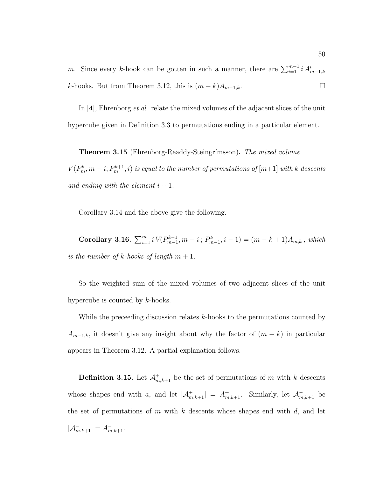m. Since every k-hook can be gotten in such a manner, there are  $\sum_{i=1}^{m-1} i A_{m-1,k}^i$ k-hooks. But from Theorem 3.12, this is  $(m - k)A_{m-1,k}$ .

In [**4**], Ehrenborg et al. relate the mixed volumes of the adjacent slices of the unit hypercube given in Definition 3.3 to permutations ending in a particular element.

**Theorem 3.15** (Ehrenborg-Readdy-Steingrímsson). The mixed volume  $V(P_m^k,m-i;P_m^{k+1},i)$  is equal to the number of permutations of  $[m{+}1]$  with  $k$  descents and ending with the element  $i + 1$ .

Corollary 3.14 and the above give the following.

**Corollary 3.16.**  $\sum_{i=1}^{m} i V(P_{m-1}^{k-1}, m-i; P_{m-1}^{k}, i-1) = (m - k + 1)A_{m,k}$ , which is the number of k-hooks of length  $m + 1$ .

So the weighted sum of the mixed volumes of two adjacent slices of the unit hypercube is counted by k-hooks.

While the preceeding discussion relates k-hooks to the permutations counted by  $A_{m-1,k}$ , it doesn't give any insight about why the factor of  $(m - k)$  in particular appears in Theorem 3.12. A partial explanation follows.

**Definition 3.15.** Let  $\mathcal{A}_{m,k+1}^+$  be the set of permutations of m with k descents whose shapes end with a, and let  $|\mathcal{A}_{m,k+1}^+| = A_{m,k+1}^+$ . Similarly, let  $\mathcal{A}_{m,k+1}^-$  be the set of permutations of m with  $k$  descents whose shapes end with  $d$ , and let  $|\mathcal{A}_{m,k+1}^-| = A_{m,k+1}^-$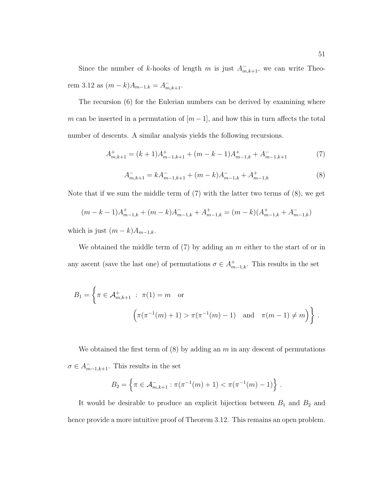Since the number of k-hooks of length m is just  $A_{m,k+1}^-$ , we can write Theorem 3.12 as  $(m-k)A_{m-1,k} = A_{m,k+1}^-$ .

The recursion (6) for the Eulerian numbers can be derived by examining where m can be inserted in a permutation of  $[m-1]$ , and how this in turn affects the total number of descents. A similar analysis yields the following recursions.

$$
A_{m,k+1}^{+} = (k+1)A_{m-1,k+1}^{+} + (m-k-1)A_{m-1,k}^{+} + A_{m-1,k+1}^{-} \tag{7}
$$

$$
A_{m,k+1}^- = kA_{m-1,k+1}^- + (m-k)A_{m-1,k}^- + A_{m-1,k}^+ \tag{8}
$$

Note that if we sum the middle term of (7) with the latter two terms of (8), we get

$$
(m-k-1)A_{m-1,k}^+ + (m-k)A_{m-1,k}^- + A_{m-1,k}^+ = (m-k)(A_{m-1,k}^+ + A_{m-1,k}^-)
$$

which is just  $(m - k)A_{m-1,k}$ .

We obtained the middle term of  $(7)$  by adding an m either to the start of or in any ascent (save the last one) of permutations  $\sigma \in A_{m-1,k}^+$ . This results in the set

$$
B_1 = \left\{ \pi \in \mathcal{A}_{m,k+1}^+ : \pi(1) = m \text{ or } \right\}
$$

$$
\left( \pi(\pi^{-1}(m) + 1) > \pi(\pi^{-1}(m) - 1) \text{ and } \pi(m-1) \neq m \right) \right\}.
$$

We obtained the first term of  $(8)$  by adding an m in any descent of permutations  $\sigma \in A_{m-1,k+1}^-$ . This results in the set

$$
B_2 = \left\{ \pi \in \mathcal{A}_{m,k+1}^- : \pi(\pi^{-1}(m) + 1) < \pi(\pi^{-1}(m) - 1) \right\} \, .
$$

It would be desirable to produce an explicit bijection between  $B_1$  and  $B_2$  and hence provide a more intuitive proof of Theorem 3.12. This remains an open problem.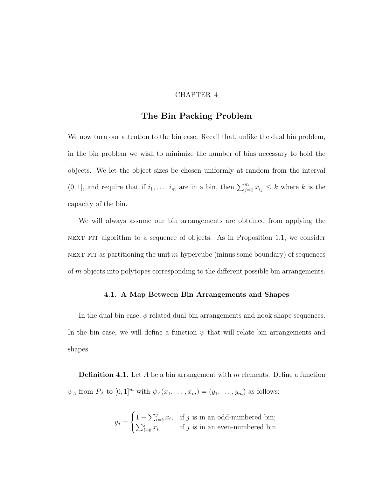## CHAPTER 4

# **The Bin Packing Problem**

We now turn our attention to the bin case. Recall that, unlike the dual bin problem, in the bin problem we wish to minimize the number of bins necessary to hold the objects. We let the object sizes be chosen uniformly at random from the interval  $(0, 1]$ , and require that if  $i_1, \ldots, i_m$  are in a bin, then  $\sum_{j=1}^m x_{i_j} \leq k$  where k is the capacity of the bin.

We will always assume our bin arrangements are obtained from applying the NEXT FIT algorithm to a sequence of objects. As in Proposition 1.1, we consider NEXT FIT as partitioning the unit m-hypercube (minus some boundary) of sequences of m objects into polytopes corresponding to the different possible bin arrangements.

## **4.1. A Map Between Bin Arrangements and Shapes**

In the dual bin case,  $\phi$  related dual bin arrangements and hook shape sequences. In the bin case, we will define a function  $\psi$  that will relate bin arrangements and shapes.

**Definition 4.1.** Let A be a bin arrangement with m elements. Define a function  $\psi_A$  from  $P_A$  to  $[0, 1]^m$  with  $\psi_A(x_1, \ldots, x_m)=(y_1, \ldots, y_m)$  as follows:

$$
y_j = \begin{cases} 1 - \sum_{i=b}^{j} x_i, & \text{if } j \text{ is in an odd-numbered bin;} \\ \sum_{i=b}^{j} x_i, & \text{if } j \text{ is in an even-numbered bin.} \end{cases}
$$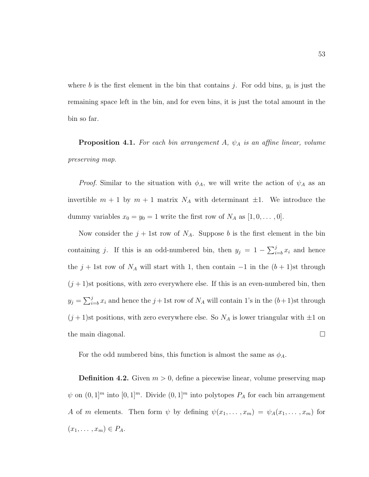where b is the first element in the bin that contains j. For odd bins,  $y_i$  is just the remaining space left in the bin, and for even bins, it is just the total amount in the bin so far.

**Proposition 4.1.** For each bin arrangement A,  $\psi_A$  is an affine linear, volume preserving map.

*Proof.* Similar to the situation with  $\phi_A$ , we will write the action of  $\psi_A$  as an invertible  $m + 1$  by  $m + 1$  matrix  $N_A$  with determinant  $\pm 1$ . We introduce the dummy variables  $x_0 = y_0 = 1$  write the first row of  $N_A$  as  $[1, 0, \ldots, 0]$ .

Now consider the  $j + 1$ st row of  $N_A$ . Suppose b is the first element in the bin containing j. If this is an odd-numbered bin, then  $y_j = 1 - \sum_{i=b}^{j} x_i$  and hence the  $j + 1$ st row of  $N_A$  will start with 1, then contain  $-1$  in the  $(b + 1)$ st through  $(j+1)$ st positions, with zero everywhere else. If this is an even-numbered bin, then  $y_j = \sum_{i=b}^{j} x_i$  and hence the  $j+1$ st row of  $N_A$  will contain 1's in the  $(b+1)$ st through  $(j+1)$ st positions, with zero everywhere else. So  $N_A$  is lower triangular with  $\pm 1$  on the main diagonal.

For the odd numbered bins, this function is almost the same as  $\phi_A$ .

**Definition 4.2.** Given  $m > 0$ , define a piecewise linear, volume preserving map  $\psi$  on  $(0, 1]^m$  into  $[0, 1]^m$ . Divide  $(0, 1]^m$  into polytopes  $P_A$  for each bin arrangement A of m elements. Then form  $\psi$  by defining  $\psi(x_1,\ldots,x_m) = \psi_A(x_1,\ldots,x_m)$  for  $(x_1, \ldots, x_m) \in P_A$ .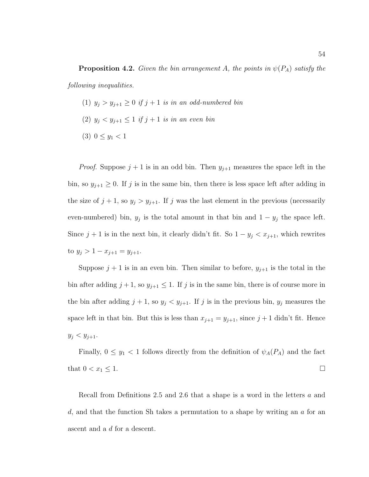- (1)  $y_j > y_{j+1} \geq 0$  if  $j+1$  is in an odd-numbered bin
- (2)  $y_j < y_{j+1} \leq 1$  if  $j+1$  is in an even bin
- (3)  $0 \le y_1 < 1$

*Proof.* Suppose  $j + 1$  is in an odd bin. Then  $y_{j+1}$  measures the space left in the bin, so  $y_{j+1} \geq 0$ . If j is in the same bin, then there is less space left after adding in the size of  $j + 1$ , so  $y_j > y_{j+1}$ . If j was the last element in the previous (necessarily even-numbered) bin,  $y_j$  is the total amount in that bin and  $1 - y_j$  the space left. Since  $j + 1$  is in the next bin, it clearly didn't fit. So  $1 - y_j < x_{j+1}$ , which rewrites to  $y_j > 1 - x_{j+1} = y_{j+1}$ .

Suppose  $j + 1$  is in an even bin. Then similar to before,  $y_{j+1}$  is the total in the bin after adding  $j + 1$ , so  $y_{j+1} \leq 1$ . If j is in the same bin, there is of course more in the bin after adding  $j + 1$ , so  $y_j < y_{j+1}$ . If j is in the previous bin,  $y_j$  measures the space left in that bin. But this is less than  $x_{j+1} = y_{j+1}$ , since  $j+1$  didn't fit. Hence  $y_j < y_{j+1}.$ 

Finally,  $0 \leq y_1 < 1$  follows directly from the definition of  $\psi_A(P_A)$  and the fact that  $0 < x_1 \leq 1$ .

Recall from Definitions 2.5 and 2.6 that a shape is a word in the letters a and d, and that the function Sh takes a permutation to a shape by writing an  $a$  for an ascent and a d for a descent.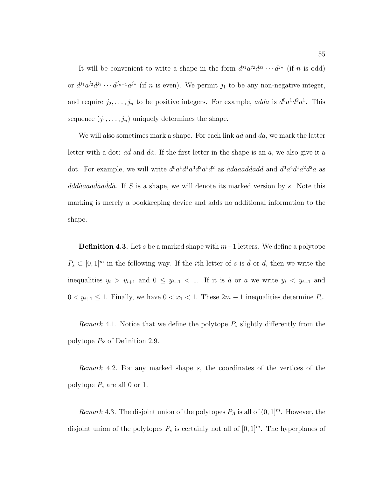It will be convenient to write a shape in the form  $d^{j_1}a^{j_2}d^{j_3}\cdots d^{j_n}$  (if n is odd) or  $d^{j_1}a^{j_2}d^{j_3}\cdots d^{j_{n-1}}a^{j_n}$  (if n is even). We permit  $j_1$  to be any non-negative integer, and require  $j_2,\ldots,j_n$  to be positive integers. For example, adda is  $d^0a^1d^2a^1$ . This sequence  $(j_1,\ldots,j_n)$  uniquely determines the shape.

We will also sometimes mark a shape. For each link  $ad$  and  $da$ , we mark the latter letter with a dot:  $ad$  and  $da$ . If the first letter in the shape is an a, we also give it a dot. For example, we will write  $d^0a^1d^1a^3d^2a^1d^2$  as  $\ddot{a}\dot{a}\dot{a}a\dot{a}\dot{d}\dot{a}\dot{d}d$  and  $d^3a^4d^1a^2d^2a$  as  $ddd\ddot{a}a\ddot{a}a\ddot{a}d\dot{a}.$  If S is a shape, we will denote its marked version by s. Note this marking is merely a bookkeeping device and adds no additional information to the shape.

**Definition 4.3.** Let s be a marked shape with m−1 letters. We define a polytope  $P_s \subset [0,1]^m$  in the following way. If the *i*th letter of s is  $\dot{d}$  or d, then we write the inequalities  $y_i > y_{i+1}$  and  $0 \le y_{i+1} < 1$ . If it is *a* or *a* we write  $y_i < y_{i+1}$  and  $0 < y_{i+1} \leq 1$ . Finally, we have  $0 < x_1 < 1$ . These  $2m - 1$  inequalities determine  $P_s$ .

*Remark* 4.1. Notice that we define the polytope  $P_s$  slightly differently from the polytope  $P<sub>S</sub>$  of Definition 2.9.

Remark 4.2. For any marked shape s, the coordinates of the vertices of the polytope  $P_s$  are all 0 or 1.

Remark 4.3. The disjoint union of the polytopes  $P_A$  is all of  $(0, 1]^m$ . However, the disjoint union of the polytopes  $P_s$  is certainly not all of  $[0, 1]^m$ . The hyperplanes of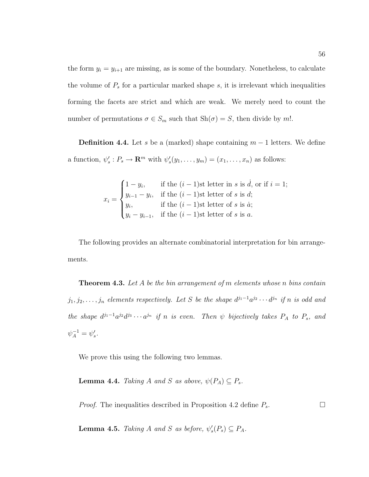the form  $y_i = y_{i+1}$  are missing, as is some of the boundary. Nonetheless, to calculate the volume of  $P<sub>s</sub>$  for a particular marked shape s, it is irrelevant which inequalities forming the facets are strict and which are weak. We merely need to count the number of permutations  $\sigma \in S_m$  such that  $\text{Sh}(\sigma) = S$ , then divide by m!.

**Definition 4.4.** Let s be a (marked) shape containing  $m-1$  letters. We define a function,  $\psi'_s : P_s \to \mathbf{R}^m$  with  $\psi'_s(y_1,\ldots,y_m)=(x_1,\ldots,x_n)$  as follows:

$$
x_i = \begin{cases} 1 - y_i, & \text{if the } (i - 1)\text{st letter in } s \text{ is } \dot{d}, \text{ or if } i = 1; \\ y_{i-1} - y_i, & \text{if the } (i - 1)\text{st letter of } s \text{ is } \dot{d}; \\ y_i, & \text{if the } (i - 1)\text{st letter of } s \text{ is } \dot{a}; \\ y_i - y_{i-1}, & \text{if the } (i - 1)\text{st letter of } s \text{ is } a. \end{cases}
$$

The following provides an alternate combinatorial interpretation for bin arrangements.

**Theorem 4.3.** Let A be the bin arrangement of m elements whose n bins contain  $j_1, j_2, \ldots, j_n$  elements respectively. Let S be the shape  $d^{j_1-1}a^{j_2} \cdots d^{j_n}$  if n is odd and the shape  $d^{j_1-1}a^{j_2}d^{j_3}\cdots a^{j_n}$  if n is even. Then  $\psi$  bijectively takes  $P_A$  to  $P_s$ , and  $\psi_A^{-1} = \psi_s'.$ 

We prove this using the following two lemmas.

**Lemma 4.4.** Taking A and S as above,  $\psi(P_A) \subseteq P_s$ .

*Proof.* The inequalities described in Proposition 4.2 define  $P_s$ .

**Lemma 4.5.** Taking A and S as before,  $\psi_s'(P_s) \subseteq P_A$ .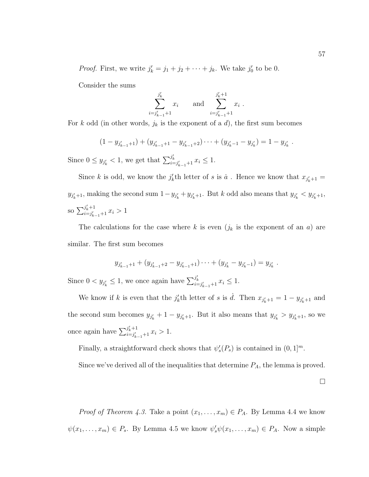*Proof.* First, we write  $j'_k = j_1 + j_2 + \cdots + j_k$ . We take  $j'_0$  to be 0.

Consider the sums

$$
\sum_{i=j'_{k-1}+1}^{j'_k} x_i \quad \text{and} \quad \sum_{i=j'_{k-1}+1}^{j'_k+1} x_i .
$$

For k odd (in other words,  $j_k$  is the exponent of a d), the first sum becomes

$$
(1-y_{j'_{k-1}+1})+(y_{j'_{k-1}+1}-y_{j'_{k-1}+2})\cdots+(y_{j'_{k}-1}-y_{j'_{k}})=1-y_{j'_{k}}.
$$

Since  $0 \le y_{j'_k} < 1$ , we get that  $\sum_{i=j'_{k-1}+1}^{j'_k} x_i \le 1$ .

Since k is odd, we know the  $j'_k$ <sup>th</sup> letter of s is  $\dot{a}$ . Hence we know that  $x_{j'_k+1} =$  $y_{j'_k+1}$ , making the second sum  $1 - y_{j'_k} + y_{j'_k+1}$ . But k odd also means that  $y_{j'_k} < y_{j'_k+1}$ , so  $\sum_{i=i'}^{j'_{k}+1}$  $\sum_{i=j'_{k-1}+1}^{j_k+1} x_i > 1$ 

The calculations for the case where k is even  $(j_k$  is the exponent of an a) are similar. The first sum becomes

$$
y_{j'_{k-1}+1} + (y_{j'_{k-1}+2} - y_{j'_{k-1}+1}) \cdots + (y_{j'_k} - y_{j'_k-1}) = y_{j'_k}.
$$
  
Since  $0 < y_{j'_k} \le 1$ , we once again have  $\sum_{i=j'_{k-1}+1}^{j'_k} x_i \le 1$ .

We know if k is even that the  $j'_k$ <sup>th</sup> letter of s is  $\dot{d}$ . Then  $x_{j'_k+1} = 1 - y_{j'_k+1}$  and the second sum becomes  $y_{j'_k} + 1 - y_{j'_k+1}$ . But it also means that  $y_{j'_k} > y_{j'_k+1}$ , so we once again have  $\sum_{i=i'}^{j'_{k}+1}$  $\sum_{i=j_{k-1}+1}^{j_k+1} x_i > 1.$ 

Finally, a straightforward check shows that  $\psi_s'(P_s)$  is contained in  $(0,1]^m$ .

Since we've derived all of the inequalities that determine  $P_A$ , the lemma is proved.

 $\Box$ 

*Proof of Theorem 4.3.* Take a point  $(x_1, \ldots, x_m) \in P_A$ . By Lemma 4.4 we know  $\psi(x_1,\ldots,x_m) \in P_s$ . By Lemma 4.5 we know  $\psi'_s \psi(x_1,\ldots,x_m) \in P_A$ . Now a simple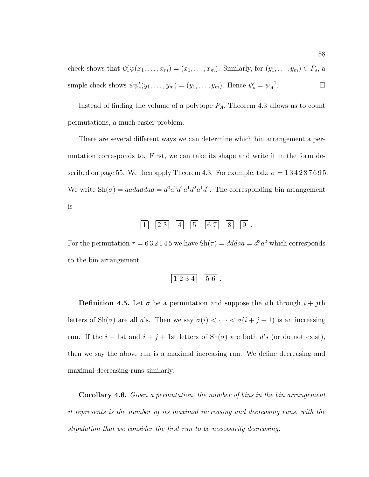check shows that  $\psi'_s \psi(x_1,\ldots,x_m)=(x_1,\ldots,x_m)$ . Similarly, for  $(y_1,\ldots,y_m) \in P_s$ , a simple check shows  $\psi \psi_s'(y_1,\ldots,y_m)=(y_1,\ldots,y_m)$ . Hence  $\psi_s'=\psi_A^{-1}$ .

Instead of finding the volume of a polytope  $P_A$ , Theorem 4.3 allows us to count permutations, a much easier problem.

There are several different ways we can determine which bin arrangement a permutation corresponds to. First, we can take its shape and write it in the form described on page 55. We then apply Theorem 4.3. For example, take  $\sigma = 134287695$ . We write  $\text{Sh}(\sigma) = a \text{ad} \text{ad} \text{ad} = d^0 a^2 d^1 a^1 d^2 a^1 d^1$ . The corresponding bin arrangement is



For the permutation  $\tau = 632145$  we have  $\text{Sh}(\tau) = ddda = d^3a^2$  which corresponds to the bin arrangement

$$
\begin{array}{|c|c|c|c|}\n\hline\n1 & 2 & 3 & 4 \\
\hline\n\end{array}\n\quad\n\begin{array}{|c|c|c|}\n\hline\n5 & 6 \\
\hline\n\end{array}.
$$

**Definition 4.5.** Let  $\sigma$  be a permutation and suppose the *i*th through  $i + j$ th letters of  $\text{Sh}(\sigma)$  are all a's. Then we say  $\sigma(i) < \cdots < \sigma(i + j + 1)$  is an increasing run. If the  $i - 1$ st and  $i + j + 1$ st letters of Sh( $\sigma$ ) are both d's (or do not exist), then we say the above run is a maximal increasing run. We define decreasing and maximal decreasing runs similarly.

**Corollary 4.6.** Given a permutation, the number of bins in the bin arrangement it represents is the number of its maximal increasing and decreasing runs, with the stipulation that we consider the first run to be necessarily decreasing.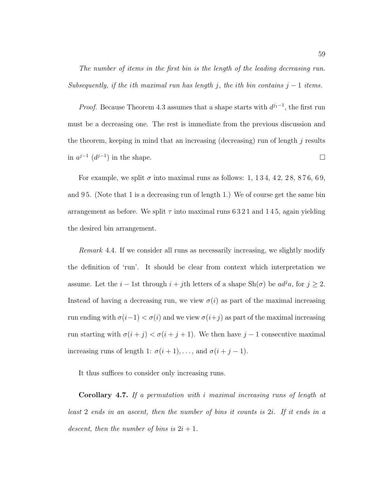The number of items in the first bin is the length of the leading decreasing run. Subsequently, if the ith maximal run has length j, the ith bin contains  $j - 1$  items.

*Proof.* Because Theorem 4.3 assumes that a shape starts with  $d^{j_1-1}$ , the first run must be a decreasing one. The rest is immediate from the previous discussion and the theorem, keeping in mind that an increasing (decreasing) run of length  $j$  results in  $a^{j-1}$  ( $d^{j-1}$ ) in the shape.  $\Box$ 

For example, we split  $\sigma$  into maximal runs as follows: 1, 134, 42, 28, 876, 69, and 9 5. (Note that 1 is a decreasing run of length 1.) We of course get the same bin arrangement as before. We split  $\tau$  into maximal runs 6321 and 145, again yielding the desired bin arrangement.

Remark 4.4. If we consider all runs as necessarily increasing, we slightly modify the definition of 'run'. It should be clear from context which interpretation we assume. Let the  $i - 1$ st through  $i + j$ th letters of a shape Sh( $\sigma$ ) be  $ad^j a$ , for  $j \geq 2$ . Instead of having a decreasing run, we view  $\sigma(i)$  as part of the maximal increasing run ending with  $\sigma(i-1) < \sigma(i)$  and we view  $\sigma(i+j)$  as part of the maximal increasing run starting with  $\sigma(i + j) < \sigma(i + j + 1)$ . We then have  $j - 1$  consecutive maximal increasing runs of length 1:  $\sigma(i + 1), \ldots$ , and  $\sigma(i + j - 1)$ .

It thus suffices to consider only increasing runs.

**Corollary 4.7.** If a permutation with i maximal increasing runs of length at least 2 ends in an ascent, then the number of bins it counts is 2i. If it ends in a descent, then the number of bins is  $2i + 1$ .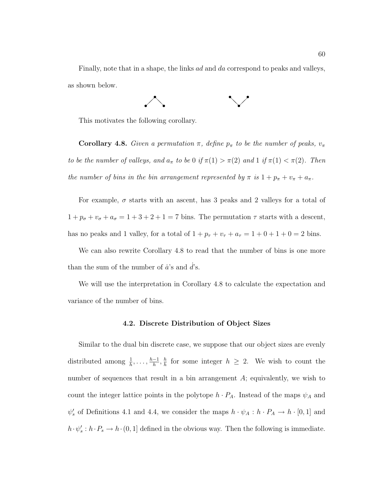Finally, note that in a shape, the links ad and da correspond to peaks and valleys, as shown below.



This motivates the following corollary.

**Corollary 4.8.** Given a permutation  $\pi$ , define  $p_{\pi}$  to be the number of peaks,  $v_{\pi}$ to be the number of valleys, and  $a_{\pi}$  to be 0 if  $\pi(1) > \pi(2)$  and 1 if  $\pi(1) < \pi(2)$ . Then the number of bins in the bin arrangement represented by  $\pi$  is  $1 + p_{\pi} + v_{\pi} + a_{\pi}$ .

For example,  $\sigma$  starts with an ascent, has 3 peaks and 2 valleys for a total of  $1 + p_{\sigma} + v_{\sigma} + a_{\sigma} = 1 + 3 + 2 + 1 = 7$  bins. The permutation  $\tau$  starts with a descent, has no peaks and 1 valley, for a total of  $1 + p_{\tau} + v_{\tau} + a_{\tau} = 1 + 0 + 1 + 0 = 2$  bins.

We can also rewrite Corollary 4.8 to read that the number of bins is one more than the sum of the number of  $\dot{a}$ 's and  $d$ 's.

We will use the interpretation in Corollary 4.8 to calculate the expectation and variance of the number of bins.

#### **4.2. Discrete Distribution of Object Sizes**

Similar to the dual bin discrete case, we suppose that our object sizes are evenly distributed among  $\frac{1}{h}, \ldots, \frac{h-1}{h}, \frac{h}{h}$  for some integer  $h \geq 2$ . We wish to count the number of sequences that result in a bin arrangement A; equivalently, we wish to count the integer lattice points in the polytope  $h \cdot P_A$ . Instead of the maps  $\psi_A$  and  $\psi_s'$  of Definitions 4.1 and 4.4, we consider the maps  $h \cdot \psi_A : h \cdot P_A \to h \cdot [0,1]$  and  $h \cdot \psi_s' : h \cdot P_s \to h \cdot (0, 1]$  defined in the obvious way. Then the following is immediate.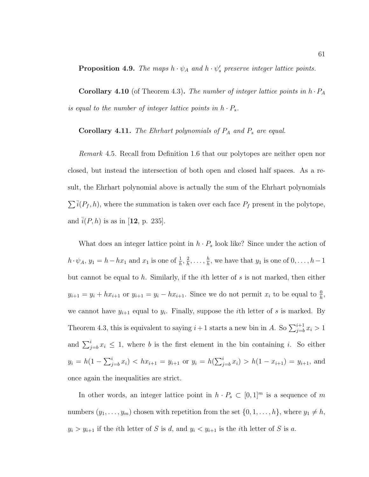**Proposition 4.9.** The maps  $h \cdot \psi_A$  and  $h \cdot \psi_s'$  preserve integer lattice points.

**Corollary 4.10** (of Theorem 4.3). The number of integer lattice points in  $h \cdot P_A$ is equal to the number of integer lattice points in  $h\cdot P_s.$ 

**Corollary 4.11.** The Ehrhart polynomials of  $P_A$  and  $P_s$  are equal.

Remark 4.5. Recall from Definition 1.6 that our polytopes are neither open nor closed, but instead the intersection of both open and closed half spaces. As a result, the Ehrhart polynomial above is actually the sum of the Ehrhart polynomials  $\sum \overline{i}(P_f, h)$ , where the summation is taken over each face  $P_f$  present in the polytope, and  $\bar{i}(P, h)$  is as in [12, p. 235].

What does an integer lattice point in  $h \cdot P_s$  look like? Since under the action of  $h \cdot \psi_A$ ,  $y_1 = h - hx_1$  and  $x_1$  is one of  $\frac{1}{h}, \frac{2}{h}, \ldots, \frac{h}{h}$ , we have that  $y_1$  is one of  $0, \ldots, h-1$ but cannot be equal to h. Similarly, if the i<sup>th</sup> letter of s is not marked, then either  $y_{i+1} = y_i + hx_{i+1}$  or  $y_{i+1} = y_i - hx_{i+1}$ . Since we do not permit  $x_i$  to be equal to  $\frac{0}{h}$ , we cannot have  $y_{i+1}$  equal to  $y_i$ . Finally, suppose the *i*th letter of *s* is marked. By Theorem 4.3, this is equivalent to saying  $i+1$  starts a new bin in A. So  $\sum_{j=b}^{i+1} x_j > 1$ and  $\sum_{j=b}^{i} x_i \leq 1$ , where b is the first element in the bin containing i. So either  $y_i = h(1 - \sum_{j=b}^{i} x_i) < hx_{i+1} = y_{i+1}$  or  $y_i = h(\sum_{j=b}^{i} x_i) > h(1 - x_{i+1}) = y_{i+1}$ , and once again the inequalities are strict.

In other words, an integer lattice point in  $h \cdot P_s \subset [0,1]^m$  is a sequence of m numbers  $(y_1, \ldots, y_m)$  chosen with repetition from the set  $\{0, 1, \ldots, h\}$ , where  $y_1 \neq h$ ,  $y_i > y_{i+1}$  if the *i*th letter of S is d, and  $y_i < y_{i+1}$  is the *i*th letter of S is a.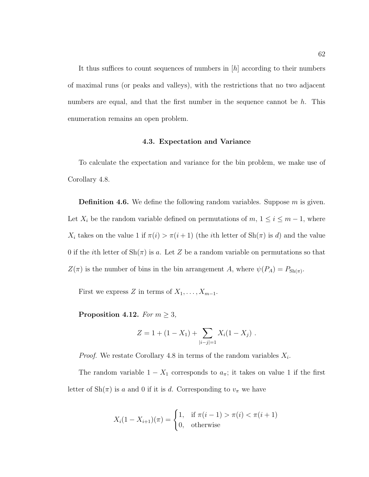It thus suffices to count sequences of numbers in [h] according to their numbers of maximal runs (or peaks and valleys), with the restrictions that no two adjacent numbers are equal, and that the first number in the sequence cannot be  $h$ . This enumeration remains an open problem.

#### **4.3. Expectation and Variance**

To calculate the expectation and variance for the bin problem, we make use of Corollary 4.8.

**Definition 4.6.** We define the following random variables. Suppose m is given. Let  $X_i$  be the random variable defined on permutations of  $m, 1 \leq i \leq m-1$ , where  $X_i$  takes on the value 1 if  $\pi(i) > \pi(i+1)$  (the *i*th letter of  $\text{Sh}(\pi)$  is *d*) and the value 0 if the *i*th letter of  $\text{Sh}(\pi)$  is a. Let Z be a random variable on permutations so that  $Z(\pi)$  is the number of bins in the bin arrangement A, where  $\psi(P_A) = P_{\text{Sh}(\pi)}$ .

First we express Z in terms of  $X_1, \ldots, X_{m-1}$ .

**Proposition 4.12.** For  $m \geq 3$ ,

$$
Z = 1 + (1 - X_1) + \sum_{|i-j|=1} X_i (1 - X_j) .
$$

*Proof.* We restate Corollary 4.8 in terms of the random variables  $X_i$ .

The random variable  $1 - X_1$  corresponds to  $a_{\pi}$ ; it takes on value 1 if the first letter of  $\text{Sh}(\pi)$  is a and 0 if it is d. Corresponding to  $v_{\pi}$  we have

$$
X_i(1 - X_{i+1})(\pi) = \begin{cases} 1, & \text{if } \pi(i-1) > \pi(i) < \pi(i+1) \\ 0, & \text{otherwise} \end{cases}
$$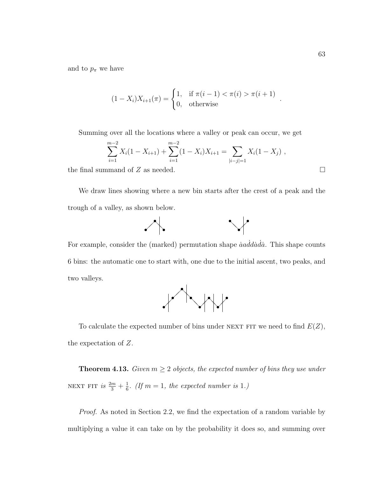and to  $p_{\pi}$  we have

$$
(1 - X_i)X_{i+1}(\pi) = \begin{cases} 1, & \text{if } \pi(i-1) < \pi(i) > \pi(i+1) \\ 0, & \text{otherwise} \end{cases}.
$$

Summing over all the locations where a valley or peak can occur, we get

$$
\sum_{i=1}^{m-2} X_i (1 - X_{i+1}) + \sum_{i=1}^{m-2} (1 - X_i) X_{i+1} = \sum_{|i-j|=1} X_i (1 - X_j) ,
$$

the final summand of  $Z$  as needed.

We draw lines showing where a new bin starts after the crest of a peak and the trough of a valley, as shown below.



For example, consider the (marked) permutation shape *aaddada*. This shape counts 6 bins: the automatic one to start with, one due to the initial ascent, two peaks, and two valleys.



To calculate the expected number of bins under NEXT FIT we need to find  $E(Z)$ , the expectation of Z.

**Theorem 4.13.** Given  $m \geq 2$  objects, the expected number of bins they use under NEXT FIT is  $\frac{2m}{3} + \frac{1}{6}$ . (If  $m = 1$ , the expected number is 1.)

Proof. As noted in Section 2.2, we find the expectation of a random variable by multiplying a value it can take on by the probability it does so, and summing over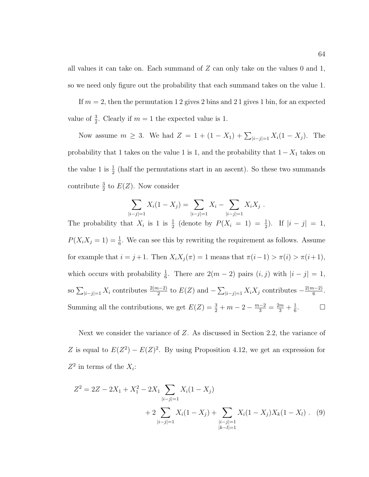all values it can take on. Each summand of  $Z$  can only take on the values 0 and 1, so we need only figure out the probability that each summand takes on the value 1.

If  $m = 2$ , then the permutation 12 gives 2 bins and 21 gives 1 bin, for an expected value of  $\frac{3}{2}$ . Clearly if  $m = 1$  the expected value is 1.

Now assume  $m \geq 3$ . We had  $Z = 1 + (1 - X_1) + \sum_{|i-j|=1} X_i (1 - X_j)$ . The probability that 1 takes on the value 1 is 1, and the probability that  $1-X_1$  takes on the value 1 is  $\frac{1}{2}$  (half the permutations start in an ascent). So these two summands contribute  $\frac{3}{2}$  to  $E(Z)$ . Now consider

$$
\sum_{|i-j|=1} X_i (1-X_j) = \sum_{|i-j|=1} X_i - \sum_{|i-j|=1} X_i X_j.
$$

The probability that  $X_i$  is 1 is  $\frac{1}{2}$  (denote by  $P(X_i = 1) = \frac{1}{2}$ ). If  $|i - j| = 1$ ,  $P(X_iX_j = 1) = \frac{1}{6}$ . We can see this by rewriting the requirement as follows. Assume for example that  $i = j + 1$ . Then  $X_i X_j(\pi) = 1$  means that  $\pi(i-1) > \pi(i) > \pi(i+1)$ , which occurs with probability  $\frac{1}{6}$ . There are  $2(m-2)$  pairs  $(i, j)$  with  $|i - j| = 1$ , so  $\sum_{|i-j|=1} X_i$  contributes  $\frac{2(m-2)}{2}$  to  $E(Z)$  and  $-\sum_{|i-j|=1} X_i X_j$  contributes  $-\frac{2(m-2)}{6}$ . Summing all the contributions, we get  $E(Z) = \frac{3}{2} + m - 2 - \frac{m-2}{3} = \frac{2m}{3} + \frac{1}{6}$ .

Next we consider the variance of Z. As discussed in Section 2.2, the variance of Z is equal to  $E(Z^2) - E(Z)^2$ . By using Proposition 4.12, we get an expression for  $Z^2$  in terms of the  $X_i$ :

$$
Z^{2} = 2Z - 2X_{1} + X_{1}^{2} - 2X_{1} \sum_{|i-j|=1} X_{i}(1 - X_{j}) + 2 \sum_{|i-j|=1} X_{i}(1 - X_{j}) + \sum_{\substack{|i-j|=1 \ |k-l|=1}} X_{i}(1 - X_{j})X_{k}(1 - X_{l}). \tag{9}
$$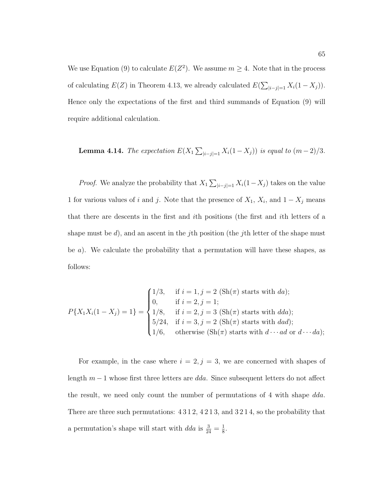We use Equation (9) to calculate  $E(Z^2)$ . We assume  $m \geq 4$ . Note that in the process of calculating  $E(Z)$  in Theorem 4.13, we already calculated  $E(\sum_{|i-j|=1} X_i(1-X_j)).$ Hence only the expectations of the first and third summands of Equation (9) will require additional calculation.

**Lemma 4.14.** The expectation  $E(X_1 \sum_{|i-j|=1} X_i(1 - X_j))$  is equal to  $(m-2)/3$ .

*Proof.* We analyze the probability that  $X_1 \sum_{|i-j|=1} X_i(1-X_j)$  takes on the value 1 for various values of i and j. Note that the presence of  $X_1$ ,  $X_i$ , and  $1 - X_j$  means that there are descents in the first and ith positions (the first and ith letters of a shape must be  $d$ ), and an ascent in the *j*th position (the *j*th letter of the shape must be a). We calculate the probability that a permutation will have these shapes, as follows:

$$
P\{X_1X_i(1-X_j)=1\} = \begin{cases} 1/3, & \text{if } i=1, j=2 \text{ (Sh}(\pi) \text{ starts with } da); \\ 0, & \text{if } i=2, j=1; \\ 1/8, & \text{if } i=2, j=3 \text{ (Sh}(\pi) \text{ starts with } dd); \\ 5/24, & \text{if } i=3, j=2 \text{ (Sh}(\pi) \text{ starts with } dad); \\ 1/6, & \text{otherwise (Sh}(\pi) \text{ starts with } d \cdots ad \text{ or } d \cdots da); \end{cases}
$$

For example, in the case where  $i = 2, j = 3$ , we are concerned with shapes of length  $m-1$  whose first three letters are dda. Since subsequent letters do not affect the result, we need only count the number of permutations of 4 with shape dda. There are three such permutations: 4 3 1 2, 4 2 1 3, and 3 2 1 4, so the probability that a permutation's shape will start with  $dda$  is  $\frac{3}{24} = \frac{1}{8}$ .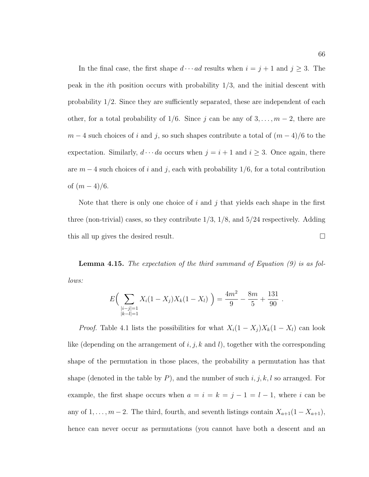In the final case, the first shape  $d \cdots ad$  results when  $i = j + 1$  and  $j \ge 3$ . The peak in the *i*th position occurs with probability  $1/3$ , and the initial descent with probability  $1/2$ . Since they are sufficiently separated, these are independent of each other, for a total probability of 1/6. Since j can be any of  $3, \ldots, m-2$ , there are  $m-4$  such choices of i and j, so such shapes contribute a total of  $(m-4)/6$  to the expectation. Similarly,  $d \cdots da$  occurs when  $j = i + 1$  and  $i \ge 3$ . Once again, there are  $m-4$  such choices of i and j, each with probability 1/6, for a total contribution of  $(m-4)/6$ .

Note that there is only one choice of i and j that yields each shape in the first three (non-trivial) cases, so they contribute  $1/3$ ,  $1/8$ , and  $5/24$  respectively. Adding this all up gives the desired result.

**Lemma 4.15.** The expectation of the third summand of Equation (9) is as follows:

$$
E\left(\sum_{\substack{|i-j|=1\\|k-l|=1}} X_i(1-X_j)X_k(1-X_l)\right) = \frac{4m^2}{9} - \frac{8m}{5} + \frac{131}{90}.
$$

*Proof.* Table 4.1 lists the possibilities for what  $X_i(1 - X_j)X_k(1 - X_l)$  can look like (depending on the arrangement of  $i, j, k$  and  $l$ ), together with the corresponding shape of the permutation in those places, the probability a permutation has that shape (denoted in the table by  $P$ ), and the number of such  $i, j, k, l$  so arranged. For example, the first shape occurs when  $a = i = k = j - 1 = l - 1$ , where i can be any of 1,...,m − 2. The third, fourth, and seventh listings contain  $X_{a+1}(1 - X_{a+1})$ , hence can never occur as permutations (you cannot have both a descent and an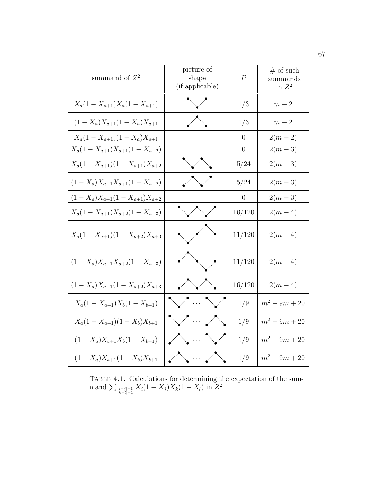| summand of $Z^2$                       | picture of<br>shape<br>(if applicable)                                             | $\boldsymbol{P}$ | $#$ of such<br>summands<br>in $Z^2$ |
|----------------------------------------|------------------------------------------------------------------------------------|------------------|-------------------------------------|
| $X_a(1-X_{a+1})X_a(1-X_{a+1})$         | $\searrow$                                                                         | 1/3              | $m-2$                               |
| $(1 - X_a)X_{a+1}(1 - X_a)X_{a+1}$     | $\bigwedge$                                                                        | 1/3              | $m-2\,$                             |
| $X_a(1-X_{a+1})(1-X_a)X_{a+1}$         |                                                                                    | $\theta$         | $2(m-2)$                            |
| $X_a(1-X_{a+1})X_{a+1}(1-X_{a+2})$     |                                                                                    | $\boldsymbol{0}$ | $2(m-3)$                            |
| $X_a(1-X_{a+1})(1-X_{a+1})X_{a+2}$     | $\searrow$ $\searrow$                                                              | $5/24\,$         | $2(m-3)$                            |
| $(1 - X_a)X_{a+1}X_{a+1}(1 - X_{a+2})$ | $\bigvee$                                                                          | 5/24             | $2(m-3)$                            |
| $(1-X_a)X_{a+1}(1-X_{a+1})X_{a+2}$     |                                                                                    | $\overline{0}$   | $2(m-3)$                            |
| $X_a(1-X_{a+1})X_{a+2}(1-X_{a+3})$     | $\searrow$                                                                         | 16/120           | $2(m-4)$                            |
| $X_a(1-X_{a+1})(1-X_{a+2})X_{a+3}$     | $\sim$ $\sim$                                                                      | 11/120           | $2(m-4)$                            |
| $(1 - X_a)X_{a+1}X_{a+2}(1 - X_{a+3})$ | $\left\langle \left\langle \left\langle \right\rangle \right\rangle \right\rangle$ | 11/120           | $2(m-4)$                            |
| $(1 - X_a)X_{a+1}(1 - X_{a+2})X_{a+3}$ | $\bigwedge$                                                                        | 16/120           | $2(m-4)$                            |
| $X_a(1-X_{a+1})X_b(1-X_{b+1})$         | $\vee$ and $\vee$                                                                  | 1/9              | $m^2 - 9m + 20$                     |
| $X_a(1-X_{a+1})(1-X_b)X_{b+1}$         | $\bigvee \cdots \bigwedge$                                                         | 1/9              | $m^2 - 9m + 20$                     |
| $(1 - X_a)X_{a+1}X_b(1 - X_{b+1})$     | $\bigwedge \cdots \bigvee$                                                         | 1/9              | $m^2 - 9m + 20$                     |
| $(1 - X_a)X_{a+1}(1 - X_b)X_{b+1}$     | $\bigwedge \cdots \bigwedge$                                                       | 1/9              | $m^2 - 9m + 20$                     |

TABLE 4.1. Calculations for determining the expectation of the sum- $\text{mand } \sum_{\substack{|i-j|=1 \ k-l|=1}} X_i(1-X_j)X_k(1-X_l)$  in  $Z^2$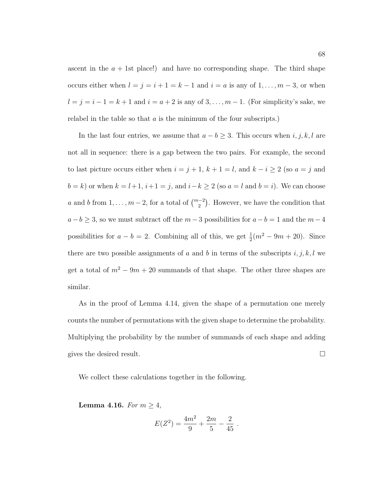ascent in the  $a + 1$ st place!) and have no corresponding shape. The third shape occurs either when  $l = j = i + 1 = k - 1$  and  $i = a$  is any of  $1, \ldots, m - 3$ , or when  $l = j = i - 1 = k + 1$  and  $i = a + 2$  is any of  $3, \ldots, m - 1$ . (For simplicity's sake, we relabel in the table so that  $a$  is the minimum of the four subscripts.)

In the last four entries, we assume that  $a - b \geq 3$ . This occurs when  $i, j, k, l$  are not all in sequence: there is a gap between the two pairs. For example, the second to last picture occurs either when  $i = j + 1$ ,  $k + 1 = l$ , and  $k - i \ge 2$  (so  $a = j$  and  $b = k$ ) or when  $k = l+1$ ,  $i+1 = j$ , and  $i-k \geq 2$  (so  $a = l$  and  $b = i$ ). We can choose a and b from  $1, \ldots, m-2$ , for a total of  $\binom{m-2}{2}$ . However, we have the condition that  $a - b \geq 3$ , so we must subtract off the  $m - 3$  possibilities for  $a - b = 1$  and the  $m - 4$ possibilities for  $a - b = 2$ . Combining all of this, we get  $\frac{1}{2}(m^2 - 9m + 20)$ . Since there are two possible assignments of a and b in terms of the subscripts  $i, j, k, l$  we get a total of  $m^2 - 9m + 20$  summands of that shape. The other three shapes are similar.

As in the proof of Lemma 4.14, given the shape of a permutation one merely counts the number of permutations with the given shape to determine the probability. Multiplying the probability by the number of summands of each shape and adding gives the desired result.  $\Box$ 

We collect these calculations together in the following.

**Lemma 4.16.** For  $m \geq 4$ ,

$$
E(Z^2) = \frac{4m^2}{9} + \frac{2m}{5} - \frac{2}{45}.
$$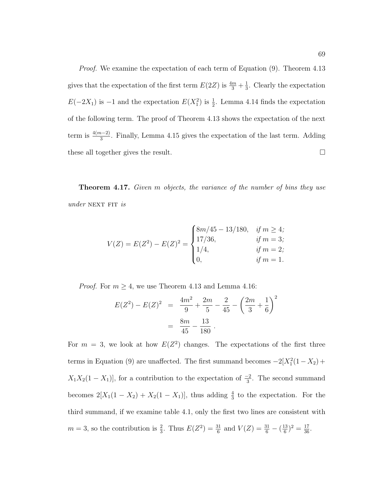*Proof.* We examine the expectation of each term of Equation (9). Theorem 4.13 gives that the expectation of the first term  $E(2Z)$  is  $\frac{4m}{3} + \frac{1}{3}$ . Clearly the expectation  $E(-2X_1)$  is  $-1$  and the expectation  $E(X_1^2)$  is  $\frac{1}{2}$ . Lemma 4.14 finds the expectation of the following term. The proof of Theorem 4.13 shows the expectation of the next term is  $\frac{4(m-2)}{3}$ . Finally, Lemma 4.15 gives the expectation of the last term. Adding these all together gives the result.

**Theorem 4.17.** Given m objects, the variance of the number of bins they use  $under$  NEXT FIT is

$$
V(Z) = E(Z2) - E(Z)2 = \begin{cases} 8m/45 - 13/180, & if m \ge 4; \\ 17/36, & if m = 3; \\ 1/4, & if m = 2; \\ 0, & if m = 1. \end{cases}
$$

*Proof.* For  $m \geq 4$ , we use Theorem 4.13 and Lemma 4.16:

$$
E(Z^{2}) - E(Z)^{2} = \frac{4m^{2}}{9} + \frac{2m}{5} - \frac{2}{45} - \left(\frac{2m}{3} + \frac{1}{6}\right)^{2}
$$

$$
= \frac{8m}{45} - \frac{13}{180}.
$$

For  $m = 3$ , we look at how  $E(Z^2)$  changes. The expectations of the first three terms in Equation (9) are unaffected. The first summand becomes  $-2[X_1^2(1-X_2)+$  $X_1X_2(1-X_1)$ , for a contribution to the expectation of  $\frac{-2}{3}$ . The second summand becomes  $2[X_1(1 - X_2) + X_2(1 - X_1)]$ , thus adding  $\frac{4}{3}$  to the expectation. For the third summand, if we examine table 4.1, only the first two lines are consistent with  $m = 3$ , so the contribution is  $\frac{2}{3}$ . Thus  $E(Z^2) = \frac{31}{6}$  and  $V(Z) = \frac{31}{6} - (\frac{13}{6})^2 = \frac{17}{36}$ .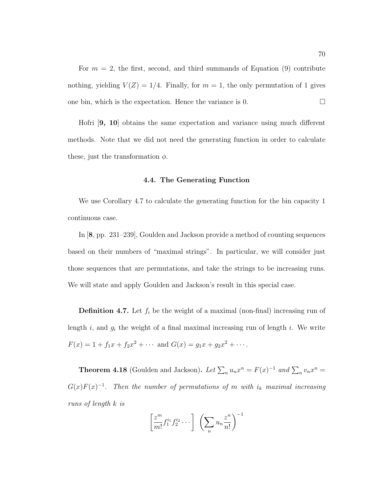For  $m = 2$ , the first, second, and third summands of Equation (9) contribute nothing, yielding  $V(Z)=1/4$ . Finally, for  $m = 1$ , the only permutation of 1 gives one bin, which is the expectation. Hence the variance is 0.  $\Box$ 

Hofri [**9, 10**] obtains the same expectation and variance using much different methods. Note that we did not need the generating function in order to calculate these, just the transformation  $\phi$ .

#### **4.4. The Generating Function**

We use Corollary 4.7 to calculate the generating function for the bin capacity 1 continuous case.

In [**8**, pp. 231–239], Goulden and Jackson provide a method of counting sequences based on their numbers of "maximal strings". In particular, we will consider just those sequences that are permutations, and take the strings to be increasing runs. We will state and apply Goulden and Jackson's result in this special case.

**Definition 4.7.** Let  $f_i$  be the weight of a maximal (non-final) increasing run of length  $i$ , and  $g_i$  the weight of a final maximal increasing run of length  $i$ . We write  $F(x) = 1 + f_1x + f_2x^2 + \cdots$  and  $G(x) = g_1x + g_2x^2 + \cdots$ .

**Theorem 4.18** (Goulden and Jackson). Let  $\sum_{n} u_n x^n = F(x)^{-1}$  and  $\sum_{n} v_n x^n =$  $G(x)F(x)^{-1}$ . Then the number of permutations of m with i<sub>k</sub> maximal increasing runs of length k is

$$
\left[\frac{z^m}{m!}f_1^{i_1}f_2^{i_2}\cdots\right] \left(\sum_n u_n\frac{z^n}{n!}\right)^{-1}
$$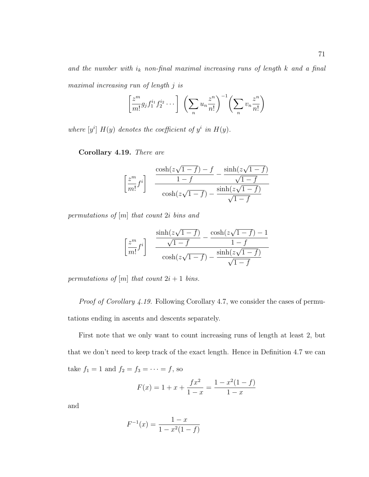and the number with  $i_k$  non-final maximal increasing runs of length  $k$  and a final maximal increasing run of length j is

$$
\left[\frac{z^m}{m!}g_jf_1^{i_1}f_2^{i_2}\cdots\right] \left(\sum_n u_n\frac{z^n}{n!}\right)^{-1} \left(\sum_n v_n\frac{z^n}{n!}\right)
$$

where  $[y^i] H(y)$  denotes the coefficient of  $y^i$  in  $H(y)$ .

**Corollary 4.19.** There are

$$
\left[\frac{z^m}{m!}f^i\right] \frac{\cosh(z\sqrt{1-f}) - f}{1-f} - \frac{\sinh(z\sqrt{1-f})}{\sqrt{1-f}}}{\cosh(z\sqrt{1-f}) - \frac{\sinh(z\sqrt{1-f})}{\sqrt{1-f}}}
$$

permutations of [m] that count 2i bins and

$$
\left[\frac{z^m}{m!}f^i\right] \frac{\frac{\sinh(z\sqrt{1-f})}{\sqrt{1-f}} - \frac{\cosh(z\sqrt{1-f}) - 1}{1-f}}{\cosh(z\sqrt{1-f}) - \frac{\sinh(z\sqrt{1-f})}{\sqrt{1-f}}}
$$

permutations of  $[m]$  that count  $2i + 1$  bins.

Proof of Corollary 4.19. Following Corollary 4.7, we consider the cases of permutations ending in ascents and descents separately.

First note that we only want to count increasing runs of length at least 2, but that we don't need to keep track of the exact length. Hence in Definition 4.7 we can take  $f_1 = 1$  and  $f_2 = f_3 = \cdots = f$ , so

$$
F(x) = 1 + x + \frac{fx^2}{1 - x} = \frac{1 - x^2(1 - f)}{1 - x}
$$

and

$$
F^{-1}(x) = \frac{1-x}{1 - x^2(1 - f)}
$$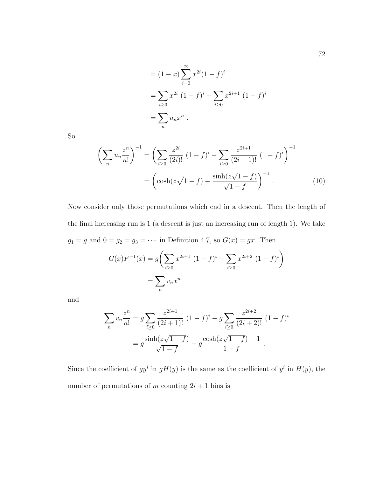$$
= (1 - x) \sum_{i=0}^{\infty} x^{2i} (1 - f)^i
$$
  
= 
$$
\sum_{i\geq 0} x^{2i} (1 - f)^i - \sum_{i\geq 0} x^{2i+1} (1 - f)^i
$$
  
= 
$$
\sum_{n} u_n x^n.
$$

So

$$
\left(\sum_{n} u_{n} \frac{z^{n}}{n!}\right)^{-1} = \left(\sum_{i \geq 0} \frac{z^{2i}}{(2i)!} (1-f)^{i} - \sum_{i \geq 0} \frac{z^{2i+1}}{(2i+1)!} (1-f)^{i}\right)^{-1}
$$

$$
= \left(\cosh(z\sqrt{1-f}) - \frac{\sinh(z\sqrt{1-f})}{\sqrt{1-f}}\right)^{-1}.
$$
 (10)

Now consider only those permutations which end in a descent. Then the length of the final increasing run is 1 (a descent is just an increasing run of length 1). We take  $g_1 = g$  and  $0 = g_2 = g_3 = \cdots$  in Definition 4.7, so  $G(x) = gx$ . Then

$$
G(x)F^{-1}(x) = g\left(\sum_{i\geq 0} x^{2i+1} (1-f)^i - \sum_{i\geq 0} x^{2i+2} (1-f)^i\right)
$$

$$
= \sum_n v_n x^n
$$

and

$$
\sum_{n} v_n \frac{z^n}{n!} = g \sum_{i \ge 0} \frac{z^{2i+1}}{(2i+1)!} (1-f)^i - g \sum_{i \ge 0} \frac{z^{2i+2}}{(2i+2)!} (1-f)^i
$$

$$
= g \frac{\sinh(z\sqrt{1-f})}{\sqrt{1-f}} - g \frac{\cosh(z\sqrt{1-f}) - 1}{1-f}.
$$

Since the coefficient of  $gy^i$  in  $gH(y)$  is the same as the coefficient of  $y^i$  in  $H(y)$ , the number of permutations of m counting  $2i + 1$  bins is

72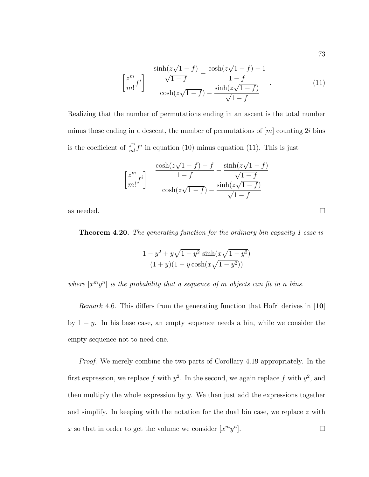$$
\left[\frac{z^m}{m!}f^i\right] \frac{\frac{\sinh(z\sqrt{1-f})}{\sqrt{1-f}} - \frac{\cosh(z\sqrt{1-f}) - 1}{1-f}}{\cosh(z\sqrt{1-f}) - \frac{\sinh(z\sqrt{1-f})}{\sqrt{1-f}}}
$$
(11)

Realizing that the number of permutations ending in an ascent is the total number minus those ending in a descent, the number of permutations of  $[m]$  counting 2*i* bins is the coefficient of  $\frac{z^m}{m!} f^i$  in equation (10) minus equation (11). This is just

$$
\left[\frac{z^m}{m!}f^i\right] \frac{\cosh(z\sqrt{1-f}) - f}{\cosh(z\sqrt{1-f})} - \frac{\sinh(z\sqrt{1-f})}{\sqrt{1-f}} - \frac{\sinh(z\sqrt{1-f})}{\sqrt{1-f}}
$$

as needed.  $\Box$ 

**Theorem 4.20.** The generating function for the ordinary bin capacity 1 case is

$$
\frac{1 - y^2 + y\sqrt{1 - y^2}\sinh(x\sqrt{1 - y^2})}{(1 + y)(1 - y\cosh(x\sqrt{1 - y^2}))}
$$

where  $[x^my^n]$  is the probability that a sequence of m objects can fit in n bins.

Remark 4.6. This differs from the generating function that Hofri derives in [**10**] by  $1 - y$ . In his base case, an empty sequence needs a bin, while we consider the empty sequence not to need one.

Proof. We merely combine the two parts of Corollary 4.19 appropriately. In the first expression, we replace f with  $y^2$ . In the second, we again replace f with  $y^2$ , and then multiply the whole expression by  $y$ . We then just add the expressions together and simplify. In keeping with the notation for the dual bin case, we replace  $z$  with x so that in order to get the volume we consider  $[x^m y^n]$ .

73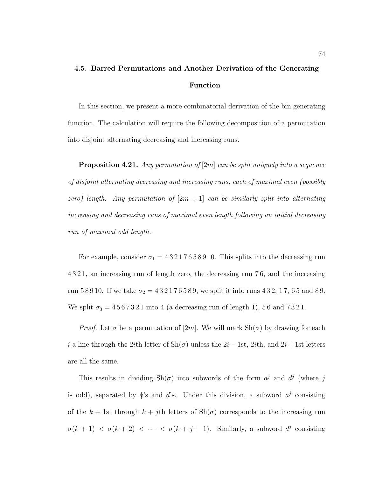# **4.5. Barred Permutations and Another Derivation of the Generating Function**

In this section, we present a more combinatorial derivation of the bin generating function. The calculation will require the following decomposition of a permutation into disjoint alternating decreasing and increasing runs.

**Proposition 4.21.** Any permutation of [2m] can be split uniquely into a sequence of disjoint alternating decreasing and increasing runs, each of maximal even (possibly zero) length. Any permutation of  $[2m + 1]$  can be similarly split into alternating increasing and decreasing runs of maximal even length following an initial decreasing run of maximal odd length.

For example, consider  $\sigma_1 = 43217658910$ . This splits into the decreasing run 4 3 2 1, an increasing run of length zero, the decreasing run 7 6, and the increasing run 5 8 9 10. If we take  $\sigma_2 = 432176589$ , we split it into runs 4 3 2, 1 7, 6 5 and 8 9. We split  $\sigma_3 = 4567321$  into 4 (a decreasing run of length 1), 56 and 7321.

*Proof.* Let  $\sigma$  be a permutation of [2m]. We will mark  $\text{Sh}(\sigma)$  by drawing for each i a line through the 2ith letter of  $\text{Sh}(\sigma)$  unless the 2i – 1st, 2ith, and 2i + 1st letters are all the same.

This results in dividing  $\text{Sh}(\sigma)$  into subwords of the form  $a^j$  and  $d^j$  (where j is odd), separated by  $\phi$ 's and  $\phi'$ 's. Under this division, a subword  $a^j$  consisting of the  $k + 1$ st through  $k + j$ th letters of  $\text{Sh}(\sigma)$  corresponds to the increasing run  $\sigma(k + 1) < \sigma(k + 2) < \cdots < \sigma(k + j + 1)$ . Similarly, a subword  $d^j$  consisting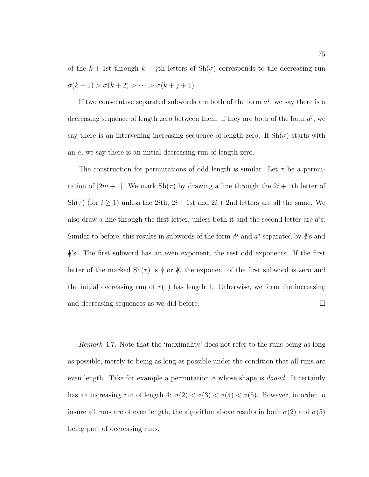of the  $k + 1$ st through  $k + j$ th letters of  $\text{Sh}(\sigma)$  corresponds to the decreasing run  $\sigma(k + 1) > \sigma(k + 2) > \cdots > \sigma(k + j + 1).$ 

If two consecutive separated subwords are both of the form  $a^j$ , we say there is a decreasing sequence of length zero between them; if they are both of the form  $d^j$ , we say there is an intervening increasing sequence of length zero. If  $\text{Sh}(\sigma)$  starts with an a, we say there is an initial decreasing run of length zero.

The construction for permutations of odd length is similar. Let  $\tau$  be a permutation of  $[2m + 1]$ . We mark  $\text{Sh}(\tau)$  by drawing a line through the  $2i + 1$ th letter of Sh( $\tau$ ) (for  $i \geq 1$ ) unless the 2*i*th, 2*i* + 1st and 2*i* + 2nd letters are all the same. We also draw a line through the first letter, unless both it and the second letter are  $d$ 's. Similar to before, this results in subwords of the form  $d^j$  and  $a^j$  separated by  $d$ 's and  $\phi$ 's. The first subword has an even exponent, the rest odd exponents. If the first letter of the marked  $\text{Sh}(\tau)$  is  $\phi$  or  $\phi$ , the exponent of the first subword is zero and the initial decreasing run of  $\tau(1)$  has length 1. Otherwise, we form the increasing and decreasing sequences as we did before.

Remark 4.7. Note that the 'maximality' does not refer to the runs being as long as possible, merely to being as long as possible under the condition that all runs are even length. Take for example a permutation  $\sigma$  whose shape is *daaad*. It certainly has an increasing run of length 4:  $\sigma(2) < \sigma(3) < \sigma(4) < \sigma(5)$ . However, in order to insure all runs are of even length, the algorithm above results in both  $\sigma(2)$  and  $\sigma(5)$ being part of decreasing runs.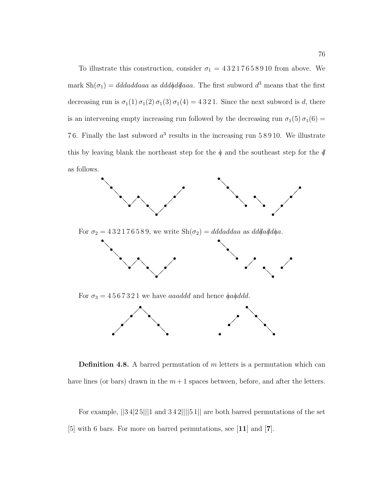To illustrate this construction, consider  $\sigma_1 = 43217658910$  from above. We mark  $\text{Sh}(\sigma_1) = d\text{d}\text{d}\text{d}\text{d}\text{d}\text{d}\text{a}$ aa as  $\text{d}\text{d}\text{d}\text{d}\text{d}\text{d}\text{a}$ aa. The first subword  $d^3$  means that the first decreasing run is  $\sigma_1(1) \sigma_1(2) \sigma_1(3) \sigma_1(4) = 4321$ . Since the next subword is d, there is an intervening empty increasing run followed by the decreasing run  $\sigma_1(5)\sigma_1(6)$  = 76. Finally the last subword  $a^3$  results in the increasing run 58910. We illustrate this by leaving blank the northeast step for the  $\phi$  and the southeast step for the  $\phi$ as follows.



**Definition 4.8.** A barred permutation of m letters is a permutation which can have lines (or bars) drawn in the  $m+1$  spaces between, before, and after the letters.

For example, ||3 4|2 5|||1 and 3 4 2||||5 1|| are both barred permutations of the set [5] with 6 bars. For more on barred permutations, see [**11**] and [**7**].

 $\blacksquare$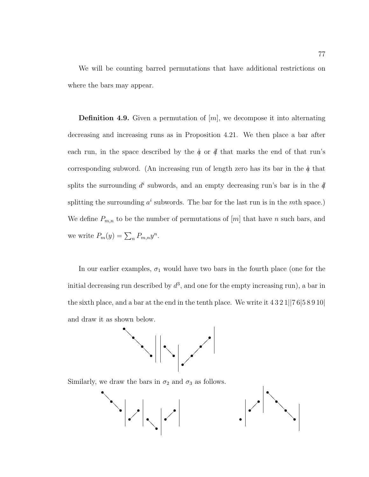We will be counting barred permutations that have additional restrictions on where the bars may appear.

**Definition 4.9.** Given a permutation of [m], we decompose it into alternating decreasing and increasing runs as in Proposition 4.21. We then place a bar after each run, in the space described by the  $\phi$  or  $\phi$  that marks the end of that run's corresponding subword. (An increasing run of length zero has its bar in the  $\phi$  that splits the surrounding  $d^i$  subwords, and an empty decreasing run's bar is in the  $\oint$ splitting the surrounding  $a^i$  subwords. The bar for the last run is in the mth space.) We define  $P_{m,n}$  to be the number of permutations of  $[m]$  that have n such bars, and we write  $P_m(y) = \sum_n P_{m,n} y^n$ .

In our earlier examples,  $\sigma_1$  would have two bars in the fourth place (one for the initial decreasing run described by  $d^3$ , and one for the empty increasing run), a bar in the sixth place, and a bar at the end in the tenth place. We write it  $4321||76|58910|$ and draw it as shown below.



Similarly, we draw the bars in  $\sigma_2$  and  $\sigma_3$  as follows.

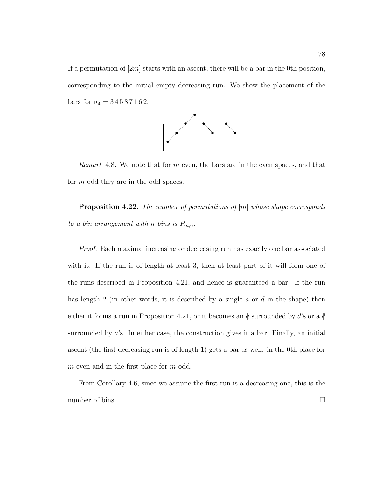If a permutation of  $[2m]$  starts with an ascent, there will be a bar in the 0th position, corresponding to the initial empty decreasing run. We show the placement of the bars for  $\sigma_4 = 34587162$ .



Remark 4.8. We note that for m even, the bars are in the even spaces, and that for *m* odd they are in the odd spaces.

**Proposition 4.22.** The number of permutations of  $[m]$  whose shape corresponds to a bin arrangement with n bins is  $P_{m,n}$ .

Proof. Each maximal increasing or decreasing run has exactly one bar associated with it. If the run is of length at least 3, then at least part of it will form one of the runs described in Proposition 4.21, and hence is guaranteed a bar. If the run has length 2 (in other words, it is described by a single  $a$  or  $d$  in the shape) then either it forms a run in Proposition 4.21, or it becomes an  $\phi$  surrounded by d's or a  $\phi$ surrounded by  $a$ 's. In either case, the construction gives it a bar. Finally, an initial ascent (the first decreasing run is of length 1) gets a bar as well: in the 0th place for m even and in the first place for m odd.

From Corollary 4.6, since we assume the first run is a decreasing one, this is the number of bins.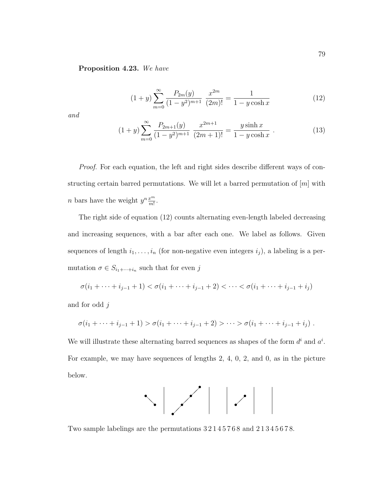#### **Proposition 4.23.** We have

$$
(1+y)\sum_{m=0}^{\infty} \frac{P_{2m}(y)}{(1-y^2)^{m+1}} \frac{x^{2m}}{(2m)!} = \frac{1}{1-y\cosh x}
$$
 (12)

and

$$
(1+y)\sum_{m=0}^{\infty} \frac{P_{2m+1}(y)}{(1-y^2)^{m+1}} \frac{x^{2m+1}}{(2m+1)!} = \frac{y \sinh x}{1-y \cosh x}.
$$
 (13)

Proof. For each equation, the left and right sides describe different ways of constructing certain barred permutations. We will let a barred permutation of  $[m]$  with *n* bars have the weight  $y^n \frac{x^m}{m!}$ .

The right side of equation (12) counts alternating even-length labeled decreasing and increasing sequences, with a bar after each one. We label as follows. Given sequences of length  $i_1, \ldots, i_n$  (for non-negative even integers  $i_j$ ), a labeling is a permutation  $\sigma \in S_{i_1+\cdots+i_n}$  such that for even  $j$ 

$$
\sigma(i_1 + \dots + i_{j-1} + 1) < \sigma(i_1 + \dots + i_{j-1} + 2) < \dots < \sigma(i_1 + \dots + i_{j-1} + i_j)
$$

and for odd j

$$
\sigma(i_1 + \dots + i_{j-1} + 1) > \sigma(i_1 + \dots + i_{j-1} + 2) > \dots > \sigma(i_1 + \dots + i_{j-1} + i_j).
$$

We will illustrate these alternating barred sequences as shapes of the form  $d^i$  and  $a^i$ . For example, we may have sequences of lengths 2, 4, 0, 2, and 0, as in the picture below.



Two sample labelings are the permutations 3 2 1 4 5 7 6 8 and 2 1 3 4 5 6 7 8.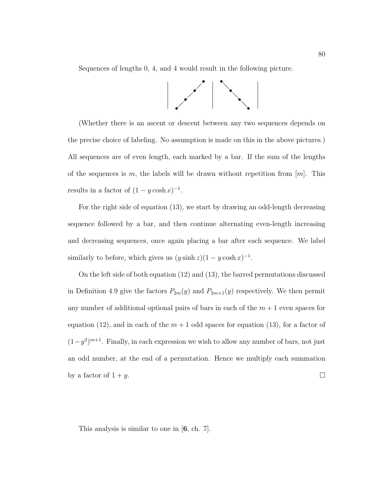Sequences of lengths 0, 4, and 4 would result in the following picture.



(Whether there is an ascent or descent between any two sequences depends on the precise choice of labeling. No assumption is made on this in the above pictures.) All sequences are of even length, each marked by a bar. If the sum of the lengths of the sequences is m, the labels will be drawn without repetition from  $[m]$ . This results in a factor of  $(1 - y \cosh x)^{-1}$ .

For the right side of equation (13), we start by drawing an odd-length decreasing sequence followed by a bar, and then continue alternating even-length increasing and decreasing sequences, once again placing a bar after each sequence. We label similarly to before, which gives us  $(y \sinh z)(1 - y \cosh x)^{-1}$ .

On the left side of both equation (12) and (13), the barred permutations discussed in Definition 4.9 give the factors  $P_{2m}(y)$  and  $P_{2m+1}(y)$  respectively. We then permit any number of additional optional pairs of bars in each of the  $m + 1$  even spaces for equation (12), and in each of the  $m+1$  odd spaces for equation (13), for a factor of  $(1-y^2)^{m+1}$ . Finally, in each expression we wish to allow any number of bars, not just an odd number, at the end of a permutation. Hence we multiply each summation by a factor of  $1 + y$ .

This analysis is similar to one in [**6**, ch. 7].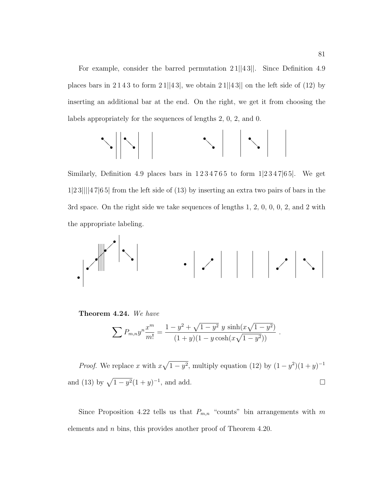For example, consider the barred permutation 21||43||. Since Definition 4.9 places bars in 2143 to form  $21||43|$ , we obtain  $21||43||$  on the left side of (12) by inserting an additional bar at the end. On the right, we get it from choosing the labels appropriately for the sequences of lengths 2, 0, 2, and 0.

$$
\sim ||\cdot|| \qquad \qquad \cdot || \cdot ||
$$

Similarly, Definition 4.9 places bars in  $1234765$  to form  $1|2347|65$ . We get 1|2 3||||4 7|6 5| from the left side of (13) by inserting an extra two pairs of bars in the 3rd space. On the right side we take sequences of lengths 1, 2, 0, 0, 0, 2, and 2 with the appropriate labeling.

$$
\left\| \mathcal{A}^{\mathcal{C}}_{\mathcal{A}} \right\| \leq \left\| \mathcal{A}^{\mathcal{C}}_{\mathcal{A}} \right\| \leq \left\| \mathcal{A}^{\mathcal{C}}_{\mathcal{A}} \right\| \leq \left\| \mathcal{A}^{\mathcal{C}}_{\mathcal{A}} \right\| \leq \left\| \mathcal{A}^{\mathcal{C}}_{\mathcal{A}} \right\| \leq \left\| \mathcal{A}^{\mathcal{C}}_{\mathcal{A}} \right\| \leq \left\| \mathcal{A}^{\mathcal{C}}_{\mathcal{A}} \right\| \leq \left\| \mathcal{A}^{\mathcal{C}}_{\mathcal{A}} \right\| \leq \left\| \mathcal{A}^{\mathcal{C}}_{\mathcal{A}} \right\| \leq \left\| \mathcal{A}^{\mathcal{C}}_{\mathcal{A}} \right\| \leq \left\| \mathcal{A}^{\mathcal{C}}_{\mathcal{A}} \right\| \leq \left\| \mathcal{A}^{\mathcal{C}}_{\mathcal{A}} \right\| \leq \left\| \mathcal{A}^{\mathcal{C}}_{\mathcal{A}} \right\| \leq \left\| \mathcal{A}^{\mathcal{C}}_{\mathcal{A}} \right\| \leq \left\| \mathcal{A}^{\mathcal{C}}_{\mathcal{A}} \right\| \leq \left\| \mathcal{A}^{\mathcal{C}}_{\mathcal{A}} \right\| \leq \left\| \mathcal{A}^{\mathcal{C}}_{\mathcal{A}} \right\| \leq \left\| \mathcal{A}^{\mathcal{C}}_{\mathcal{A}} \right\| \leq \left\| \mathcal{A}^{\mathcal{C}}_{\mathcal{A}} \right\| \leq \left\| \mathcal{A}^{\mathcal{C}}_{\mathcal{A}} \right\| \leq \left\| \mathcal{A}^{\mathcal{C}}_{\mathcal{A}} \right\| \leq \left\| \mathcal{A}^{\mathcal{C}}_{\mathcal{A}} \right\| \leq \left\| \mathcal{A}^{\mathcal{C}}_{\mathcal{A}} \right\| \leq \left\| \mathcal{A}^{\mathcal{C}}_{\mathcal{A}} \right\| \leq \left\| \mathcal{A}^{\mathcal{C
$$

**Theorem 4.24.** We have

$$
\sum P_{m,n} y^n \frac{x^m}{m!} = \frac{1 - y^2 + \sqrt{1 - y^2} \ y \sinh(x\sqrt{1 - y^2})}{(1 + y)(1 - y \cosh(x\sqrt{1 - y^2}))}.
$$

*Proof.* We replace x with  $x\sqrt{1-y^2}$ , multiply equation (12) by  $(1-y^2)(1+y)^{-1}$ and (13) by  $\sqrt{1 - y^2}(1 + y)^{-1}$ , and add.  $□$ 

Since Proposition 4.22 tells us that  $P_{m,n}$  "counts" bin arrangements with m elements and n bins, this provides another proof of Theorem 4.20.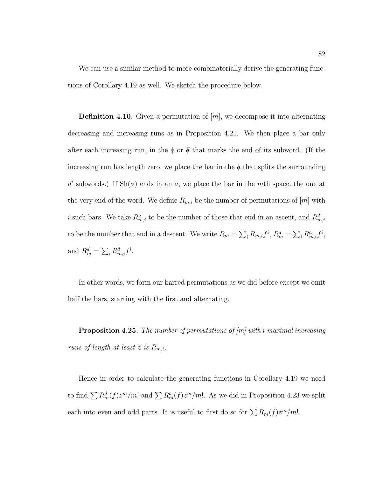We can use a similar method to more combinatorially derive the generating functions of Corollary 4.19 as well. We sketch the procedure below.

**Definition 4.10.** Given a permutation of  $[m]$ , we decompose it into alternating decreasing and increasing runs as in Proposition 4.21. We then place a bar only after each increasing run, in the  $\phi$  or  $\phi$  that marks the end of its subword. (If the increasing run has length zero, we place the bar in the  $\phi$  that splits the surrounding  $d^i$  subwords.) If  $\text{Sh}(\sigma)$  ends in an a, we place the bar in the mth space, the one at the very end of the word. We define  $R_{m,i}$  be the number of permutations of  $[m]$  with i such bars. We take  $R_{m,i}^a$  to be the number of those that end in an ascent, and  $R_{m,i}^d$ to be the number that end in a descent. We write  $R_m = \sum_i R_{m,i} f^i$ ,  $R_m^a = \sum_i R_{m,i}^a f^i$ , and  $R_m^d = \sum_i R_{m,i}^d f^i$ .

In other words, we form our barred permutations as we did before except we omit half the bars, starting with the first and alternating.

**Proposition 4.25.** The number of permutations of  $[m]$  with i maximal increasing runs of length at least 2 is  $R_{m,i}$ .

Hence in order to calculate the generating functions in Corollary 4.19 we need to find  $\sum R_m^d(f)z^m/m!$  and  $\sum R_m^a(f)z^m/m!$ . As we did in Proposition 4.23 we split each into even and odd parts. It is useful to first do so for  $\sum R_m(f)z^m/m!$ .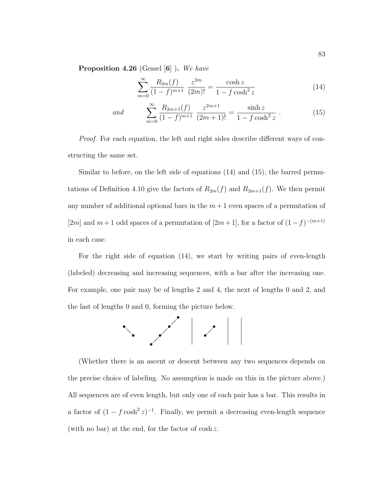**Proposition 4.26** (Gessel [**6**] )**.** We have

$$
\sum_{m=0}^{\infty} \frac{R_{2m}(f)}{(1-f)^{m+1}} \frac{z^{2m}}{(2m)!} = \frac{\cosh z}{1 - f \cosh^2 z}
$$
 (14)

and 
$$
\sum_{m=0}^{\infty} \frac{R_{2m+1}(f)}{(1-f)^{m+1}} \frac{z^{2m+1}}{(2m+1)!} = \frac{\sinh z}{1-f \cosh^2 z}.
$$
 (15)

Proof. For each equation, the left and right sides describe different ways of constructing the same set.

Similar to before, on the left side of equations (14) and (15), the barred permutations of Definition 4.10 give the factors of  $R_{2m}(f)$  and  $R_{2m+1}(f)$ . We then permit any number of additional optional bars in the  $m+1$  even spaces of a permutation of [2m] and  $m+1$  odd spaces of a permutation of [2m + 1], for a factor of  $(1-f)^{-(m+1)}$ in each case.

For the right side of equation (14), we start by writing pairs of even-length (labeled) decreasing and increasing sequences, with a bar after the increasing one. For example, one pair may be of lengths 2 and 4, the next of lengths 0 and 2, and the last of lengths 0 and 0, forming the picture below.



(Whether there is an ascent or descent between any two sequences depends on the precise choice of labeling. No assumption is made on this in the picture above.) All sequences are of even length, but only one of each pair has a bar. This results in a factor of  $(1 - f \cosh^2 z)^{-1}$ . Finally, we permit a decreasing even-length sequence (with no bar) at the end, for the factor of cosh z.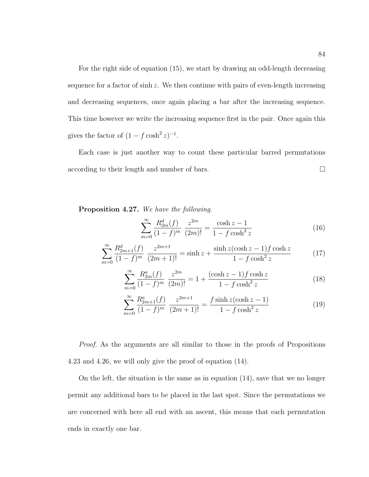For the right side of equation (15), we start by drawing an odd-length decreasing sequence for a factor of  $\sinh z$ . We then continue with pairs of even-length increasing and decreasing sequences, once again placing a bar after the increasing sequence. This time however we write the increasing sequence first in the pair. Once again this gives the factor of  $(1 - f \cosh^2 z)^{-1}$ .

Each case is just another way to count these particular barred permutations according to their length and number of bars.

**Proposition 4.27.** We have the following.

$$
\sum_{m=0}^{\infty} \frac{R_{2m}^d(f)}{(1-f)^m} \frac{z^{2m}}{(2m)!} = \frac{\cosh z - 1}{1 - f \cosh^2 z} \tag{16}
$$

$$
\sum_{m=0}^{\infty} \frac{R_{2m+1}^d(f)}{(1-f)^m} \frac{z^{2m+1}}{(2m+1)!} = \sinh z + \frac{\sinh z (\cosh z - 1) f \cosh z}{1 - f \cosh^2 z} \tag{17}
$$

$$
\sum_{m=0}^{\infty} \frac{R_{2m}^a(f)}{(1-f)^m} \frac{z^{2m}}{(2m)!} = 1 + \frac{(\cosh z - 1)f \cosh z}{1 - f \cosh^2 z} \tag{18}
$$

$$
\sum_{m=0}^{\infty} \frac{R_{2m+1}^a(f)}{(1-f)^m} \frac{z^{2m+1}}{(2m+1)!} = \frac{f \sinh z (\cosh z - 1)}{1 - f \cosh^2 z} \tag{19}
$$

Proof. As the arguments are all similar to those in the proofs of Propositions 4.23 and 4.26, we will only give the proof of equation (14).

On the left, the situation is the same as in equation (14), save that we no longer permit any additional bars to be placed in the last spot. Since the permutations we are concerned with here all end with an ascent, this means that each permutation ends in exactly one bar.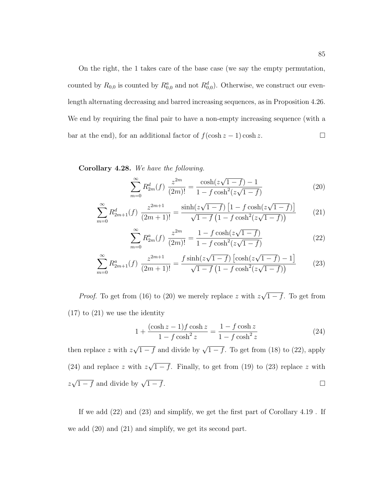On the right, the 1 takes care of the base case (we say the empty permutation, counted by  $R_{0,0}$  is counted by  $R_{0,0}^a$  and not  $R_{0,0}^d$ ). Otherwise, we construct our evenlength alternating decreasing and barred increasing sequences, as in Proposition 4.26. We end by requiring the final pair to have a non-empty increasing sequence (with a bar at the end), for an additional factor of  $f(\cosh z - 1) \cosh z$ .

**Corollary 4.28.** We have the following.

$$
\sum_{m=0}^{\infty} R_{2m}^d(f) \frac{z^{2m}}{(2m)!} = \frac{\cosh(z\sqrt{1-f}) - 1}{1 - f\cosh^2(z\sqrt{1-f})}
$$
(20)

$$
\sum_{m=0}^{\infty} R_{2m+1}^d(f) \frac{z^{2m+1}}{(2m+1)!} = \frac{\sinh(z\sqrt{1-f}) \left[1 - f \cosh(z\sqrt{1-f})\right]}{\sqrt{1-f} \left(1 - f \cosh^2(z\sqrt{1-f})\right)}\tag{21}
$$

$$
\sum_{m=0}^{\infty} R_{2m}^{a}(f) \frac{z^{2m}}{(2m)!} = \frac{1 - f \cosh(z\sqrt{1 - f})}{1 - f \cosh^{2}(z\sqrt{1 - f})}
$$
(22)

$$
\sum_{m=0}^{\infty} R_{2m+1}^a(f) \frac{z^{2m+1}}{(2m+1)!} = \frac{f \sinh(z\sqrt{1-f}) \left[\cosh(z\sqrt{1-f}) - 1\right]}{\sqrt{1-f} \left(1 - f \cosh^2(z\sqrt{1-f})\right)}\tag{23}
$$

*Proof.* To get from (16) to (20) we merely replace z with  $z\sqrt{1-f}$ . To get from  $(17)$  to  $(21)$  we use the identity

$$
1 + \frac{(\cosh z - 1)f \cosh z}{1 - f \cosh^2 z} = \frac{1 - f \cosh z}{1 - f \cosh^2 z}
$$
 (24)

then replace z with  $z\sqrt{1-f}$  and divide by  $\sqrt{1-f}$ . To get from (18) to (22), apply (24) and replace z with  $z\sqrt{1-f}$ . Finally, to get from (19) to (23) replace z with  $z\sqrt{1-f}$  and divide by  $\sqrt{1-f}$ .

If we add (22) and (23) and simplify, we get the first part of Corollary 4.19 . If we add (20) and (21) and simplify, we get its second part.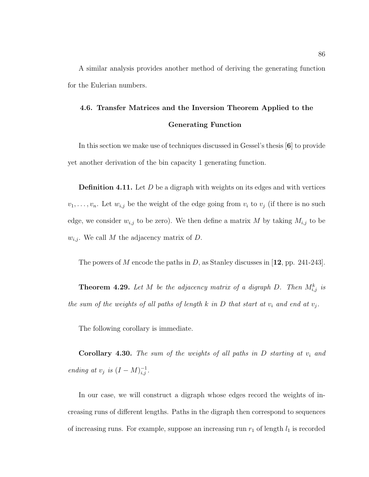A similar analysis provides another method of deriving the generating function for the Eulerian numbers.

# **4.6. Transfer Matrices and the Inversion Theorem Applied to the Generating Function**

In this section we make use of techniques discussed in Gessel's thesis [**6**] to provide yet another derivation of the bin capacity 1 generating function.

**Definition 4.11.** Let D be a digraph with weights on its edges and with vertices  $v_1,\ldots,v_n$ . Let  $w_{i,j}$  be the weight of the edge going from  $v_i$  to  $v_j$  (if there is no such edge, we consider  $w_{i,j}$  to be zero). We then define a matrix M by taking  $M_{i,j}$  to be  $w_{i,j}$ . We call M the adjacency matrix of D.

The powers of M encode the paths in D, as Stanley discusses in [**12**, pp. 241-243].

**Theorem 4.29.** Let M be the adjacency matrix of a digraph D. Then  $M_{i,j}^k$  is the sum of the weights of all paths of length k in D that start at  $v_i$  and end at  $v_j$ .

The following corollary is immediate.

**Corollary 4.30.** The sum of the weights of all paths in  $D$  starting at  $v_i$  and ending at  $v_j$  is  $(I - M)_{i,j}^{-1}$ .

In our case, we will construct a digraph whose edges record the weights of increasing runs of different lengths. Paths in the digraph then correspond to sequences of increasing runs. For example, suppose an increasing run  $r_1$  of length  $l_1$  is recorded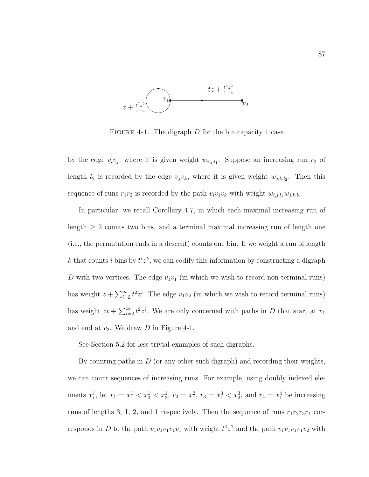

FIGURE 4-1. The digraph  $D$  for the bin capacity 1 case

by the edge  $v_i v_j$ , where it is given weight  $w_{i,j,l_1}$ . Suppose an increasing run  $r_2$  of length  $l_2$  is recorded by the edge  $v_jv_k$ , where it is given weight  $w_{j,k,l_2}$ . Then this sequence of runs  $r_1r_2$  is recorded by the path  $v_iv_jv_k$  with weight  $w_{i,j,l_1}w_{j,k,l_2}$ .

In particular, we recall Corollary 4.7, in which each maximal increasing run of length  $\geq 2$  counts two bins, and a terminal maximal increasing run of length one (i.e., the permutation ends in a descent) counts one bin. If we weight a run of length k that counts i bins by  $t^i z^k$ , we can codify this information by constructing a digraph D with two vertices. The edge  $v_1v_1$  (in which we wish to record non-terminal runs) has weight  $z + \sum_{i=2}^{\infty} t^2 z^i$ . The edge  $v_1v_2$  (in which we wish to record terminal runs) has weight  $zt + \sum_{i=2}^{\infty} t^2 z^i$ . We are only concerned with paths in D that start at  $v_1$ and end at  $v_2$ . We draw D in Figure 4-1.

See Section 5.2 for less trivial examples of such digraphs.

By counting paths in  $D$  (or any other such digraph) and recording their weights, we can count sequences of increasing runs. For example, using doubly indexed elements  $x_i^j$ , let  $r_1 = x_1^1 < x_2^1 < x_3^1$ ,  $r_2 = x_1^2$ ,  $r_3 = x_1^3 < x_2^3$ , and  $r_4 = x_1^4$  be increasing runs of lengths 3, 1, 2, and 1 respectively. Then the sequence of runs  $r_1r_2r_3r_4$  corresponds in D to the path  $v_1v_1v_1v_1v_1$  with weight  $t^4z^7$  and the path  $v_1v_1v_1v_1v_2$  with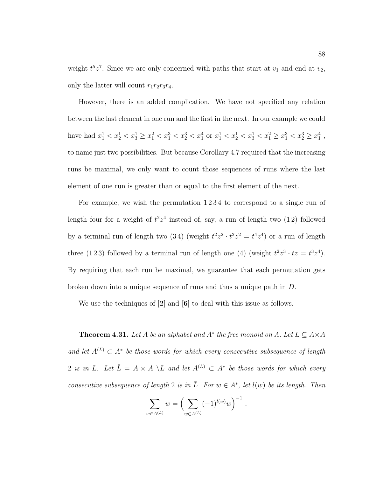weight  $t^5z^7$ . Since we are only concerned with paths that start at  $v_1$  and end at  $v_2$ , only the latter will count  $r_1r_2r_3r_4$ .

However, there is an added complication. We have not specified any relation between the last element in one run and the first in the next. In our example we could have had  $x_1^1 < x_2^1 < x_3^1 \ge x_1^2 < x_1^3 < x_2^3 < x_1^4$  or  $x_1^1 < x_2^1 < x_3^1 < x_1^2 < x_1^3 < x_2^3 \ge x_1^4$ , to name just two possibilities. But because Corollary 4.7 required that the increasing runs be maximal, we only want to count those sequences of runs where the last element of one run is greater than or equal to the first element of the next.

For example, we wish the permutation  $1234$  to correspond to a single run of length four for a weight of  $t^2z^4$  instead of, say, a run of length two (12) followed by a terminal run of length two  $(3\,4)$  (weight  $t^2z^2 \cdot t^2z^2 = t^4z^4$ ) or a run of length three (123) followed by a terminal run of length one (4) (weight  $t^2z^3 \tcdot tz = t^3z^4$ ). By requiring that each run be maximal, we guarantee that each permutation gets broken down into a unique sequence of runs and thus a unique path in D.

We use the techniques of [**2**] and [**6**] to deal with this issue as follows.

**Theorem 4.31.** Let A be an alphabet and  $A^*$  the free monoid on A. Let  $L \subseteq A \times A$ and let  $A^{(L)} \subset A^*$  be those words for which every consecutive subsequence of length 2 is in L. Let  $\overline{L} = A \times A \setminus L$  and let  $A^{(\overline{L})} \subset A^*$  be those words for which every consecutive subsequence of length 2 is in  $\overline{L}$ . For  $w \in A^*$ , let  $l(w)$  be its length. Then

$$
\sum_{w \in A^{(L)}} w = \left( \sum_{w \in A^{(\bar{L})}} (-1)^{l(w)} w \right)^{-1}.
$$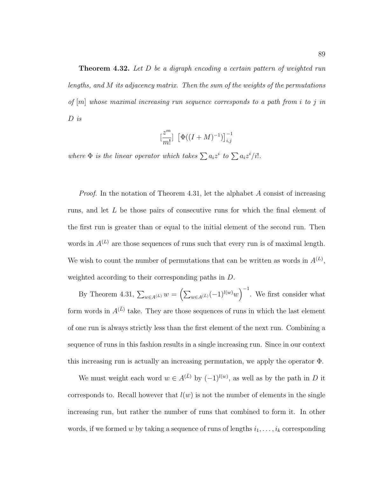**Theorem 4.32.** Let D be a digraph encoding a certain pattern of weighted run lengths, and M its adjacency matrix. Then the sum of the weights of the permutations of  $[m]$  whose maximal increasing run sequence corresponds to a path from i to j in D is

$$
\left[\frac{z^m}{m!}\right] \left[ \Phi((I+M)^{-1}) \right]_{i,j}^{-1}
$$

where  $\Phi$  is the linear operator which takes  $\sum a_i z^i$  to  $\sum a_i z^i/i!$ .

*Proof.* In the notation of Theorem 4.31, let the alphabet A consist of increasing runs, and let L be those pairs of consecutive runs for which the final element of the first run is greater than or equal to the initial element of the second run. Then words in  $A^{(L)}$  are those sequences of runs such that every run is of maximal length. We wish to count the number of permutations that can be written as words in  $A^{(L)}$ , weighted according to their corresponding paths in D.

By Theorem 4.31,  $\sum_{w \in A^{(L)}} w = \left( \sum_{w \in A^{(\bar{L})}} (-1)^{l(w)} w \right)^{-1}$ . We first consider what form words in  $A^{(\bar{L})}$  take. They are those sequences of runs in which the last element of one run is always strictly less than the first element of the next run. Combining a sequence of runs in this fashion results in a single increasing run. Since in our context this increasing run is actually an increasing permutation, we apply the operator Φ.

We must weight each word  $w \in A^{(\bar{L})}$  by  $(-1)^{l(w)}$ , as well as by the path in D it corresponds to. Recall however that  $l(w)$  is not the number of elements in the single increasing run, but rather the number of runs that combined to form it. In other words, if we formed w by taking a sequence of runs of lengths  $i_1, \ldots, i_k$  corresponding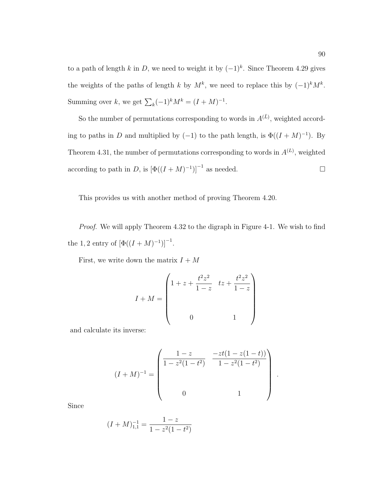to a path of length k in D, we need to weight it by  $(-1)^k$ . Since Theorem 4.29 gives the weights of the paths of length k by  $M^k$ , we need to replace this by  $(-1)^k M^k$ . Summing over k, we get  $\sum_{k}(-1)^{k}M^{k} = (I + M)^{-1}$ .

So the number of permutations corresponding to words in  $A^{(\bar{L})}$ , weighted according to paths in D and multiplied by (−1) to the path length, is  $\Phi((I + M)^{-1})$ . By Theorem 4.31, the number of permutations corresponding to words in  $A^{(L)}$ , weighted according to path in D, is  $[\Phi((I + M)^{-1})]^{-1}$  as needed.

This provides us with another method of proving Theorem 4.20.

Proof. We will apply Theorem 4.32 to the digraph in Figure 4-1. We wish to find the 1, 2 entry of  $[\Phi((I + M)^{-1})]^{-1}$ .

First, we write down the matrix  $I + M$ 

$$
I + M = \begin{pmatrix} 1 + z + \frac{t^2 z^2}{1 - z} & t z + \frac{t^2 z^2}{1 - z} \\ 0 & 1 \end{pmatrix}
$$

and calculate its inverse:

$$
(I+M)^{-1} = \begin{pmatrix} \frac{1-z}{1-z^2(1-t^2)} & \frac{-zt(1-z(1-t))}{1-z^2(1-t^2)} \\ 0 & 1 \end{pmatrix}
$$

.

Since

$$
(I + M)_{1,1}^{-1} = \frac{1 - z}{1 - z^2(1 - t^2)}
$$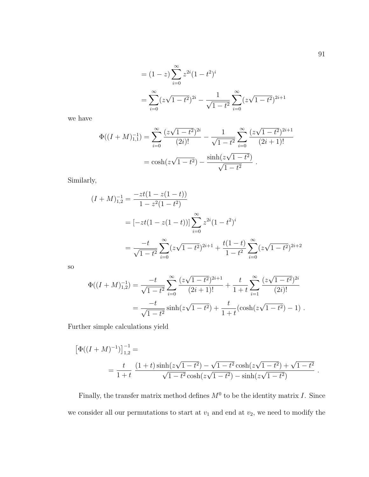$$
= (1 - z) \sum_{i=0}^{\infty} z^{2i} (1 - t^2)^i
$$
  
= 
$$
\sum_{i=0}^{\infty} (z\sqrt{1 - t^2})^{2i} - \frac{1}{\sqrt{1 - t^2}} \sum_{i=0}^{\infty} (z\sqrt{1 - t^2})^{2i+1}
$$

we have

$$
\Phi((I+M)_{1,1}^{-1}) = \sum_{i=0}^{\infty} \frac{(z\sqrt{1-t^2})^{2i}}{(2i)!} - \frac{1}{\sqrt{1-t^2}} \sum_{i=0}^{\infty} \frac{(z\sqrt{1-t^2})^{2i+1}}{(2i+1)!}
$$

$$
= \cosh(z\sqrt{1-t^2}) - \frac{\sinh(z\sqrt{1-t^2})}{\sqrt{1-t^2}}.
$$

Similarly,

$$
(I + M)_{1,2}^{-1} = \frac{-zt(1 - z(1 - t))}{1 - z^2(1 - t^2)}
$$
  
=  $[-zt(1 - z(1 - t))] \sum_{i=0}^{\infty} z^{2i} (1 - t^2)^i$   
=  $\frac{-t}{\sqrt{1 - t^2}} \sum_{i=0}^{\infty} (z\sqrt{1 - t^2})^{2i+1} + \frac{t(1 - t)}{1 - t^2} \sum_{i=0}^{\infty} (z\sqrt{1 - t^2})^{2i+2}$ 

so

$$
\Phi((I+M)_{1,2}^{-1}) = \frac{-t}{\sqrt{1-t^2}} \sum_{i=0}^{\infty} \frac{(z\sqrt{1-t^2})^{2i+1}}{(2i+1)!} + \frac{t}{1+t} \sum_{i=1}^{\infty} \frac{(z\sqrt{1-t^2})^{2i}}{(2i)!}
$$

$$
= \frac{-t}{\sqrt{1-t^2}} \sinh(z\sqrt{1-t^2}) + \frac{t}{1+t} (\cosh(z\sqrt{1-t^2}) - 1) .
$$

Further simple calculations yield

$$
\left[\Phi((I+M)^{-1})\right]_{1,2}^{-1} =
$$
\n
$$
= \frac{t}{1+t} \frac{(1+t)\sinh(z\sqrt{1-t^2}) - \sqrt{1-t^2}\cosh(z\sqrt{1-t^2}) + \sqrt{1-t^2}}{\sqrt{1-t^2}\cosh(z\sqrt{1-t^2}) - \sinh(z\sqrt{1-t^2})}.
$$

Finally, the transfer matrix method defines  $M^0$  to be the identity matrix I. Since we consider all our permutations to start at  $v_1$  and end at  $v_2$ , we need to modify the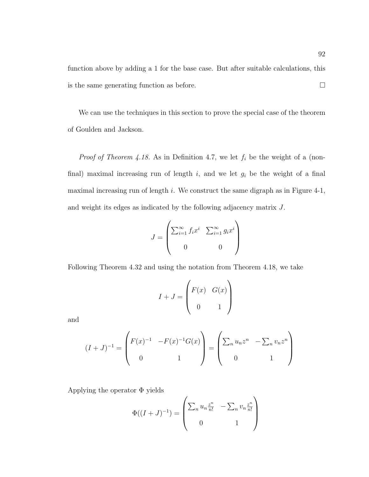function above by adding a 1 for the base case. But after suitable calculations, this is the same generating function as before.  $\Box$ 

We can use the techniques in this section to prove the special case of the theorem of Goulden and Jackson.

*Proof of Theorem 4.18.* As in Definition 4.7, we let  $f_i$  be the weight of a (nonfinal) maximal increasing run of length  $i$ , and we let  $g_i$  be the weight of a final maximal increasing run of length  $i$ . We construct the same digraph as in Figure 4-1, and weight its edges as indicated by the following adjacency matrix J.

$$
J = \begin{pmatrix} \sum_{i=1}^{\infty} f_i x^i & \sum_{i=1}^{\infty} g_i x^i \\ 0 & 0 \end{pmatrix}
$$

Following Theorem 4.32 and using the notation from Theorem 4.18, we take

$$
I + J = \begin{pmatrix} F(x) & G(x) \\ 0 & 1 \end{pmatrix}
$$

and

$$
(I+J)^{-1} = \begin{pmatrix} F(x)^{-1} & -F(x)^{-1}G(x) \\ 0 & 1 \end{pmatrix} = \begin{pmatrix} \sum_n u_n z^n & -\sum_n v_n z^n \\ 0 & 1 \end{pmatrix}
$$

Applying the operator Φ yields

$$
\Phi((I+J)^{-1}) = \begin{pmatrix} \sum_{n} u_n \frac{z^n}{n!} & -\sum_{n} v_n \frac{z^n}{n!} \\ 0 & 1 \end{pmatrix}
$$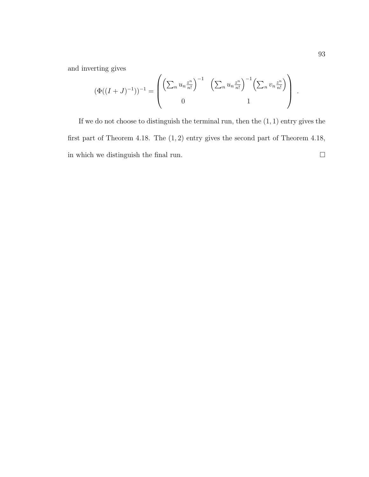and inverting gives

$$
(\Phi((I+J)^{-1}))^{-1} = \begin{pmatrix} \left(\sum_n u_n \frac{z^n}{n!}\right)^{-1} & \left(\sum_n u_n \frac{z^n}{n!}\right)^{-1} \left(\sum_n v_n \frac{z^n}{n!}\right) \\ 0 & 1 \end{pmatrix}.
$$

If we do not choose to distinguish the terminal run, then the  $(1, 1)$  entry gives the first part of Theorem 4.18. The (1, 2) entry gives the second part of Theorem 4.18, in which we distinguish the final run.  $\hfill \square$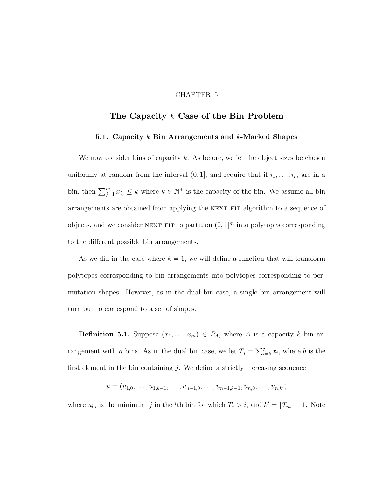## CHAPTER 5

# **The Capacity** k **Case of the Bin Problem**

### **5.1. Capacity** k **Bin Arrangements and** k**-Marked Shapes**

We now consider bins of capacity k. As before, we let the object sizes be chosen uniformly at random from the interval  $(0, 1]$ , and require that if  $i_1, \ldots, i_m$  are in a bin, then  $\sum_{j=1}^m x_{i_j} \leq k$  where  $k \in \mathbb{N}^+$  is the capacity of the bin. We assume all bin arrangements are obtained from applying the NEXT FIT algorithm to a sequence of objects, and we consider NEXT FIT to partition  $(0, 1]^m$  into polytopes corresponding to the different possible bin arrangements.

As we did in the case where  $k = 1$ , we will define a function that will transform polytopes corresponding to bin arrangements into polytopes corresponding to permutation shapes. However, as in the dual bin case, a single bin arrangement will turn out to correspond to a set of shapes.

**Definition 5.1.** Suppose  $(x_1, \ldots, x_m) \in P_A$ , where A is a capacity k bin arrangement with *n* bins. As in the dual bin case, we let  $T_j = \sum_{i=b}^{j} x_i$ , where *b* is the first element in the bin containing  $i$ . We define a strictly increasing sequence

 $\bar{u} = (u_{1,0},\ldots,u_{1,k-1},\ldots,u_{n-1,0},\ldots,u_{n-1,k-1},u_{n,0},\ldots,u_{n,k'})$ 

where  $u_{l,i}$  is the minimum j in the lth bin for which  $T_j > i$ , and  $k' = \lceil T_m \rceil - 1$ . Note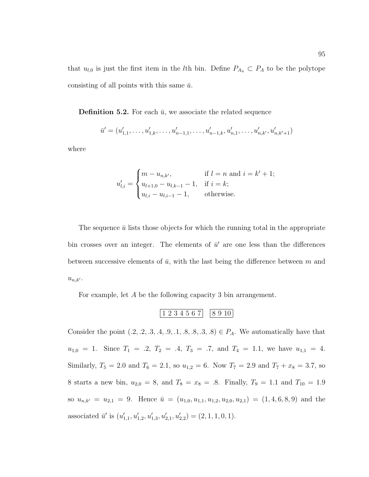that  $u_{l,0}$  is just the first item in the *l*th bin. Define  $P_{A_{\bar{u}}} \subset P_A$  to be the polytope consisting of all points with this same  $\bar{u}$ .

**Definition 5.2.** For each  $\bar{u}$ , we associate the related sequence

$$
\bar{u}' = (u'_{1,1}, \ldots, u'_{1,k}, \ldots, u'_{n-1,1}, \ldots, u'_{n-1,k}, u'_{n,1}, \ldots, u'_{n,k'}, u'_{n,k'+1})
$$

where

$$
u'_{l,i} = \begin{cases} m - u_{n,k'}, & \text{if } l = n \text{ and } i = k' + 1; \\ u_{l+1,0} - u_{l,k-1} - 1, & \text{if } i = k; \\ u_{l,i} - u_{l,i-1} - 1, & \text{otherwise.} \end{cases}
$$

The sequence  $\bar{u}$  lists those objects for which the running total in the appropriate bin crosses over an integer. The elements of  $\bar{u}'$  are one less than the differences between successive elements of  $\bar{u}$ , with the last being the difference between m and  $u_{n,k'}$ .

For example, let A be the following capacity 3 bin arrangement.

$$
\begin{array}{|c|c|c|c|c|}\n 1 & 2 & 3 & 4 & 5 & 6 & 7 \\
\hline\n 8 & 9 & 10 & & \\
\hline\n 9 & 10 & & & \\
\hline\n 1 & 2 & 3 & 4 & 5 & 6 & 7 \\
\hline\n \end{array}
$$

Consider the point  $(0.2, 0.2, 0.3, 0.4, 0.9, 0.1, 0.8, 0.8, 0.3) \in P_A$ . We automatically have that  $u_{1,0} = 1$ . Since  $T_1 = .2, T_2 = .4, T_3 = .7,$  and  $T_4 = 1.1$ , we have  $u_{1,1} = 4$ . Similarly,  $T_5 = 2.0$  and  $T_6 = 2.1$ , so  $u_{1,2} = 6$ . Now  $T_7 = 2.9$  and  $T_7 + x_8 = 3.7$ , so 8 starts a new bin,  $u_{2,0} = 8$ , and  $T_8 = x_8 = .8$ . Finally,  $T_9 = 1.1$  and  $T_{10} = 1.9$ so  $u_{n,k'} = u_{2,1} = 9$ . Hence  $\bar{u} = (u_{1,0}, u_{1,1}, u_{1,2}, u_{2,0}, u_{2,1}) = (1, 4, 6, 8, 9)$  and the associated  $\bar{u}'$  is  $(u'_{1,1}, u'_{1,2}, u'_{1,3}, u'_{2,1}, u'_{2,2}) = (2, 1, 1, 0, 1).$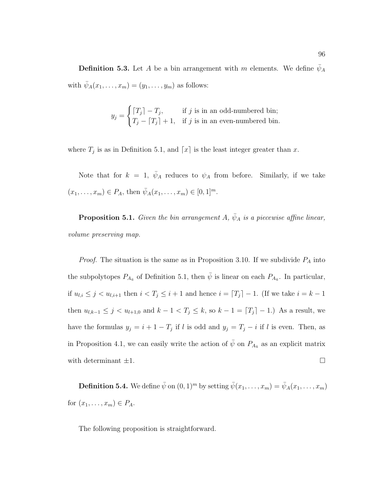**Definition 5.3.** Let A be a bin arrangement with m elements. We define  $\bar{\psi}_A$ with  $\bar{\psi}_A(x_1,\ldots,x_m)=(y_1,\ldots,y_m)$  as follows:

$$
y_j = \begin{cases} \lceil T_j \rceil - T_j, & \text{if } j \text{ is in an odd-numbered bin;} \\ T_j - \lceil T_j \rceil + 1, & \text{if } j \text{ is in an even-numbered bin.} \end{cases}
$$

where  $T_j$  is as in Definition 5.1, and  $\lceil x \rceil$  is the least integer greater than x.

Note that for  $k = 1$ ,  $\bar{\psi}_A$  reduces to  $\psi_A$  from before. Similarly, if we take  $(x_1,...,x_m) \in P_A$ , then  $\bar{\psi}_A(x_1,...,x_m) \in [0,1]^m$ .

**Proposition 5.1.** Given the bin arrangement A,  $\bar{\psi}_A$  is a piecewise affine linear, volume preserving map.

*Proof.* The situation is the same as in Proposition 3.10. If we subdivide  $P_A$  into the subpolytopes  $P_{A_{\bar{u}}}$  of Definition 5.1, then  $\bar{\psi}$  is linear on each  $P_{A_{\bar{u}}}$ . In particular, if  $u_{l,i} \leq j < u_{l,i+1}$  then  $i < T_j \leq i+1$  and hence  $i = T_j - 1$ . (If we take  $i = k - 1$ ) then  $u_{l,k-1} \leq j < u_{l+1,0}$  and  $k-1 < T_j \leq k$ , so  $k-1 = [T_j] - 1$ .) As a result, we have the formulas  $y_j = i + 1 - T_j$  if l is odd and  $y_j = T_j - i$  if l is even. Then, as in Proposition 4.1, we can easily write the action of  $\bar{\psi}$  on  $P_{A_{\bar{u}}}$  as an explicit matrix with determinant  $\pm 1$ .

**Definition 5.4.** We define  $\bar{\psi}$  on  $(0, 1)^m$  by setting  $\bar{\psi}(x_1, \ldots, x_m) = \bar{\psi}_A(x_1, \ldots, x_m)$ for  $(x_1,\ldots,x_m)\in P_A$ .

The following proposition is straightforward.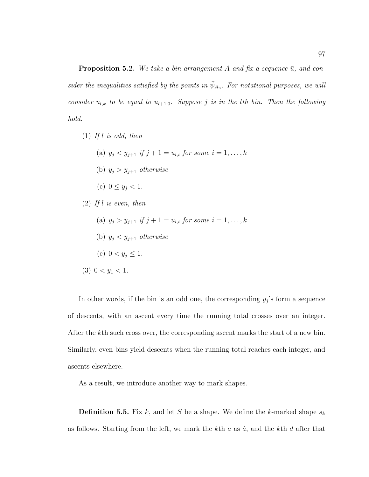**Proposition 5.2.** We take a bin arrangement A and fix a sequence  $\bar{u}$ , and consider the inequalities satisfied by the points in  $\bar{\psi}_{A_{\bar{u}}}$ . For notational purposes, we will consider  $u_{l,k}$  to be equal to  $u_{l+1,0}$ . Suppose j is in the lth bin. Then the following hold.

- (1) If l is odd, then
	- (a)  $y_i < y_{i+1}$  if  $j + 1 = u_{l,i}$  for some  $i = 1, ..., k$
	- (b)  $y_j > y_{j+1}$  otherwise
	- (c)  $0 \le y_j < 1$ .
- $(2)$  If l is even, then
	- (a)  $y_j > y_{j+1}$  if  $j + 1 = u_{l,i}$  for some  $i = 1, \ldots, k$
	- (b)  $y_j < y_{j+1}$  otherwise
	- (c)  $0 < y_j \leq 1$ .
- (3)  $0 < y_1 < 1$ .

In other words, if the bin is an odd one, the corresponding  $y_j$ 's form a sequence of descents, with an ascent every time the running total crosses over an integer. After the kth such cross over, the corresponding ascent marks the start of a new bin. Similarly, even bins yield descents when the running total reaches each integer, and ascents elsewhere.

As a result, we introduce another way to mark shapes.

**Definition 5.5.** Fix k, and let S be a shape. We define the k-marked shape  $s_k$ as follows. Starting from the left, we mark the kth  $a$  as  $\dot{a}$ , and the kth  $d$  after that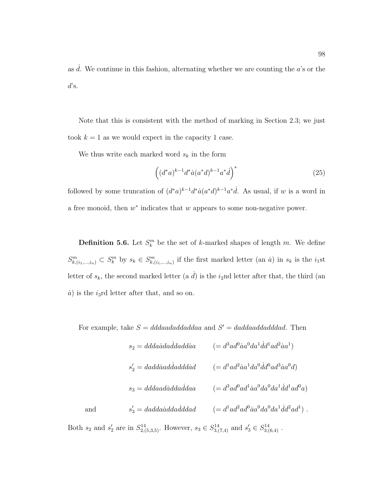as  $d$ . We continue in this fashion, alternating whether we are counting the  $a$ 's or the  $d$ 's.

Note that this is consistent with the method of marking in Section 2.3; we just took  $k = 1$  as we would expect in the capacity 1 case.

We thus write each marked word  $s_k$  in the form

$$
\left( (d^*a)^{k-1} d^* \dot{a} (a^*d)^{k-1} a^* \dot{d} \right)^* \tag{25}
$$

followed by some truncation of  $(d^*a)^{k-1}d^*\dot{a}(a^*d)^{k-1}a^*\dot{d}$ . As usual, if w is a word in a free monoid, then  $w^*$  indicates that w appears to some non-negative power.

**Definition 5.6.** Let  $S_k^m$  be the set of k-marked shapes of length m. We define  $S_{k,(i_1,\ldots,i_n)}^m \subset S_k^m$  by  $s_k \in S_{k,(i_1,\ldots,i_n)}^m$  if the first marked letter (an  $\dot{a}$ ) in  $s_k$  is the  $i_1$ st letter of  $s_k$ , the second marked letter (a  $\dot{d}$ ) is the  $i_2$ nd letter after that, the third (an  $\dot{a}$ ) is the *i*<sub>3</sub>rd letter after that, and so on.

For example, take  $S = dddaaddaiddaa$  and  $S' = daddaaddadddad$ . Then

$$
s_2 = ddda\dot{a}d\dot{a}d\dot{a}d\dot{a}d\dot{a} \qquad (= d^3 a d^0 \dot{a} a^0 d a^1 d d^1 a d^2 \dot{a} a^1)
$$
  
\n
$$
s'_2 = d a d \dot{a} a d \dot{a} d \dot{a} d \dot{a} d \dot{a} d \dot{a} d \dot{a} d \dot{a} d \dot{a} d \dot{a} d \dot{a} d \dot{a} d \dot{a} d \dot{a} d \dot{a} d \dot{a} d \dot{a} d \dot{a} d \dot{a} d \dot{a} d \dot{a} d \dot{a} d \dot{a} d \dot{a} d \dot{a} d \dot{a} d \dot{a} d \dot{a} d \dot{a} d \dot{a} d \dot{a} d \dot{a} d \dot{a} d \dot{a} d \dot{a} d \dot{a} d \dot{a} d \dot{a} d \dot{a} d \dot{a} d \dot{a} d \dot{a} d \dot{a} d \dot{a} d \dot{a} d \dot{a} d \dot{a} d \dot{a} d \dot{a} d \dot{a} d \dot{a} d \dot{a} d \dot{a} d \dot{a} d \dot{a} d \dot{a} d \dot{a} d \dot{a} d \dot{a} d \dot{a} d \dot{a} d \dot{a} d \dot{a} d \dot{a} d \dot{a} d \dot{a} d \dot{a} d \dot{a} d \dot{a} d \dot{a} d \dot{a} d \dot{a} d \dot{a} d \dot{a} d \dot{a} d \dot{a} d \dot{a} d \dot{a} d \dot{a} d \dot{a} d \dot{a} d \dot{a} d \dot{a} d \dot{a} d \dot{a} d \dot{a} d \dot{a} d \dot{a} d \dot{a} d \dot{a} d \dot{a} d \dot{a} d \dot{a} d \dot{a} d \dot{a} d \dot{a} d \dot{a} d \dot{a} d \dot{a} d \dot{a} d \dot{a} d \dot{a} d \dot{a} d \dot{a} d \dot{a} d \dot{a} d \dot{a} d \dot{a} d \dot{a} d \dot{a} d \dot{a
$$

Both  $s_2$  and  $s'_2$  are in  $S_{2,(5,3,5)}^{14}$ . However,  $s_3 \in S_{3,(7,4)}^{14}$  and  $s'_3 \in S_{3,(6,4)}^{14}$ .

and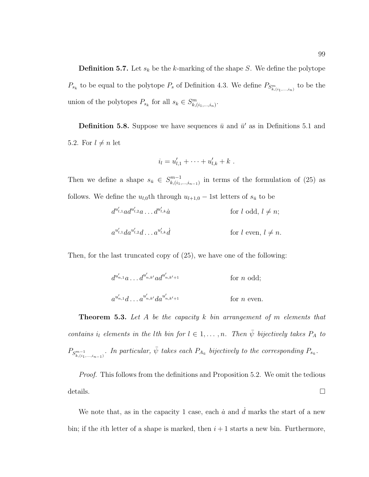**Definition 5.7.** Let  $s_k$  be the k-marking of the shape S. We define the polytope  $P_{s_k}$  to be equal to the polytope  $P_s$  of Definition 4.3. We define  $P_{S^m_{k,(i_1,\ldots,i_n)}}$  to be the union of the polytopes  $P_{s_k}$  for all  $s_k \in S^m_{k,(i_1,\ldots,i_n)}$ .

**Definition 5.8.** Suppose we have sequences  $\bar{u}$  and  $\bar{u}'$  as in Definitions 5.1 and 5.2. For  $l \neq n$  let

$$
i_l = u'_{l,1} + \cdots + u'_{l,k} + k \; .
$$

Then we define a shape  $s_{\bar{u}} \in S^{m-1}_{k,(i_1,\ldots,i_{n-1})}$  in terms of the formulation of (25) as follows. We define the  $u_{l,0}$ th through  $u_{l+1,0}$  – 1st letters of  $s_{\bar{u}}$  to be

$$
d^{u'_{l,1}}ad^{u'_{l,2}}a \dots d^{u'_{l,k}}\dot{a}
$$
 for  $l$  odd,  $l \neq n$ ;  

$$
a^{u'_{l,1}}da^{u'_{l,2}}d \dots a^{u'_{l,k}}\dot{d}
$$
 for  $l$  even,  $l \neq n$ .

Then, for the last truncated copy of (25), we have one of the following:

$$
d^{u'_{n,1}}a \dots d^{u'_{n,k'}}ad^{u'_{n,k'+1}} \t\t for n odd;a^{u'_{n,1}}d \dots a^{u'_{n,k'}}da^{u'_{n,k'+1}} \t\t for n even.
$$

**Theorem 5.3.** Let A be the capacity k bin arrangement of m elements that contains i<sub>l</sub> elements in the lth bin for  $l \in 1, \ldots, n$ . Then  $\bar{\psi}$  bijectively takes  $P_A$  to  $P_{S_{k,(i_1,\ldots,i_{n-1})}^m}$ . In particular,  $\bar{\psi}$  takes each  $P_{A_{\bar{u}}}$  bijectively to the corresponding  $P_{s_{\bar{u}}}$ .

Proof. This follows from the definitions and Proposition 5.2. We omit the tedious details.  $\Box$ 

We note that, as in the capacity 1 case, each  $\dot{a}$  and  $d$  marks the start of a new bin; if the *i*th letter of a shape is marked, then  $i + 1$  starts a new bin. Furthermore,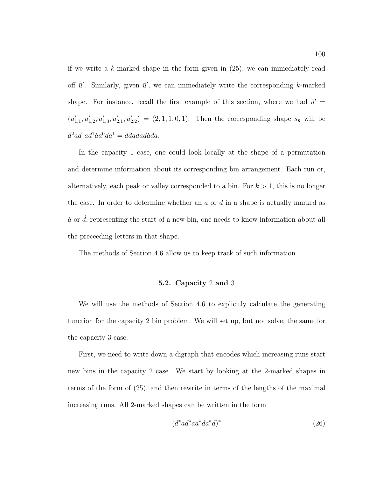if we write a k-marked shape in the form given in (25), we can immediately read off  $\bar{u}'$ . Similarly, given  $\bar{u}'$ , we can immediately write the corresponding k-marked shape. For instance, recall the first example of this section, where we had  $\bar{u}' =$  $(u'_{1,1}, u'_{1,2}, u'_{1,3}, u'_{2,1}, u'_{2,2}) = (2, 1, 1, 0, 1)$ . Then the corresponding shape  $s_{\bar{u}}$  will be  $d^2 a d^1 a d^1 a a^0 da^1 = d d a d a d a d a$ 

In the capacity 1 case, one could look locally at the shape of a permutation and determine information about its corresponding bin arrangement. Each run or, alternatively, each peak or valley corresponded to a bin. For  $k > 1$ , this is no longer the case. In order to determine whether an  $a$  or  $d$  in a shape is actually marked as  $\dot{a}$  or  $d$ , representing the start of a new bin, one needs to know information about all the preceeding letters in that shape.

The methods of Section 4.6 allow us to keep track of such information.

## **5.2. Capacity** 2 **and** 3

We will use the methods of Section 4.6 to explicitly calculate the generating function for the capacity 2 bin problem. We will set up, but not solve, the same for the capacity 3 case.

First, we need to write down a digraph that encodes which increasing runs start new bins in the capacity 2 case. We start by looking at the 2-marked shapes in terms of the form of (25), and then rewrite in terms of the lengths of the maximal increasing runs. All 2-marked shapes can be written in the form

$$
(d^*ad^*aa^*da^*\dot{d})^* \tag{26}
$$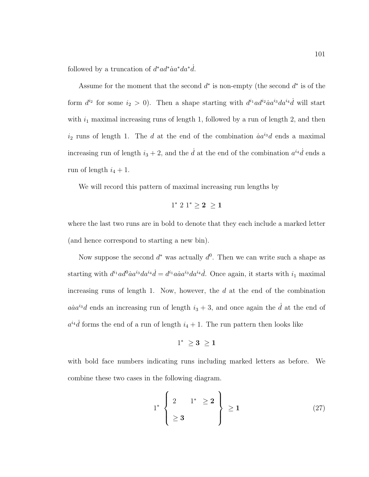followed by a truncation of  $d^* a d^* a a^* d a^* d$ .

Assume for the moment that the second  $d^*$  is non-empty (the second  $d^*$  is of the form  $d^{i_2}$  for some  $i_2 > 0$ ). Then a shape starting with  $d^{i_1} \alpha d^{i_2} \dot{\alpha} a^{i_3} d a^{i_4} \dot{d}$  will start with  $i_1$  maximal increasing runs of length 1, followed by a run of length 2, and then  $i_2$  runs of length 1. The d at the end of the combination  $\ddot{a}a^{i_3}d$  ends a maximal increasing run of length  $i_3 + 2$ , and the  $\dot{d}$  at the end of the combination  $a^{i_4} \dot{d}$  ends a run of length  $i_4 + 1$ .

We will record this pattern of maximal increasing run lengths by

$$
1^* \; 2 \; 1^* \geq 2 \; \geq 1
$$

where the last two runs are in bold to denote that they each include a marked letter (and hence correspond to starting a new bin).

Now suppose the second  $d^*$  was actually  $d^0$ . Then we can write such a shape as starting with  $d^{i_1}ad^0aa^{i_3}da^{i_4}\dot{d} = d^{i_1}a\dot{a}a^{i_3}da^{i_4}\dot{d}$ . Once again, it starts with  $i_1$  maximal increasing runs of length 1. Now, however, the  $d$  at the end of the combination  $a\dot{a}a^{i_3}d$  ends an increasing run of length  $i_3 + 3$ , and once again the  $\dot{d}$  at the end of  $a^{i_4}$  forms the end of a run of length  $i_4 + 1$ . The run pattern then looks like

$$
1^* \ \geq 3 \ \geq 1
$$

with bold face numbers indicating runs including marked letters as before. We combine these two cases in the following diagram.

$$
1^* \left\{ \begin{array}{ll} 2 & 1^* \geq 2 \\ \geq 3 & \end{array} \right\} \geq 1 \tag{27}
$$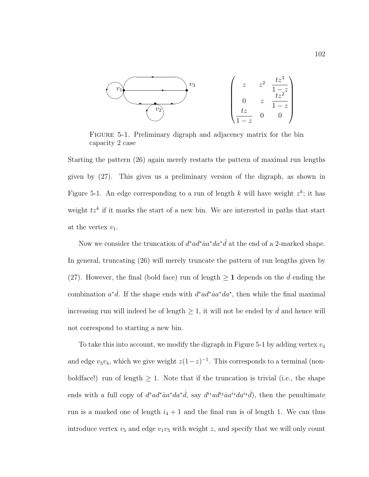

FIGURE 5-1. Preliminary digraph and adjacency matrix for the bin capacity 2 case

Starting the pattern (26) again merely restarts the pattern of maximal run lengths given by (27). This gives us a preliminary version of the digraph, as shown in Figure 5-1. An edge corresponding to a run of length k will have weight  $z^k$ ; it has weight  $tz^k$  if it marks the start of a new bin. We are interested in paths that start at the vertex  $v_1$ .

Now we consider the truncation of  $d^* a d^* a a^* d a^* d$  at the end of a 2-marked shape. In general, truncating (26) will merely truncate the pattern of run lengths given by (27). However, the final (bold face) run of length  $\geq 1$  depends on the  $\tilde{d}$  ending the combination  $a^*d$ . If the shape ends with  $d^*ad^*aa^*da^*$ , then while the final maximal increasing run will indeed be of length  $\geq 1$ , it will not be ended by  $\dot{d}$  and hence will not correspond to starting a new bin.

To take this into account, we modify the digraph in Figure 5-1 by adding vertex  $v_4$ and edge  $v_3v_4$ , which we give weight  $z(1-z)^{-1}$ . This corresponds to a terminal (nonboldface!) run of length  $\geq 1$ . Note that if the truncation is trivial (i.e., the shape ends with a full copy of  $d^* a d^* a a^* d a^* d$ , say  $d^{i_1} a d^{i_2} a a^{i_3} d a^{i_4} d$ , then the penultimate run is a marked one of length  $i_4 + 1$  and the final run is of length 1. We can thus introduce vertex  $v_5$  and edge  $v_1v_5$  with weight z, and specify that we will only count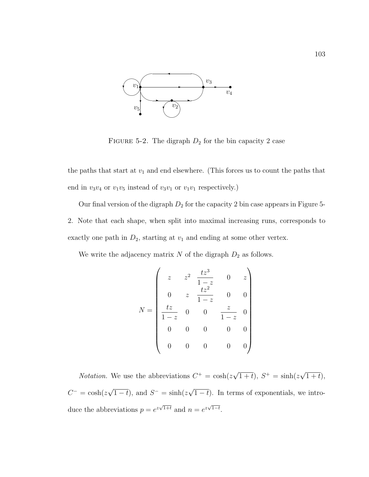

FIGURE 5-2. The digraph  $D_2$  for the bin capacity 2 case

the paths that start at  $v_1$  and end elsewhere. (This forces us to count the paths that end in  $v_3v_4$  or  $v_1v_5$  instead of  $v_3v_1$  or  $v_1v_1$  respectively.)

Our final version of the digraph  $D_2$  for the capacity 2 bin case appears in Figure 5-2. Note that each shape, when split into maximal increasing runs, corresponds to exactly one path in  $D_2$ , starting at  $v_1$  and ending at some other vertex.

We write the adjacency matrix  $N$  of the digraph  $D_2$  as follows.

$$
N = \begin{pmatrix} z & z^2 & \frac{tz^3}{1-z} & 0 & z \\ 0 & z & \frac{tz^2}{1-z} & 0 & 0 \\ \frac{tz}{1-z} & 0 & 0 & \frac{z}{1-z} & 0 \\ 0 & 0 & 0 & 0 & 0 \\ 0 & 0 & 0 & 0 & 0 \end{pmatrix}
$$

*Notation*. We use the abbreviations  $C^+ = \cosh(z\sqrt{1+t}), S^+ = \sinh(z\sqrt{1+t}),$  $C^{-} = \cosh(z\sqrt{1-t})$ , and  $S^{-} = \sinh(z\sqrt{1-t})$ . In terms of exponentials, we introduce the abbreviations  $p = e^{z\sqrt{1+t}}$  and  $n = e^{z\sqrt{1-t}}$ .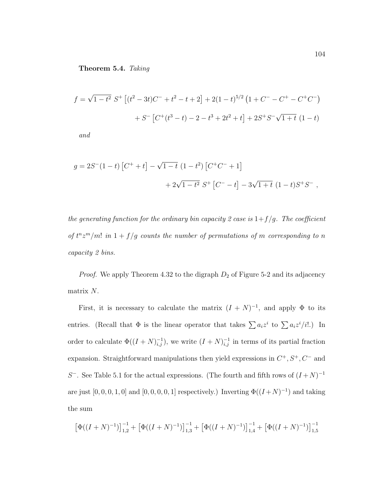**Theorem 5.4.** Taking

$$
f = \sqrt{1 - t^2} S^+ \left[ (t^2 - 3t)C^- + t^2 - t + 2 \right] + 2(1 - t)^{5/2} (1 + C^- - C^+ - C^+ C^-)
$$

$$
+ S^- \left[ C^+ (t^3 - t) - 2 - t^3 + 2t^2 + t \right] + 2S^+ S^- \sqrt{1 + t} (1 - t)
$$

and

$$
g = 2S^{-}(1-t)\left[C^{+}+t\right] - \sqrt{1-t}\left(1-t^{2}\right)\left[C^{+}C^{-}+1\right] + 2\sqrt{1-t^{2}}\ S^{+}\left[C^{-}-t\right] - 3\sqrt{1+t}\left(1-t\right)S^{+}S^{-},
$$

the generating function for the ordinary bin capacity 2 case is  $1+f/g$ . The coefficient of  $t^n z^m/m!$  in  $1 + f/g$  counts the number of permutations of m corresponding to n capacity 2 bins.

*Proof.* We apply Theorem 4.32 to the digraph  $D_2$  of Figure 5-2 and its adjacency matrix  $\cal N.$ 

First, it is necessary to calculate the matrix  $(I + N)^{-1}$ , and apply  $\Phi$  to its entries. (Recall that  $\Phi$  is the linear operator that takes  $\sum a_i z^i$  to  $\sum a_i z^i / i!$ .) In order to calculate  $\Phi((I+N)^{-1}_{i,j})$ , we write  $(I+N)^{-1}_{i,j}$  in terms of its partial fraction expansion. Straightforward manipulations then yield expressions in  $C^+, S^+, C^-$  and S<sup>-</sup>. See Table 5.1 for the actual expressions. (The fourth and fifth rows of  $(I + N)^{-1}$ are just  $[0, 0, 0, 1, 0]$  and  $[0, 0, 0, 0, 1]$  respectively.) Inverting  $\Phi((I+N)^{-1})$  and taking the sum

$$
\left[\Phi((I+N)^{-1})\right]_{1,2}^{-1} + \left[\Phi((I+N)^{-1})\right]_{1,3}^{-1} + \left[\Phi((I+N)^{-1})\right]_{1,4}^{-1} + \left[\Phi((I+N)^{-1})\right]_{1,5}^{-1}
$$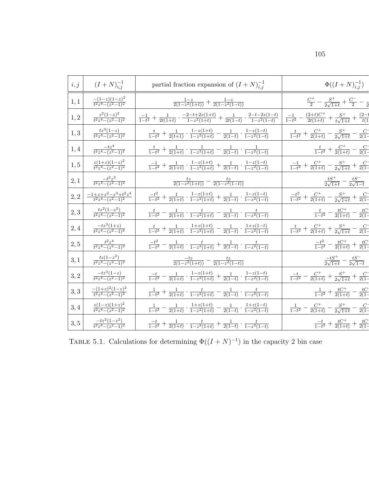| i, j    | $(I+N)^{-1}_{i,j}$                             | partial fraction expansion of $(I+N)^{-1}_{i,j}$                                                                                           | $\Phi((I+N)^{-1}_{i,j})$                                                                     |
|---------|------------------------------------------------|--------------------------------------------------------------------------------------------------------------------------------------------|----------------------------------------------------------------------------------------------|
| 1,1     | $\frac{-(1-z)(1-z)^2}{t^2z^4-(z^2-1)^2}$       | $\frac{1-z}{2(1-z^2(1+t))}+\frac{1-z}{2(1-z^2(1-t))}$                                                                                      | $\frac{C^{+}}{2} - \frac{S^{+}}{2\sqrt{1+t}} + \frac{C^{-}}{2} - \frac{1}{2}$                |
| $1,2\,$ | $\frac{z^2(1-z)^2}{t^2z^4-(z^2-1)^2}$          | $\tfrac{-1}{1-t^2} + \tfrac{1}{2t(1+t)} \cdot \tfrac{-2-t+2z(1+t)}{1-z^2(1+t)} + \tfrac{1}{2t(1-t)} \cdot \tfrac{2-t-2z(1-t)}{1-z^2(1-t)}$ | $\tfrac{-1}{1-t^2}-\tfrac{(2+t)C^+}{2t(1+t)}+\tfrac{S^+}{t\sqrt{1+t}}+\tfrac{(2-t)}{t(1-t)}$ |
| 1,3     | $\frac{tz^3(1-z)}{t^2z^4-(z^2-1)^2}$           | $\frac{t}{1-t^2}+\frac{1}{2(t+1)}\cdot\frac{1-z(1+t)}{1-z^2(1+t)}-\frac{1}{2(1-t)}\cdot\frac{1-z(1-t)}{1-z^2(1-t)}$                        | $\frac{t}{1-t^2} + \frac{C^+}{2(1+t)} - \frac{S^+}{2\sqrt{1+t}} - \frac{C^-}{2(1-t)}$        |
| 1,4     | $\frac{-tz^4}{t^2z^4-(z^2-1)^2}$               | $\frac{t}{1-t^2} + \frac{1}{2(1+t)} \cdot \frac{1}{1-z^2(1+t)} - \frac{1}{2(1-t)} \cdot \frac{1}{1-z^2(1-t)}$                              | $\frac{t}{1-t^2} + \frac{C^+}{2(1+t)} - \frac{C^-}{2(1-t)}$                                  |
| 1, 5    | $\frac{z(1+z)(1-z)^2}{t^2z^4-(z^2-1)^2}$       | $\frac{-1}{1-t^2}+\frac{1}{2(1+t)}\cdot\frac{1-z(1+t)}{1-z^2(1+t)}+\frac{1}{2(1-t)}\cdot\frac{1-z(1-t)}{1-z^2(1-t)}$                       | $\frac{-1}{1-t^2} + \frac{C^+}{2(1+t)} - \frac{S^+}{2\sqrt{1+t}} + \frac{C^-}{2(1-t)}$       |
| $2,1\,$ | $\frac{-t^2z^3}{t^2z^4-(z^2-1)^2}$             | $\frac{tz}{2(1-z^2(1+t))} - \frac{tz}{2(1-z^2(1-t))}$                                                                                      | $\frac{tS^{+}}{2\sqrt{1+t}}-\frac{tS^{-}}{2\sqrt{1-t}}$                                      |
| $2,2$   | $\frac{-1+z+z^2-z^3+t^2z^4}{t^2z^4-(z^2-1)^2}$ | $\tfrac{-t^2}{1-t^2} + \tfrac{1}{2(1+t)} \cdot \tfrac{1-z(1+t)}{1-z^2(1+t)} + \tfrac{1}{2(1-t)} \cdot \tfrac{1-z(1-t)}{1-z^2(1-t)}$        | $\frac{-t^2}{1-t^2} + \frac{C^+}{2(1+t)} - \frac{S^+}{2\sqrt{1+t}} + \frac{C^-}{2(1-t)}$     |
| 2,3     | $\frac{tz^2(1-z^2)}{t^2z^4-(z^2-1)^2}$         | $\frac{t}{1-t^2}-\frac{1}{2(1+t)}\cdot\frac{t}{1-z^2(1+t)}-\frac{1}{2(1-t)}\cdot\frac{t}{1-z^2(1-t)}$                                      | $\frac{t}{1-t^2} - \frac{tC^+}{2(1+t)} - \frac{tC^-}{2(1-t)}$                                |
| 2,4     | $\frac{-tz^3(1+z)}{t^2z^4-(z^2-1)^2}$          | $\frac{t}{1-t^2}+\frac{1}{2(1+t)}\cdot \frac{1+z(1+t)}{1-z^2(1+t)}-\frac{1}{2(1-t)}\cdot \frac{1+z(1-t)}{1-z^2(1-t)}$                      | $\frac{t}{1-t^2} + \frac{C^+}{2(1+t)} + \frac{S^+}{2\sqrt{1+t}} - \frac{C^-}{2(1-t)}$        |
| 2, 5    | $\frac{t^2z^4}{t^2z^4-(z^2-1)^2}$              | $\frac{-t^2}{1-t^2} - \frac{1}{2(1+t)} \cdot \frac{t}{1-z^2(1+t)} + \frac{1}{2(1-t)} \cdot \frac{t}{1-z^2(1-t)}$                           | $\frac{-t^2}{1-t^2} - \frac{tC^+}{2(1+t)} + \frac{tC^+}{2(1-t)}$                             |
| 3,1     | $\frac{tz(1-z^2)}{t^2z^4-(z^2-1)^2}$           | $\frac{-tz}{2(1-z^2(1+t))} - \frac{tz}{2(1-z^2(1-t))}$                                                                                     | $\frac{-tS^{+}}{2\sqrt{1+t}}-\frac{tS^{-}}{2\sqrt{1-t}}$                                     |
| 3, 2    | $\frac{-tz^3(1-z)}{t^2z^4-(z^2-1)^2}$          | $\tfrac{-t}{1-t^2}-\tfrac{1}{2(1+t)}\cdot\tfrac{1-z(1+t)}{1-z^2(1+t)}+\tfrac{1}{2(1-t)}\cdot\tfrac{1-z(1-t)}{1-z^2(1-t)}$                  | $\frac{-t}{1-t^2} - \frac{C^+}{2(1+t)} + \frac{S^+}{2\sqrt{1+t}} + \frac{C^-}{2(1-t)}$       |
| 3,3     | $\frac{-(1+z)^2(1-z)^2}{t^2z^4-(z^2-1)^2}$     | $\frac{1}{1-t^2}+\frac{1}{2(1+t)}\cdot\frac{t}{1-z^2(1+t)}-\frac{1}{2(1-t)}\cdot\frac{t}{1-z^2(1-t)}$                                      | $\frac{1}{1-t^2} + \frac{tC^+}{2(1+t)} - \frac{tC^+}{2(1-t)}$                                |
| 3,4     | $\frac{z(1-z)(1+z)^2}{t^2z^4-(z^2-1)^2}$       | $\tfrac{1}{1-t^2}-\tfrac{1}{2(1+t)}\cdot\tfrac{1+z(1+t)}{1-z^2(1+t)}-\tfrac{1}{2(1-t)}\cdot\tfrac{1+z(1-t)}{1-z^2(1-t)}$                   | $\frac{1}{1-t^2} - \frac{C^+}{2(1+t)} - \frac{S^+}{2\sqrt{1+t}} - \frac{C^-}{2(1-t)}$        |
| 3, 5    | $\frac{-tz^2(1-z^2)}{t^2z^4-(z^2-1)^2}$        | $\frac{-t}{1-t^2} + \frac{1}{2(1+t)} \cdot \frac{t}{1-z^2(1+t)} + \frac{1}{2(1-t)} \cdot \frac{t}{1-z^2(1-t)}$                             | $\frac{-t}{1-t^2} + \frac{tC^+}{2(1+t)} + \frac{tC^-}{2(1-t)}$                               |

TABLE 5.1. Calculations for determining  $\Phi((I + N)^{-1})$  in the capacity 2 bin case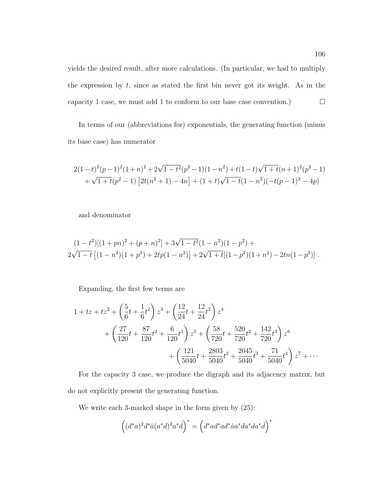yields the desired result, after more calculations. (In particular, we had to multiply the expression by  $t$ , since as stated the first bin never got its weight. As in the capacity 1 case, we must add 1 to conform to our base case convention.)  $\Box$ 

In terms of our (abbreviations for) exponentials, the generating function (minus its base case) has numerator

$$
2(1-t)^2(p-1)^2(1+n)^2+2\sqrt{1-t^2}(p^2-1)(1-n^2)+t(1-t)\sqrt{1+t}(n+1)^2(p^2-1) + \sqrt{1+t}(p^2-1)[2t(n^2+1)-4n] + (1+t)\sqrt{1-t}(1-n^2)(-t(p-1)^2-4p)
$$

and denominator

$$
(1-t^2)[(1+pn)^2 + (p+n)^2] + 3\sqrt{1-t^2}(1-n^2)(1-p^2) + 2\sqrt{1-t}[(1-n^2)(1+p^2) + 2tp(1-n^2)] + 2\sqrt{1+t}[(1-p^2)(1+n^2) - 2tn(1-p^2)].
$$

Expanding, the first few terms are

$$
1 + tz + tz2 + \left(\frac{5}{6}t + \frac{1}{6}t^{2}\right)z^{3} + \left(\frac{12}{24}t + \frac{12}{24}t^{2}\right)z^{4}
$$
  
+ 
$$
\left(\frac{27}{120}t + \frac{87}{120}t^{2} + \frac{6}{120}t^{3}\right)z^{5} + \left(\frac{58}{720}t + \frac{520}{720}t^{2} + \frac{142}{720}t^{3}\right)z^{6}
$$
  
+ 
$$
\left(\frac{121}{5040}t + \frac{2803}{5040}t^{2} + \frac{2045}{5040}t^{3} + \frac{71}{5040}t^{4}\right)z^{7} + \cdots
$$

For the capacity 3 case, we produce the digraph and its adjacency matrix, but do not explicitly present the generating function.

We write each 3-marked shape in the form given by (25):

$$
\left((d^*a)^2d^*\dot{a}(a^*d)^2a^*\dot{d}\right)^* = \left(d^*ad^*ad^*\dot{a}a^*da^*da^*\dot{d}\right)^*
$$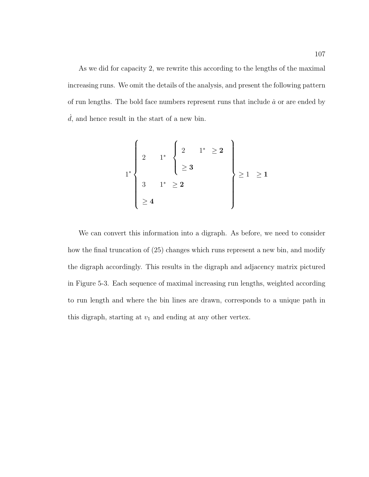As we did for capacity 2, we rewrite this according to the lengths of the maximal increasing runs. We omit the details of the analysis, and present the following pattern of run lengths. The bold face numbers represent runs that include  $\dot{a}$  or are ended by  $\dot{d}$ , and hence result in the start of a new bin.

$$
1^* \left\{ \begin{array}{ccc} 2 & 1^* & \left\{ 2 & 1^* \ge 2 \\ & 2 & 3 \\ 3 & 1^* \ge 2 \\ \ge 4 \end{array} \right\} \right\} \ge 1 \ge 1
$$

We can convert this information into a digraph. As before, we need to consider how the final truncation of (25) changes which runs represent a new bin, and modify the digraph accordingly. This results in the digraph and adjacency matrix pictured in Figure 5-3. Each sequence of maximal increasing run lengths, weighted according to run length and where the bin lines are drawn, corresponds to a unique path in this digraph, starting at  $v_1$  and ending at any other vertex.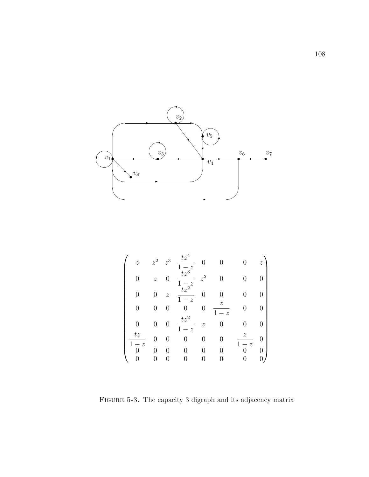

$$
\begin{pmatrix}\n z & z^2 & z^3 & \frac{tz^4}{1-z} & 0 & 0 & 0 & z \\
0 & z & 0 & \frac{tz^3}{1-z} & z^2 & 0 & 0 & 0 \\
0 & 0 & z & \frac{tz^2}{1-z} & 0 & 0 & 0 & 0 \\
0 & 0 & 0 & 0 & 0 & \frac{z}{1-z} & 0 & 0 \\
0 & 0 & 0 & \frac{tz^2}{1-z} & z & 0 & 0 & 0 \\
\frac{tz}{1-z} & 0 & 0 & 0 & 0 & 0 & \frac{z}{1-z} & 0 \\
\frac{0}{0} & 0 & 0 & 0 & 0 & 0 & 0 & 0 \\
0 & 0 & 0 & 0 & 0 & 0 & 0 & 0\n\end{pmatrix}
$$

FIGURE 5-3. The capacity 3 digraph and its adjacency matrix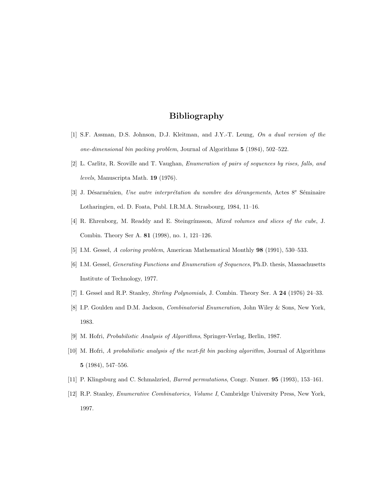## **Bibliography**

- [1] S.F. Assman, D.S. Johnson, D.J. Kleitman, and J.Y.-T. Leung, On a dual version of the one-dimensional bin packing problem, Journal of Algorithms **5** (1984), 502–522.
- [2] L. Carlitz, R. Scoville and T. Vaughan, Enumeration of pairs of sequences by rises, falls, and levels, Manuscripta Math. **19** (1976).
- [3] J. Désarménien, Une autre interprétation du nombre des dérangements, Actes 8<sup>e</sup> Séminaire Lotharingien, ed. D. Foata, Publ. I.R.M.A. Strasbourg, 1984, 11–16.
- [4] R. Ehrenborg, M. Readdy and E. Steingrímsson, *Mixed volumes and slices of the cube*, J. Combin. Theory Ser A. **81** (1998), no. 1, 121–126.
- [5] I.M. Gessel, A coloring problem, American Mathematical Monthly **98** (1991), 530–533.
- [6] I.M. Gessel, Generating Functions and Enumeration of Sequences, Ph.D. thesis, Massachusetts Institute of Technology, 1977.
- [7] I. Gessel and R.P. Stanley, Stirling Polynomials, J. Combin. Theory Ser. A **24** (1976) 24–33.
- [8] I.P. Goulden and D.M. Jackson, *Combinatorial Enumeration*, John Wiley & Sons, New York, 1983.
- [9] M. Hofri, Probabilistic Analysis of Algorithms, Springer-Verlag, Berlin, 1987.
- [10] M. Hofri, A probabilistic analysis of the next-fit bin packing algorithm, Journal of Algorithms **5** (1984), 547–556.
- [11] P. Klingsburg and C. Schmalzried, Barred permutations, Congr. Numer. **95** (1993), 153–161.
- [12] R.P. Stanley, Enumerative Combinatorics, Volume I, Cambridge University Press, New York, 1997.